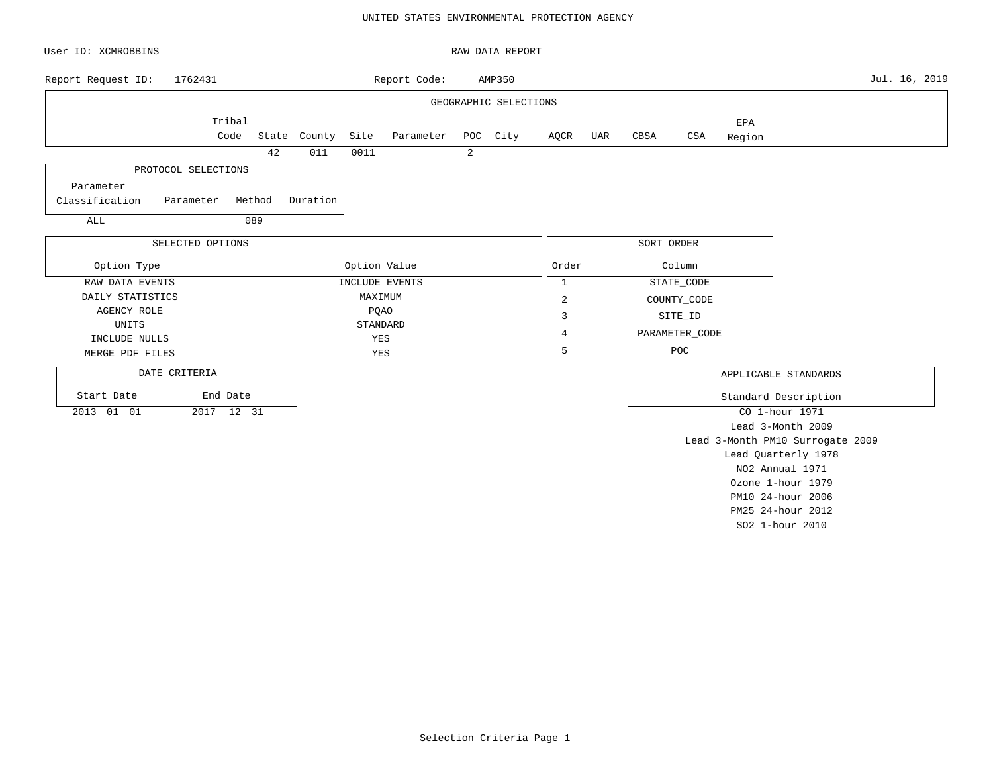### UNITED STATES ENVIRONMENTAL PROTECTION AGENCY

| User ID: XCMROBBINS           |                  |        |              |      |                    |   | RAW DATA REPORT       |              |     |            |                |        |                                  |               |
|-------------------------------|------------------|--------|--------------|------|--------------------|---|-----------------------|--------------|-----|------------|----------------|--------|----------------------------------|---------------|
| 1762431<br>Report Request ID: |                  |        |              |      | Report Code:       |   | AMP350                |              |     |            |                |        |                                  | Jul. 16, 2019 |
|                               |                  |        |              |      |                    |   | GEOGRAPHIC SELECTIONS |              |     |            |                |        |                                  |               |
|                               | Tribal           |        |              |      |                    |   |                       |              |     |            |                | EPA    |                                  |               |
|                               | Code             |        | State County | Site | Parameter POC City |   |                       | AQCR         | UAR | CBSA       | CSA            | Region |                                  |               |
|                               |                  | 42     | 011          | 0011 |                    | 2 |                       |              |     |            |                |        |                                  |               |
| PROTOCOL SELECTIONS           |                  |        |              |      |                    |   |                       |              |     |            |                |        |                                  |               |
| Parameter                     |                  |        |              |      |                    |   |                       |              |     |            |                |        |                                  |               |
| Classification<br>Parameter   |                  | Method | Duration     |      |                    |   |                       |              |     |            |                |        |                                  |               |
| ALL                           |                  | 089    |              |      |                    |   |                       |              |     |            |                |        |                                  |               |
|                               | SELECTED OPTIONS |        |              |      |                    |   |                       |              |     | SORT ORDER |                |        |                                  |               |
|                               |                  |        |              |      |                    |   |                       |              |     |            |                |        |                                  |               |
| Option Type                   |                  |        |              |      | Option Value       |   |                       | Order        |     |            | Column         |        |                                  |               |
| RAW DATA EVENTS               |                  |        |              |      | INCLUDE EVENTS     |   |                       | $\mathbf{1}$ |     |            | STATE_CODE     |        |                                  |               |
| DAILY STATISTICS              |                  |        |              |      | MAXIMUM            |   |                       | 2            |     |            | COUNTY_CODE    |        |                                  |               |
| <b>AGENCY ROLE</b>            |                  |        |              |      | <b>PQAO</b>        |   |                       | 3            |     |            | SITE_ID        |        |                                  |               |
| UNITS                         |                  |        |              |      | STANDARD           |   |                       | 4            |     |            | PARAMETER_CODE |        |                                  |               |
| INCLUDE NULLS                 |                  |        |              |      | YES<br>YES         |   |                       | 5            |     |            | POC            |        |                                  |               |
| MERGE PDF FILES               |                  |        |              |      |                    |   |                       |              |     |            |                |        |                                  |               |
| DATE CRITERIA                 |                  |        |              |      |                    |   |                       |              |     |            |                |        | APPLICABLE STANDARDS             |               |
| Start Date                    | End Date         |        |              |      |                    |   |                       |              |     |            |                |        | Standard Description             |               |
| 2013 01 01                    | 2017 12 31       |        |              |      |                    |   |                       |              |     |            |                |        | CO 1-hour 1971                   |               |
|                               |                  |        |              |      |                    |   |                       |              |     |            |                |        | Lead 3-Month 2009                |               |
|                               |                  |        |              |      |                    |   |                       |              |     |            |                |        | Lead 3-Month PM10 Surrogate 2009 |               |
|                               |                  |        |              |      |                    |   |                       |              |     |            |                |        | Lead Quarterly 1978              |               |
|                               |                  |        |              |      |                    |   |                       |              |     |            |                |        | NO2 Annual 1971                  |               |
|                               |                  |        |              |      |                    |   |                       |              |     |            |                |        | Ozone 1-hour 1979                |               |
|                               |                  |        |              |      |                    |   |                       |              |     |            |                |        | PM10 24-hour 2006                |               |

PM25 24-hour 2012 SO2 1-hour 2010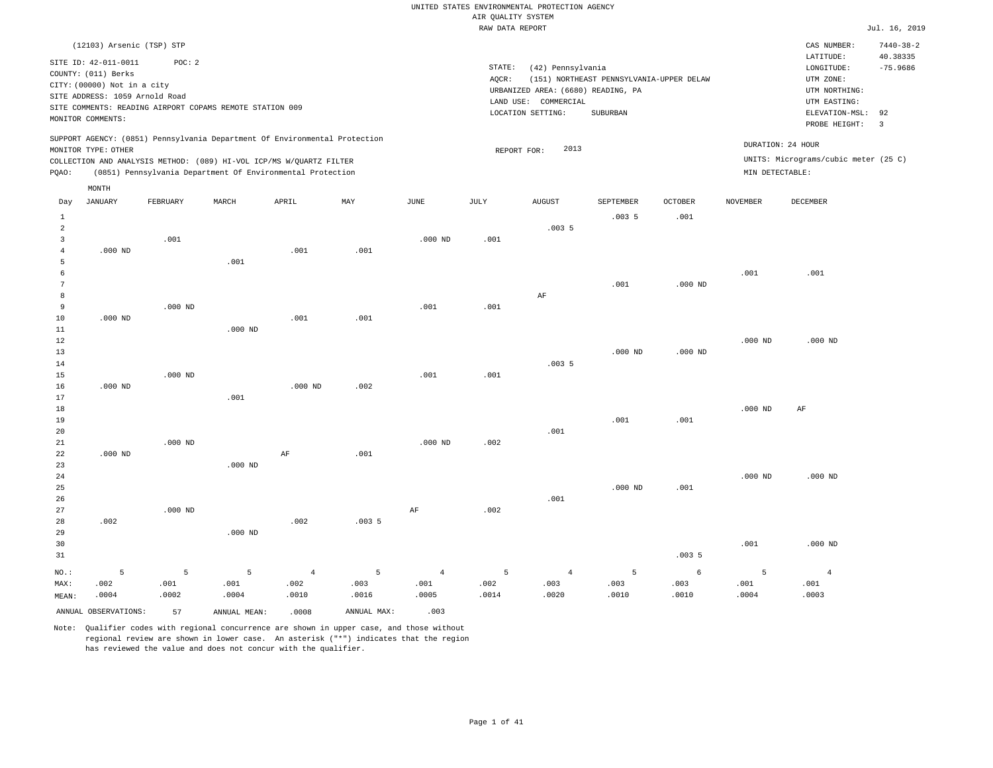|                | (12103) Arsenic (TSP) STP                                |           |              |                                                                            |             |                |        |                                    |                                          |                |                 | CAS NUMBER:                          | $7440 - 38 - 2$ |
|----------------|----------------------------------------------------------|-----------|--------------|----------------------------------------------------------------------------|-------------|----------------|--------|------------------------------------|------------------------------------------|----------------|-----------------|--------------------------------------|-----------------|
|                | SITE ID: 42-011-0011                                     | POC: 2    |              |                                                                            |             |                |        |                                    |                                          |                |                 | LATITUDE:                            | 40.38335        |
|                | COUNTY: (011) Berks                                      |           |              |                                                                            |             |                | STATE: | (42) Pennsylvania                  |                                          |                |                 | LONGITUDE:                           | $-75.9686$      |
|                | CITY: (00000) Not in a city                              |           |              |                                                                            |             |                | AQCR:  |                                    | (151) NORTHEAST PENNSYLVANIA-UPPER DELAW |                |                 | UTM ZONE:                            |                 |
|                | SITE ADDRESS: 1059 Arnold Road                           |           |              |                                                                            |             |                |        | URBANIZED AREA: (6680) READING, PA |                                          |                |                 | UTM NORTHING:                        |                 |
|                | SITE COMMENTS: READING AIRPORT COPAMS REMOTE STATION 009 |           |              |                                                                            |             |                |        | LAND USE: COMMERCIAL               |                                          |                |                 | UTM EASTING:                         |                 |
|                | MONITOR COMMENTS:                                        |           |              |                                                                            |             |                |        | LOCATION SETTING:                  | SUBURBAN                                 |                |                 | ELEVATION-MSL:                       | 92              |
|                |                                                          |           |              |                                                                            |             |                |        |                                    |                                          |                |                 | PROBE HEIGHT:                        | $\overline{3}$  |
|                | MONITOR TYPE: OTHER                                      |           |              | SUPPORT AGENCY: (0851) Pennsylvania Department Of Environmental Protection |             |                |        | 2013<br>REPORT FOR:                |                                          |                |                 | DURATION: 24 HOUR                    |                 |
|                |                                                          |           |              | COLLECTION AND ANALYSIS METHOD: (089) HI-VOL ICP/MS W/QUARTZ FILTER        |             |                |        |                                    |                                          |                |                 | UNITS: Micrograms/cubic meter (25 C) |                 |
| PQAO:          |                                                          |           |              | (0851) Pennsylvania Department Of Environmental Protection                 |             |                |        |                                    |                                          |                | MIN DETECTABLE: |                                      |                 |
|                | $\texttt{MONTH}$                                         |           |              |                                                                            |             |                |        |                                    |                                          |                |                 |                                      |                 |
| Day            | <b>JANUARY</b>                                           | FEBRUARY  | MARCH        | APRIL                                                                      | MAY         | JUNE           | JULY   | <b>AUGUST</b>                      | SEPTEMBER                                | <b>OCTOBER</b> | <b>NOVEMBER</b> | <b>DECEMBER</b>                      |                 |
| $\mathbf{1}$   |                                                          |           |              |                                                                            |             |                |        |                                    | .0035                                    | .001           |                 |                                      |                 |
| $\overline{a}$ |                                                          |           |              |                                                                            |             |                |        | .0035                              |                                          |                |                 |                                      |                 |
| 3              |                                                          | .001      |              |                                                                            |             | $.000$ ND      | .001   |                                    |                                          |                |                 |                                      |                 |
| $\overline{4}$ | $.000$ ND                                                |           |              | .001                                                                       | .001        |                |        |                                    |                                          |                |                 |                                      |                 |
| 5              |                                                          |           | .001         |                                                                            |             |                |        |                                    |                                          |                |                 |                                      |                 |
| 6              |                                                          |           |              |                                                                            |             |                |        |                                    |                                          |                | .001            | .001                                 |                 |
| 7              |                                                          |           |              |                                                                            |             |                |        |                                    | .001                                     | $.000$ ND      |                 |                                      |                 |
| 8              |                                                          |           |              |                                                                            |             |                |        | AF                                 |                                          |                |                 |                                      |                 |
| 9              |                                                          | $.000$ ND |              |                                                                            |             | .001           | .001   |                                    |                                          |                |                 |                                      |                 |
| 10             | $.000$ ND                                                |           |              | .001                                                                       | .001        |                |        |                                    |                                          |                |                 |                                      |                 |
| 11             |                                                          |           | $.000$ ND    |                                                                            |             |                |        |                                    |                                          |                |                 |                                      |                 |
| 12             |                                                          |           |              |                                                                            |             |                |        |                                    |                                          |                | $.000$ ND       | $.000$ ND                            |                 |
| 13             |                                                          |           |              |                                                                            |             |                |        |                                    | $.000$ ND                                | $.000$ ND      |                 |                                      |                 |
| 14             |                                                          |           |              |                                                                            |             |                |        | .0035                              |                                          |                |                 |                                      |                 |
| 15             |                                                          | $.000$ ND |              |                                                                            |             | .001           | .001   |                                    |                                          |                |                 |                                      |                 |
| 16             | $.000$ ND                                                |           |              | $.000$ ND                                                                  | .002        |                |        |                                    |                                          |                |                 |                                      |                 |
| 17<br>18       |                                                          |           | .001         |                                                                            |             |                |        |                                    |                                          |                | $.000$ ND       | AF                                   |                 |
| 19             |                                                          |           |              |                                                                            |             |                |        |                                    | .001                                     | .001           |                 |                                      |                 |
| 20             |                                                          |           |              |                                                                            |             |                |        | .001                               |                                          |                |                 |                                      |                 |
| 21             |                                                          | $.000$ ND |              |                                                                            |             | $.000$ ND      | .002   |                                    |                                          |                |                 |                                      |                 |
| 22             | $.000$ ND                                                |           |              | AF                                                                         | .001        |                |        |                                    |                                          |                |                 |                                      |                 |
| 23             |                                                          |           | $.000$ ND    |                                                                            |             |                |        |                                    |                                          |                |                 |                                      |                 |
| 24             |                                                          |           |              |                                                                            |             |                |        |                                    |                                          |                | $.000$ ND       | $.000$ ND                            |                 |
| 25             |                                                          |           |              |                                                                            |             |                |        |                                    | $.000$ ND                                | .001           |                 |                                      |                 |
| 26             |                                                          |           |              |                                                                            |             |                |        | .001                               |                                          |                |                 |                                      |                 |
| 27             |                                                          | $.000$ ND |              |                                                                            |             | AF             | .002   |                                    |                                          |                |                 |                                      |                 |
| 28             | .002                                                     |           |              | .002                                                                       | .0035       |                |        |                                    |                                          |                |                 |                                      |                 |
| 29             |                                                          |           | $.000$ ND    |                                                                            |             |                |        |                                    |                                          |                |                 |                                      |                 |
| 30             |                                                          |           |              |                                                                            |             |                |        |                                    |                                          |                | .001            | $.000$ ND                            |                 |
| 31             |                                                          |           |              |                                                                            |             |                |        |                                    |                                          | .0035          |                 |                                      |                 |
| NO.:           | 5                                                        | 5         | 5            | $\overline{4}$                                                             | 5           | $\overline{4}$ | 5      | $\overline{4}$                     | $\overline{5}$                           | 6              | 5               | $\overline{4}$                       |                 |
| MAX:           | .002                                                     | .001      | .001         | .002                                                                       | .003        | .001           | .002   | .003                               | .003                                     | .003           | .001            | .001                                 |                 |
| MEAN:          | .0004                                                    | .0002     | .0004        | .0010                                                                      | .0016       | .0005          | .0014  | .0020                              | .0010                                    | .0010          | .0004           | .0003                                |                 |
|                | ANNUAL OBSERVATIONS:                                     | 57        | ANNUAL MEAN: | .0008                                                                      | ANNUAL MAX: | .003           |        |                                    |                                          |                |                 |                                      |                 |
|                |                                                          |           |              |                                                                            |             |                |        |                                    |                                          |                |                 |                                      |                 |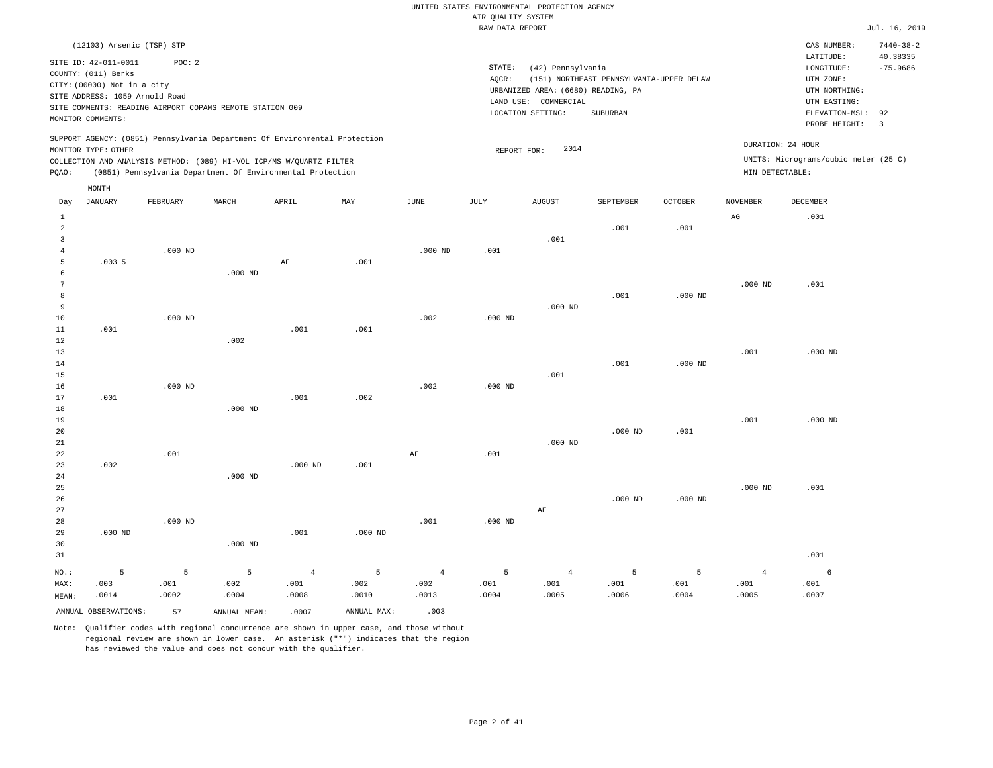|                                                                | (12103) Arsenic (TSP) STP<br>SITE ID: 42-011-0011<br>COUNTY: (011) Berks<br>CITY: (00000) Not in a city<br>SITE ADDRESS: 1059 Arnold Road<br>SITE COMMENTS: READING AIRPORT COPAMS REMOTE STATION 009<br>MONITOR COMMENTS: | POC: 2        |               | SUPPORT AGENCY: (0851) Pennsylvania Department Of Environmental Protection |                |                | STATE:<br>AQCR: | (42) Pennsylvania<br>URBANIZED AREA: (6680) READING, PA<br>LAND USE: COMMERCIAL<br>LOCATION SETTING: | (151) NORTHEAST PENNSYLVANIA-UPPER DELAW<br>SUBURBAN |               |                   | CAS NUMBER:<br>LATITUDE:<br>$\texttt{LONGITUDE}$ :<br>UTM ZONE:<br>UTM NORTHING:<br>UTM EASTING:<br>ELEVATION-MSL:<br>PROBE HEIGHT: | $7440 - 38 - 2$<br>40.38335<br>$-75.9686$<br>92<br>3 |
|----------------------------------------------------------------|----------------------------------------------------------------------------------------------------------------------------------------------------------------------------------------------------------------------------|---------------|---------------|----------------------------------------------------------------------------|----------------|----------------|-----------------|------------------------------------------------------------------------------------------------------|------------------------------------------------------|---------------|-------------------|-------------------------------------------------------------------------------------------------------------------------------------|------------------------------------------------------|
|                                                                | MONITOR TYPE: OTHER                                                                                                                                                                                                        |               |               | COLLECTION AND ANALYSIS METHOD: (089) HI-VOL ICP/MS W/QUARTZ FILTER        |                |                | REPORT FOR:     | 2014                                                                                                 |                                                      |               | DURATION: 24 HOUR | UNITS: Micrograms/cubic meter (25 C)                                                                                                |                                                      |
| PQAO:                                                          |                                                                                                                                                                                                                            |               |               | (0851) Pennsylvania Department Of Environmental Protection                 |                |                |                 |                                                                                                      |                                                      |               | MIN DETECTABLE:   |                                                                                                                                     |                                                      |
|                                                                | MONTH                                                                                                                                                                                                                      |               |               |                                                                            |                |                |                 |                                                                                                      |                                                      |               |                   |                                                                                                                                     |                                                      |
| Day                                                            | <b>JANUARY</b>                                                                                                                                                                                                             | FEBRUARY      | MARCH         | APRIL                                                                      | MAY            | JUNE           | JULY            | <b>AUGUST</b>                                                                                        | SEPTEMBER                                            | OCTOBER       | NOVEMBER          | DECEMBER                                                                                                                            |                                                      |
| $\mathbf{1}$<br>$\sqrt{2}$<br>$\overline{3}$<br>$\overline{4}$ |                                                                                                                                                                                                                            | $.000$ ND     |               |                                                                            |                | $.000$ ND      | .001            | .001                                                                                                 | .001                                                 | .001          | $_{\rm AG}$       | .001                                                                                                                                |                                                      |
| $\overline{5}$<br>6<br>$\overline{7}$                          | .0035                                                                                                                                                                                                                      |               | $.000$ ND     | $\rm AF$                                                                   | .001           |                |                 |                                                                                                      |                                                      |               | $.000$ ND         | .001                                                                                                                                |                                                      |
| 8<br>9<br>$10$                                                 |                                                                                                                                                                                                                            | $.000$ ND     |               |                                                                            |                | .002           | $.000$ ND       | $.000$ ND                                                                                            | .001                                                 | $.000$ ND     |                   |                                                                                                                                     |                                                      |
| 11<br>12<br>13<br>14                                           | .001                                                                                                                                                                                                                       |               | .002          | .001                                                                       | .001           |                |                 |                                                                                                      | .001                                                 | $.000$ ND     | .001              | $.000$ ND                                                                                                                           |                                                      |
| 15<br>16<br>17<br>18                                           | .001                                                                                                                                                                                                                       | $.000$ ND     | $.000$ ND     | .001                                                                       | .002           | .002           | $.000$ ND       | .001                                                                                                 |                                                      |               |                   |                                                                                                                                     |                                                      |
| 19<br>20<br>21<br>22                                           |                                                                                                                                                                                                                            | .001          |               |                                                                            |                | AF             | .001            | $.000$ ND                                                                                            | $.000$ ND                                            | .001          | .001              | $.000$ ND                                                                                                                           |                                                      |
| 23<br>24<br>25<br>26                                           | .002                                                                                                                                                                                                                       |               | $.000$ ND     | $.000$ ND                                                                  | .001           |                |                 |                                                                                                      | $.000$ ND                                            | $.000$ ND     | $.000$ ND         | .001                                                                                                                                |                                                      |
| 27<br>28<br>29<br>30<br>31                                     | $.000$ ND                                                                                                                                                                                                                  | $.000$ ND     | $.000$ ND     | .001                                                                       | $.000$ ND      | .001           | $.000$ ND       | AF                                                                                                   |                                                      |               |                   | .001                                                                                                                                |                                                      |
| $NO.$ :                                                        | 5                                                                                                                                                                                                                          | 5             | 5             | $\overline{4}$                                                             | $\overline{5}$ | $\overline{4}$ | 5               | $\overline{4}$                                                                                       | 5                                                    | 5             | $\overline{4}$    | 6                                                                                                                                   |                                                      |
| MAX:<br>MEAN:                                                  | .003<br>.0014                                                                                                                                                                                                              | .001<br>.0002 | .002<br>.0004 | .001<br>.0008                                                              | .002<br>.0010  | .002<br>.0013  | .001<br>.0004   | .001<br>.0005                                                                                        | .001<br>.0006                                        | .001<br>.0004 | .001<br>.0005     | .001<br>.0007                                                                                                                       |                                                      |
|                                                                | ANNUAL OBSERVATIONS:                                                                                                                                                                                                       | 57            | ANNUAL MEAN:  | .0007                                                                      | ANNUAL MAX:    | .003           |                 |                                                                                                      |                                                      |               |                   |                                                                                                                                     |                                                      |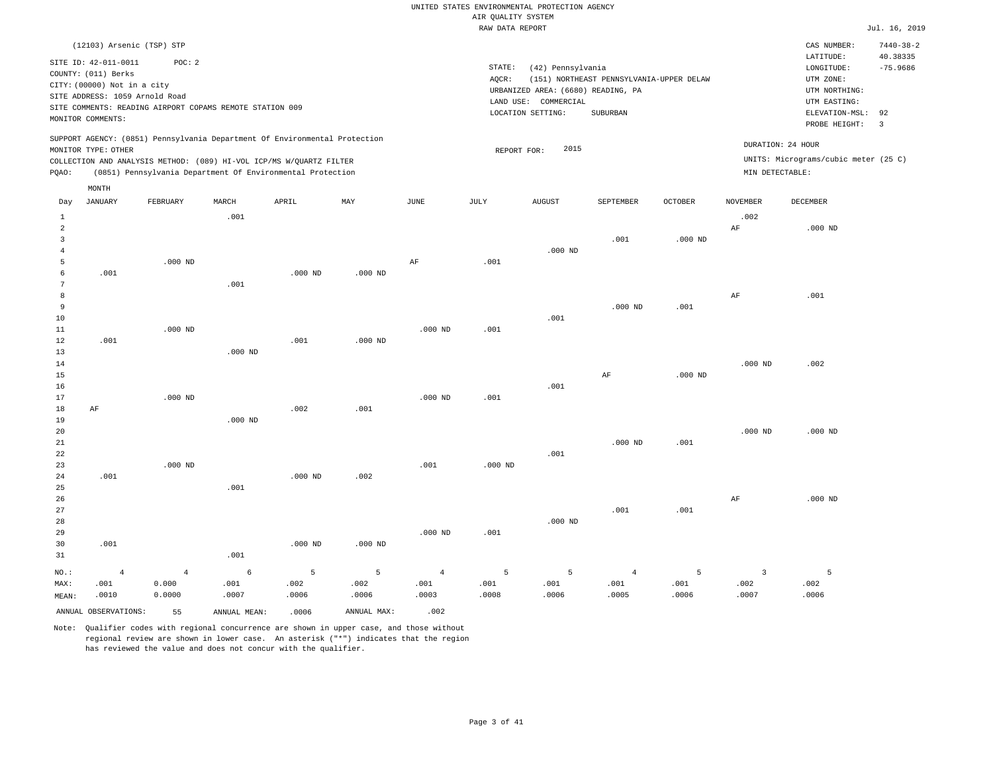| RAW DATA REPORT |  |
|-----------------|--|
|                 |  |

Jul. 16, 2019

|                | (12103) Arsenic (TSP) STP                   |                         |                                                          |                                                                            |             |                        |             |                                    |                                          |                |                        | CAS NUMBER:                          | $7440 - 38 - 2$        |
|----------------|---------------------------------------------|-------------------------|----------------------------------------------------------|----------------------------------------------------------------------------|-------------|------------------------|-------------|------------------------------------|------------------------------------------|----------------|------------------------|--------------------------------------|------------------------|
|                | SITE ID: 42-011-0011<br>COUNTY: (011) Berks | POC: 2                  |                                                          |                                                                            |             |                        | STATE:      | (42) Pennsylvania                  |                                          |                |                        | LATITUDE:<br>LONGITUDE:              | 40.38335<br>$-75.9686$ |
|                | CITY: (00000) Not in a city                 |                         |                                                          |                                                                            |             |                        | AQCR:       |                                    | (151) NORTHEAST PENNSYLVANIA-UPPER DELAW |                |                        | UTM ZONE:                            |                        |
|                | SITE ADDRESS: 1059 Arnold Road              |                         |                                                          |                                                                            |             |                        |             | URBANIZED AREA: (6680) READING, PA |                                          |                |                        | UTM NORTHING:                        |                        |
|                |                                             |                         | SITE COMMENTS: READING AIRPORT COPAMS REMOTE STATION 009 |                                                                            |             |                        | LAND USE:   | COMMERCIAL                         |                                          |                |                        | UTM EASTING:                         |                        |
|                | MONITOR COMMENTS:                           |                         |                                                          |                                                                            |             |                        |             | LOCATION SETTING:                  | SUBURBAN                                 |                |                        | ELEVATION-MSL:                       | 92<br>$\overline{3}$   |
|                |                                             |                         |                                                          |                                                                            |             |                        |             |                                    |                                          |                |                        | PROBE HEIGHT:                        |                        |
|                | MONITOR TYPE: OTHER                         |                         |                                                          | SUPPORT AGENCY: (0851) Pennsylvania Department Of Environmental Protection |             |                        | REPORT FOR: | 2015                               |                                          |                | DURATION: 24 HOUR      |                                      |                        |
|                |                                             |                         |                                                          | COLLECTION AND ANALYSIS METHOD: (089) HI-VOL ICP/MS W/QUARTZ FILTER        |             |                        |             |                                    |                                          |                |                        | UNITS: Micrograms/cubic meter (25 C) |                        |
| PQAO:          |                                             |                         |                                                          | (0851) Pennsylvania Department Of Environmental Protection                 |             |                        |             |                                    |                                          |                | MIN DETECTABLE:        |                                      |                        |
|                |                                             |                         |                                                          |                                                                            |             |                        |             |                                    |                                          |                |                        |                                      |                        |
|                | MONTH                                       |                         |                                                          |                                                                            |             |                        |             |                                    |                                          |                |                        |                                      |                        |
| Day            | <b>JANUARY</b>                              | FEBRUARY                | MARCH                                                    | APRIL                                                                      | MAY         | JUNE                   | <b>JULY</b> | <b>AUGUST</b>                      | SEPTEMBER                                | <b>OCTOBER</b> | <b>NOVEMBER</b>        | DECEMBER                             |                        |
| $\mathbf{1}$   |                                             |                         | .001                                                     |                                                                            |             |                        |             |                                    |                                          |                | .002                   |                                      |                        |
| $\overline{a}$ |                                             |                         |                                                          |                                                                            |             |                        |             |                                    |                                          |                | $\rm{AF}$              | $.000$ ND                            |                        |
| $\overline{3}$ |                                             |                         |                                                          |                                                                            |             |                        |             |                                    | .001                                     | $.000$ ND      |                        |                                      |                        |
| $\overline{4}$ |                                             |                         |                                                          |                                                                            |             |                        |             | $.000$ ND                          |                                          |                |                        |                                      |                        |
| 5              |                                             | $.000$ ND               |                                                          |                                                                            |             | AF                     | .001        |                                    |                                          |                |                        |                                      |                        |
| 6              | .001                                        |                         |                                                          | $.000$ ND                                                                  | $.000$ ND   |                        |             |                                    |                                          |                |                        |                                      |                        |
| 7              |                                             |                         | .001                                                     |                                                                            |             |                        |             |                                    |                                          |                |                        |                                      |                        |
| 8<br>9         |                                             |                         |                                                          |                                                                            |             |                        |             |                                    | $.000$ ND                                | .001           | $\rm AF$               | .001                                 |                        |
| 10             |                                             |                         |                                                          |                                                                            |             |                        |             | .001                               |                                          |                |                        |                                      |                        |
| 11             |                                             | $.000$ ND               |                                                          |                                                                            |             | $.000$ ND              | .001        |                                    |                                          |                |                        |                                      |                        |
| 12             | .001                                        |                         |                                                          | .001                                                                       | $.000$ ND   |                        |             |                                    |                                          |                |                        |                                      |                        |
| 13             |                                             |                         | $.000$ ND                                                |                                                                            |             |                        |             |                                    |                                          |                |                        |                                      |                        |
| 14             |                                             |                         |                                                          |                                                                            |             |                        |             |                                    |                                          |                | $.000$ ND              | .002                                 |                        |
| 15             |                                             |                         |                                                          |                                                                            |             |                        |             |                                    | AF                                       | $.000$ ND      |                        |                                      |                        |
| 16             |                                             |                         |                                                          |                                                                            |             |                        |             | .001                               |                                          |                |                        |                                      |                        |
| 17             |                                             | $.000$ ND               |                                                          |                                                                            |             | $.000$ ND              | .001        |                                    |                                          |                |                        |                                      |                        |
| 18             | AF                                          |                         |                                                          | .002                                                                       | .001        |                        |             |                                    |                                          |                |                        |                                      |                        |
| 19             |                                             |                         | $.000$ ND                                                |                                                                            |             |                        |             |                                    |                                          |                |                        |                                      |                        |
| 20             |                                             |                         |                                                          |                                                                            |             |                        |             |                                    |                                          |                | $.000$ ND              | $.000$ ND                            |                        |
| 21             |                                             |                         |                                                          |                                                                            |             |                        |             |                                    | $.000$ ND                                | .001           |                        |                                      |                        |
| 22             |                                             |                         |                                                          |                                                                            |             |                        |             | .001                               |                                          |                |                        |                                      |                        |
| 23<br>24       | .001                                        | $.000$ ND               |                                                          | $.000$ ND                                                                  | .002        | .001                   | $.000$ ND   |                                    |                                          |                |                        |                                      |                        |
| 25             |                                             |                         | .001                                                     |                                                                            |             |                        |             |                                    |                                          |                |                        |                                      |                        |
| 26             |                                             |                         |                                                          |                                                                            |             |                        |             |                                    |                                          |                | $\rm{AF}$              | $.000$ ND                            |                        |
| 27             |                                             |                         |                                                          |                                                                            |             |                        |             |                                    | .001                                     | .001           |                        |                                      |                        |
| 28             |                                             |                         |                                                          |                                                                            |             |                        |             | $.000$ ND                          |                                          |                |                        |                                      |                        |
| 29             |                                             |                         |                                                          |                                                                            |             | $.000$ ND              | .001        |                                    |                                          |                |                        |                                      |                        |
| 30             | .001                                        |                         |                                                          | $.000$ ND                                                                  | $.000$ ND   |                        |             |                                    |                                          |                |                        |                                      |                        |
| 31             |                                             |                         | .001                                                     |                                                                            |             |                        |             |                                    |                                          |                |                        |                                      |                        |
|                |                                             |                         |                                                          |                                                                            |             |                        |             |                                    |                                          |                |                        |                                      |                        |
| NO.:<br>MAX:   | $\overline{4}$<br>.001                      | $\overline{4}$<br>0.000 | 6<br>.001                                                | 5<br>.002                                                                  | 5<br>.002   | $\overline{4}$<br>.001 | 5<br>.001   | 5<br>.001                          | $\,4\,$<br>.001                          | 5<br>.001      | $\overline{3}$<br>.002 | 5<br>.002                            |                        |
| MEAN:          | .0010                                       | 0.0000                  | .0007                                                    | .0006                                                                      | .0006       | .0003                  | .0008       | .0006                              | .0005                                    | .0006          | .0007                  | .0006                                |                        |
|                |                                             |                         |                                                          |                                                                            |             |                        |             |                                    |                                          |                |                        |                                      |                        |
|                | ANNUAL OBSERVATIONS:                        | 55                      | ANNUAL MEAN:                                             | .0006                                                                      | ANNUAL MAX: | .002                   |             |                                    |                                          |                |                        |                                      |                        |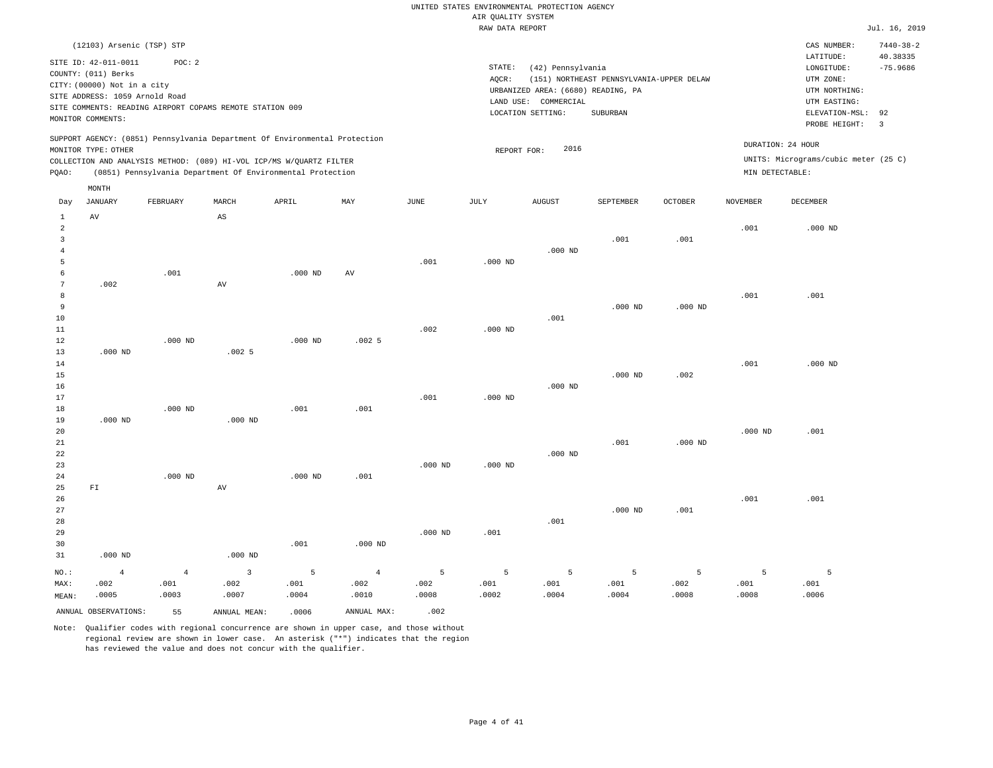|                                                                                                                           | RAW DATA REPORT                                                         |                                      | Jul. 16, 2019          |
|---------------------------------------------------------------------------------------------------------------------------|-------------------------------------------------------------------------|--------------------------------------|------------------------|
| (12103) Arsenic (TSP) STP                                                                                                 |                                                                         | CAS NUMBER:                          | $7440 - 38 - 2$        |
| SITE ID: 42-011-0011<br>POC:2<br>COUNTY: (011) Berks                                                                      | STATE:<br>(42) Pennsylvania<br>(151) NORTHEAST PENNSYLVANIA-UPPER DELAW | LATITUDE:<br>LONGITUDE:<br>UTM ZONE: | 40.38335<br>$-75.9686$ |
| CITY: (00000) Not in a city<br>SITE ADDRESS: 1059 Arnold Road<br>SITE COMMENTS: READING AIRPORT COPAMS REMOTE STATION 009 | AOCR:<br>URBANIZED AREA: (6680) READING, PA<br>COMMERCIAL<br>LAND USE:  | UTM NORTHING:<br>UTM EASTING:        |                        |
| MONITOR COMMENTS:<br>SUPPORT AGENCY: (0851) Pennsylvania Department Of Environmental Protection                           | LOCATION SETTING:<br>SUBURBAN                                           | ELEVATION-MSL: 92<br>PROBE HEIGHT:   |                        |

MONITOR TYPE: OTHER COLLECTION AND ANALYSIS METHOD: (089) HI-VOL ICP/MS W/QUARTZ FILTER REPORT FOR: 2016 UNITS: Micrograms/cubic meter (25 C) PQAO: (0851) Pennsylvania Department Of Environmental Protection MIN DETECTABLE: DURATION: 24 HOUR

| Day                                   | 11921222<br>JANUARY                          | FEBRUARY                        | MARCH                                                 | APRIL              | MAX                             | $_{\rm JUNE}$      | JULY               | ${\tt AUGUST}$     | SEPTEMBER          | OCTOBER            | <b>NOVEMBER</b>    | DECEMBER           |
|---------------------------------------|----------------------------------------------|---------------------------------|-------------------------------------------------------|--------------------|---------------------------------|--------------------|--------------------|--------------------|--------------------|--------------------|--------------------|--------------------|
| 1<br>$\overline{a}$<br>3<br>4<br>5    | $\,\mathrm{AV}$                              |                                 | $_{\rm AS}$                                           |                    |                                 | .001               | $.000$ ND          | $.000$ ND          | .001               | .001               | .001               | $.000$ ND          |
| 6<br>7<br>8<br>9                      | .002                                         | .001                            | AV                                                    | $.000$ ND          | $\operatorname{AV}$             |                    |                    |                    | $.000$ ND          | $.000$ ND          | .001               | .001               |
| 10<br>11<br>12<br>13                  | $.000$ ND                                    | $.000$ ND                       | .0025                                                 | $.000$ ND          | .0025                           | .002               | $.000$ ND          | .001               |                    |                    |                    |                    |
| 14<br>15<br>16<br>17                  |                                              |                                 |                                                       |                    |                                 | .001               | $.000$ ND          | $.000$ ND          | $.000$ ND          | .002               | .001               | $.000$ ND          |
| 18<br>19<br>20<br>21                  | $.000$ ND                                    | $.000$ ND                       | $.000$ ND                                             | .001               | .001                            |                    |                    |                    | .001               | $.000$ ND          | $.000$ ND          | .001               |
| 22<br>23<br>24<br>25                  | ${\rm FT}$                                   | $.000$ ND                       | AV                                                    | $.000$ ND          | .001                            | $.000$ ND          | $.000$ ND          | $.000$ ND          |                    |                    |                    |                    |
| 26<br>27<br>28<br>29<br>30            |                                              |                                 |                                                       | .001               | $.000$ ND                       | $.000$ ND          | .001               | .001               | $.000$ ND          | .001               | .001               | .001               |
| 31<br>$_{\rm NO.}$ :<br>MAX:<br>MEAN: | $.000$ ND<br>$\overline{4}$<br>.002<br>.0005 | $\overline{4}$<br>.001<br>.0003 | $.000$ ND<br>$\overline{\mathbf{3}}$<br>.002<br>.0007 | 5<br>.001<br>.0004 | $\overline{4}$<br>.002<br>.0010 | 5<br>.002<br>.0008 | 5<br>.001<br>.0002 | 5<br>.001<br>.0004 | 5<br>.001<br>.0004 | 5<br>.002<br>.0008 | 5<br>.001<br>.0008 | 5<br>.001<br>.0006 |

ANNUAL OBSERVATIONS: 55 ANNUAL MEAN: .0006 ANNUAL MAX: .002

MONTH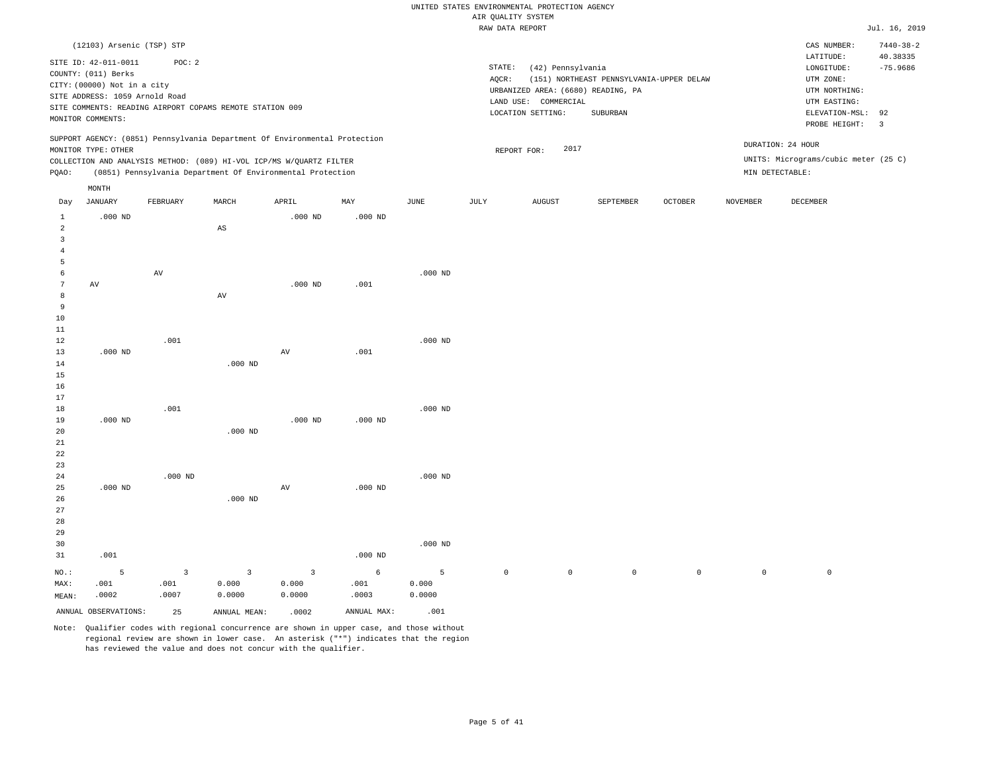|                   |                                |                         |                                                                            |             |             |                       | RAW DATA REPORT     |                                    |                                          |              |                     |                                      | Jul. 16, 2019                 |
|-------------------|--------------------------------|-------------------------|----------------------------------------------------------------------------|-------------|-------------|-----------------------|---------------------|------------------------------------|------------------------------------------|--------------|---------------------|--------------------------------------|-------------------------------|
|                   | (12103) Arsenic (TSP) STP      |                         |                                                                            |             |             |                       |                     |                                    |                                          |              |                     | CAS NUMBER:                          | $7440 - 38 - 2$               |
|                   | SITE ID: 42-011-0011           | POC: 2                  |                                                                            |             |             |                       |                     |                                    |                                          |              |                     | LATITUDE:                            | 40.38335                      |
|                   | COUNTY: (011) Berks            |                         |                                                                            |             |             |                       | STATE:              | (42) Pennsylvania                  |                                          |              |                     | LONGITUDE:                           | $-75.9686$                    |
|                   | CITY: (00000) Not in a city    |                         |                                                                            |             |             |                       | AQCR:               |                                    | (151) NORTHEAST PENNSYLVANIA-UPPER DELAW |              |                     | UTM ZONE:                            |                               |
|                   | SITE ADDRESS: 1059 Arnold Road |                         |                                                                            |             |             |                       |                     | URBANIZED AREA: (6680) READING, PA |                                          |              |                     | UTM NORTHING:                        |                               |
|                   |                                |                         | SITE COMMENTS: READING AIRPORT COPAMS REMOTE STATION 009                   |             |             |                       |                     | LAND USE: COMMERCIAL               |                                          |              |                     | UTM EASTING:                         |                               |
|                   | MONITOR COMMENTS:              |                         |                                                                            |             |             |                       |                     | LOCATION SETTING:                  | SUBURBAN                                 |              |                     | ELEVATION-MSL:<br>PROBE HEIGHT:      | 92<br>$\overline{\mathbf{3}}$ |
|                   |                                |                         | SUPPORT AGENCY: (0851) Pennsylvania Department Of Environmental Protection |             |             |                       |                     |                                    |                                          |              |                     |                                      |                               |
|                   | MONITOR TYPE: OTHER            |                         |                                                                            |             |             |                       |                     | 2017<br>REPORT FOR:                |                                          |              |                     | DURATION: 24 HOUR                    |                               |
|                   |                                |                         | COLLECTION AND ANALYSIS METHOD: (089) HI-VOL ICP/MS W/QUARTZ FILTER        |             |             |                       |                     |                                    |                                          |              |                     | UNITS: Micrograms/cubic meter (25 C) |                               |
| PQAO:             |                                |                         | (0851) Pennsylvania Department Of Environmental Protection                 |             |             |                       |                     |                                    |                                          |              |                     | MIN DETECTABLE:                      |                               |
|                   | MONTH                          |                         |                                                                            |             |             |                       |                     |                                    |                                          |              |                     |                                      |                               |
| Day               | <b>JANUARY</b>                 | FEBRUARY                | MARCH                                                                      | APRIL       | MAY         | $\operatorname{JUNE}$ | JULY                | <b>AUGUST</b>                      | SEPTEMBER                                | OCTOBER      | <b>NOVEMBER</b>     | DECEMBER                             |                               |
| $\mathbf{1}$<br>2 | $.000$ ND                      |                         |                                                                            | $.000$ ND   | $.000$ ND   |                       |                     |                                    |                                          |              |                     |                                      |                               |
| $\overline{3}$    |                                |                         | $\mathbb{A}\mathbb{S}$                                                     |             |             |                       |                     |                                    |                                          |              |                     |                                      |                               |
| $\overline{4}$    |                                |                         |                                                                            |             |             |                       |                     |                                    |                                          |              |                     |                                      |                               |
| $\overline{5}$    |                                |                         |                                                                            |             |             |                       |                     |                                    |                                          |              |                     |                                      |                               |
| 6                 |                                | $\hbox{AV}$             |                                                                            |             |             | $.000$ ND             |                     |                                    |                                          |              |                     |                                      |                               |
| $7\phantom{.0}$   | AV                             |                         |                                                                            | $.000$ ND   | .001        |                       |                     |                                    |                                          |              |                     |                                      |                               |
| 8                 |                                |                         | AV                                                                         |             |             |                       |                     |                                    |                                          |              |                     |                                      |                               |
| $\overline{9}$    |                                |                         |                                                                            |             |             |                       |                     |                                    |                                          |              |                     |                                      |                               |
| $10$              |                                |                         |                                                                            |             |             |                       |                     |                                    |                                          |              |                     |                                      |                               |
| 11                |                                |                         |                                                                            |             |             |                       |                     |                                    |                                          |              |                     |                                      |                               |
| 12                |                                | .001                    |                                                                            |             |             | $.000$ ND             |                     |                                    |                                          |              |                     |                                      |                               |
| 13                | $.000$ ND                      |                         |                                                                            | $\hbox{AV}$ | .001        |                       |                     |                                    |                                          |              |                     |                                      |                               |
| 14                |                                |                         | $.000$ ND                                                                  |             |             |                       |                     |                                    |                                          |              |                     |                                      |                               |
| 15                |                                |                         |                                                                            |             |             |                       |                     |                                    |                                          |              |                     |                                      |                               |
| 16                |                                |                         |                                                                            |             |             |                       |                     |                                    |                                          |              |                     |                                      |                               |
| 17                |                                |                         |                                                                            |             |             |                       |                     |                                    |                                          |              |                     |                                      |                               |
| 18                |                                | .001                    |                                                                            |             |             | $.000$ ND             |                     |                                    |                                          |              |                     |                                      |                               |
| 19<br>20          | $.000$ ND                      |                         | $.000$ ND                                                                  | $.000$ ND   | $.000$ ND   |                       |                     |                                    |                                          |              |                     |                                      |                               |
| $21\,$            |                                |                         |                                                                            |             |             |                       |                     |                                    |                                          |              |                     |                                      |                               |
| 22                |                                |                         |                                                                            |             |             |                       |                     |                                    |                                          |              |                     |                                      |                               |
| 23                |                                |                         |                                                                            |             |             |                       |                     |                                    |                                          |              |                     |                                      |                               |
| 24                |                                | $.000$ ND               |                                                                            |             |             | $.000$ ND             |                     |                                    |                                          |              |                     |                                      |                               |
| 25                | $.000$ ND                      |                         |                                                                            | AV          | $.000$ ND   |                       |                     |                                    |                                          |              |                     |                                      |                               |
| 26                |                                |                         | $.000$ ND                                                                  |             |             |                       |                     |                                    |                                          |              |                     |                                      |                               |
| 27                |                                |                         |                                                                            |             |             |                       |                     |                                    |                                          |              |                     |                                      |                               |
| 28                |                                |                         |                                                                            |             |             |                       |                     |                                    |                                          |              |                     |                                      |                               |
| 29                |                                |                         |                                                                            |             |             |                       |                     |                                    |                                          |              |                     |                                      |                               |
| 30                |                                |                         |                                                                            |             |             | $.000$ ND             |                     |                                    |                                          |              |                     |                                      |                               |
| 31                | .001                           |                         |                                                                            |             | $.000$ ND   |                       |                     |                                    |                                          |              |                     |                                      |                               |
| $NO.$ :           | 5                              | $\overline{\mathbf{3}}$ | $\overline{3}$                                                             | 3           | $\epsilon$  | 5                     | $\mathsf{O}\xspace$ | $\mathsf{O}\xspace$                | $\mathbb O$                              | $\mathsf{O}$ | $\mathsf{O}\xspace$ | $\mathbb O$                          |                               |
| MAX:              | .001                           | .001                    | 0.000                                                                      | 0.000       | .001        | 0.000                 |                     |                                    |                                          |              |                     |                                      |                               |
| MEAN:             | .0002                          | .0007                   | 0.0000                                                                     | 0.0000      | .0003       | 0.0000                |                     |                                    |                                          |              |                     |                                      |                               |
|                   | ANNUAL OBSERVATIONS:           | 2.5                     | ANNUAL MEAN:                                                               | .0002       | ANNUAL MAX: | .001                  |                     |                                    |                                          |              |                     |                                      |                               |
|                   |                                |                         |                                                                            |             |             |                       |                     |                                    |                                          |              |                     |                                      |                               |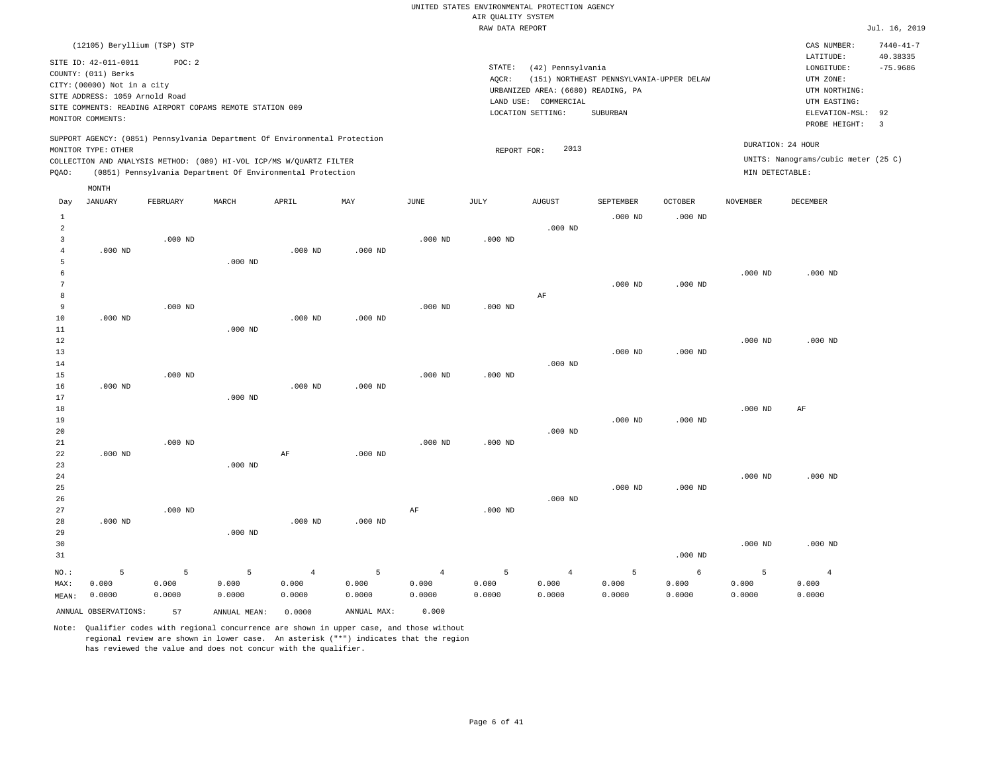|                |                                |           |                                                          |                                                                            |             |                | RAW DATA REPORT |                                    |                                          |                    |                 |                                     | Jul. 16, 2019           |
|----------------|--------------------------------|-----------|----------------------------------------------------------|----------------------------------------------------------------------------|-------------|----------------|-----------------|------------------------------------|------------------------------------------|--------------------|-----------------|-------------------------------------|-------------------------|
|                | (12105) Beryllium (TSP) STP    |           |                                                          |                                                                            |             |                |                 |                                    |                                          |                    |                 | CAS NUMBER:                         | $7440 - 41 - 7$         |
|                |                                | POC: 2    |                                                          |                                                                            |             |                |                 |                                    |                                          |                    |                 | LATITUDE:                           | 40.38335                |
|                | SITE ID: 42-011-0011           |           |                                                          |                                                                            |             |                | STATE:          | (42) Pennsylvania                  |                                          |                    |                 | LONGITUDE:                          | $-75.9686$              |
|                | COUNTY: (011) Berks            |           |                                                          |                                                                            |             |                | AOCR:           |                                    | (151) NORTHEAST PENNSYLVANIA-UPPER DELAW |                    |                 | UTM ZONE:                           |                         |
|                | CITY: (00000) Not in a city    |           |                                                          |                                                                            |             |                |                 | URBANIZED AREA: (6680) READING, PA |                                          |                    |                 | UTM NORTHING:                       |                         |
|                | SITE ADDRESS: 1059 Arnold Road |           |                                                          |                                                                            |             |                |                 | LAND USE: COMMERCIAL               |                                          |                    |                 | UTM EASTING:                        |                         |
|                |                                |           | SITE COMMENTS: READING AIRPORT COPAMS REMOTE STATION 009 |                                                                            |             |                |                 | LOCATION SETTING:                  | SUBURBAN                                 |                    |                 | ELEVATION-MSL:                      | 92                      |
|                | MONITOR COMMENTS:              |           |                                                          |                                                                            |             |                |                 |                                    |                                          |                    |                 | PROBE HEIGHT:                       | $\overline{\mathbf{3}}$ |
|                |                                |           |                                                          | SUPPORT AGENCY: (0851) Pennsylvania Department Of Environmental Protection |             |                |                 |                                    |                                          |                    |                 | DURATION: 24 HOUR                   |                         |
|                | MONITOR TYPE: OTHER            |           |                                                          |                                                                            |             |                | REPORT FOR:     | 2013                               |                                          |                    |                 |                                     |                         |
|                |                                |           |                                                          | COLLECTION AND ANALYSIS METHOD: (089) HI-VOL ICP/MS W/QUARTZ FILTER        |             |                |                 |                                    |                                          |                    |                 | UNITS: Nanograms/cubic meter (25 C) |                         |
| PQAO:          |                                |           |                                                          | (0851) Pennsylvania Department Of Environmental Protection                 |             |                |                 |                                    |                                          |                    | MIN DETECTABLE: |                                     |                         |
|                | MONTH                          |           |                                                          |                                                                            |             |                |                 |                                    |                                          |                    |                 |                                     |                         |
| Day            | JANUARY                        | FEBRUARY  | MARCH                                                    | APRIL                                                                      | MAY         | JUNE           | JULY            | <b>AUGUST</b>                      | SEPTEMBER                                | <b>OCTOBER</b>     | <b>NOVEMBER</b> | DECEMBER                            |                         |
| 1              |                                |           |                                                          |                                                                            |             |                |                 |                                    | .000 <sub>ND</sub>                       | .000 <sub>ND</sub> |                 |                                     |                         |
| $\overline{a}$ |                                |           |                                                          |                                                                            |             |                |                 | $.000$ ND                          |                                          |                    |                 |                                     |                         |
| $\overline{3}$ |                                | $.000$ ND |                                                          |                                                                            |             | $.000$ ND      | $.000$ ND       |                                    |                                          |                    |                 |                                     |                         |
| $\overline{4}$ | $.000$ ND                      |           |                                                          | $.000$ ND                                                                  | $.000$ ND   |                |                 |                                    |                                          |                    |                 |                                     |                         |
| 5              |                                |           | $.000$ ND                                                |                                                                            |             |                |                 |                                    |                                          |                    |                 |                                     |                         |
| 6              |                                |           |                                                          |                                                                            |             |                |                 |                                    |                                          |                    | $.000$ ND       | $.000$ ND                           |                         |
| 7              |                                |           |                                                          |                                                                            |             |                |                 |                                    | $.000$ ND                                | $.000$ ND          |                 |                                     |                         |
| 8              |                                |           |                                                          |                                                                            |             |                |                 | $\rm AF$                           |                                          |                    |                 |                                     |                         |
| 9              |                                | $.000$ ND |                                                          |                                                                            |             | $.000$ ND      | $.000$ ND       |                                    |                                          |                    |                 |                                     |                         |
| 10             | $.000$ ND                      |           |                                                          | $.000$ ND                                                                  | $.000$ ND   |                |                 |                                    |                                          |                    |                 |                                     |                         |
| 11             |                                |           | $.000$ ND                                                |                                                                            |             |                |                 |                                    |                                          |                    |                 |                                     |                         |
| 12             |                                |           |                                                          |                                                                            |             |                |                 |                                    |                                          |                    | $.000$ ND       | $.000$ ND                           |                         |
| 13             |                                |           |                                                          |                                                                            |             |                |                 |                                    | $.000$ ND                                | $.000$ ND          |                 |                                     |                         |
| 14             |                                |           |                                                          |                                                                            |             |                |                 | $.000$ ND                          |                                          |                    |                 |                                     |                         |
| 15             |                                | $.000$ ND |                                                          |                                                                            |             | $.000$ ND      | $.000$ ND       |                                    |                                          |                    |                 |                                     |                         |
| 16             | $.000$ ND                      |           |                                                          | $.000$ ND                                                                  | $.000$ ND   |                |                 |                                    |                                          |                    |                 |                                     |                         |
| 17             |                                |           | $.000$ ND                                                |                                                                            |             |                |                 |                                    |                                          |                    |                 |                                     |                         |
| 18             |                                |           |                                                          |                                                                            |             |                |                 |                                    |                                          |                    | $.000$ ND       | AF                                  |                         |
| 19             |                                |           |                                                          |                                                                            |             |                |                 |                                    | $.000$ ND                                | $.000$ ND          |                 |                                     |                         |
| 20             |                                | $.000$ ND |                                                          |                                                                            |             | $.000$ ND      | $.000$ ND       | $.000$ ND                          |                                          |                    |                 |                                     |                         |
| 21<br>22       | $.000$ ND                      |           |                                                          | AF                                                                         | $.000$ ND   |                |                 |                                    |                                          |                    |                 |                                     |                         |
| 23             |                                |           | $.000$ ND                                                |                                                                            |             |                |                 |                                    |                                          |                    |                 |                                     |                         |
| 24             |                                |           |                                                          |                                                                            |             |                |                 |                                    |                                          |                    | $.000$ ND       | $.000$ ND                           |                         |
| 25             |                                |           |                                                          |                                                                            |             |                |                 |                                    | $.000$ ND                                | $.000$ ND          |                 |                                     |                         |
| 26             |                                |           |                                                          |                                                                            |             |                |                 | $.000$ ND                          |                                          |                    |                 |                                     |                         |
| 27             |                                | $.000$ ND |                                                          |                                                                            |             | AF             | $.000$ ND       |                                    |                                          |                    |                 |                                     |                         |
| 28             | $.000$ ND                      |           |                                                          | $.000$ ND                                                                  | $.000$ ND   |                |                 |                                    |                                          |                    |                 |                                     |                         |
| 29             |                                |           | $.000$ ND                                                |                                                                            |             |                |                 |                                    |                                          |                    |                 |                                     |                         |
| 30             |                                |           |                                                          |                                                                            |             |                |                 |                                    |                                          |                    | $.000$ ND       | $.000$ ND                           |                         |
| 31             |                                |           |                                                          |                                                                            |             |                |                 |                                    |                                          | $.000$ ND          |                 |                                     |                         |
|                |                                |           |                                                          |                                                                            |             |                |                 |                                    |                                          |                    |                 |                                     |                         |
| NO.:           | 5                              | 5         | 5                                                        | $\overline{4}$                                                             | 5           | $\overline{4}$ | 5               | $\overline{4}$                     | 5                                        | $\epsilon$         | 5               | $\overline{4}$                      |                         |
| MAX:           | 0.000                          | 0.000     | 0.000                                                    | 0.000                                                                      | 0.000       | 0.000          | 0.000           | 0.000                              | 0.000                                    | 0.000              | 0.000           | 0.000                               |                         |
| MEAN:          | 0.0000                         | 0.0000    | 0.0000                                                   | 0.0000                                                                     | 0.0000      | 0.0000         | 0.0000          | 0.0000                             | 0.0000                                   | 0.0000             | 0.0000          | 0.0000                              |                         |
|                | ANNUAL OBSERVATIONS:           | 57        | ANNUAL MEAN:                                             | 0.0000                                                                     | ANNUAL MAX: | 0.000          |                 |                                    |                                          |                    |                 |                                     |                         |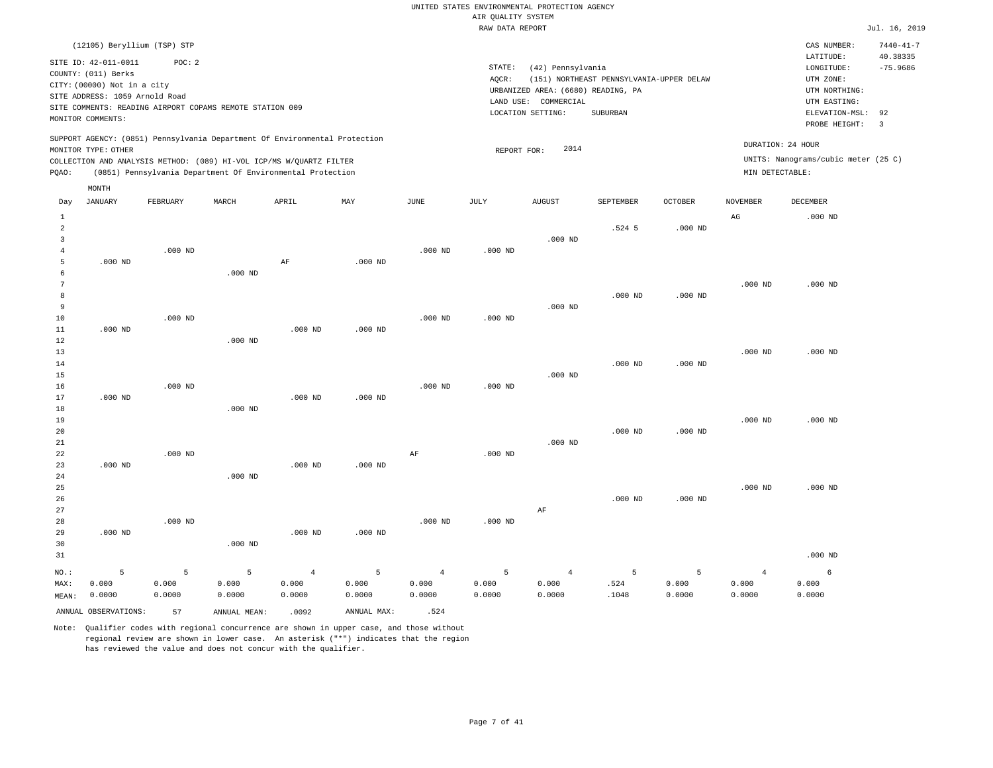|                |                                |           |                                                          |                                                                            |             |                | RAW DATA REPORT |                                    |                                          |                |                 |                                     | Jul. 16, 2019   |
|----------------|--------------------------------|-----------|----------------------------------------------------------|----------------------------------------------------------------------------|-------------|----------------|-----------------|------------------------------------|------------------------------------------|----------------|-----------------|-------------------------------------|-----------------|
|                | (12105) Beryllium (TSP) STP    |           |                                                          |                                                                            |             |                |                 |                                    |                                          |                |                 | CAS NUMBER:                         | $7440 - 41 - 7$ |
|                |                                |           |                                                          |                                                                            |             |                |                 |                                    |                                          |                |                 | LATITUDE:                           | 40.38335        |
|                | SITE ID: 42-011-0011           | POC: 2    |                                                          |                                                                            |             |                | STATE:          | (42) Pennsylvania                  |                                          |                |                 | LONGITUDE:                          | $-75.9686$      |
|                | COUNTY: (011) Berks            |           |                                                          |                                                                            |             |                | AQCR:           |                                    | (151) NORTHEAST PENNSYLVANIA-UPPER DELAW |                |                 | UTM ZONE:                           |                 |
|                | CITY: (00000) Not in a city    |           |                                                          |                                                                            |             |                |                 | URBANIZED AREA: (6680) READING, PA |                                          |                |                 | UTM NORTHING:                       |                 |
|                | SITE ADDRESS: 1059 Arnold Road |           |                                                          |                                                                            |             |                | LAND USE:       | COMMERCIAL                         |                                          |                |                 | UTM EASTING:                        |                 |
|                |                                |           | SITE COMMENTS: READING AIRPORT COPAMS REMOTE STATION 009 |                                                                            |             |                |                 | LOCATION SETTING:                  | SUBURBAN                                 |                |                 | ELEVATION-MSL:                      | 92              |
|                | MONITOR COMMENTS:              |           |                                                          |                                                                            |             |                |                 |                                    |                                          |                |                 | PROBE HEIGHT:                       | $\overline{3}$  |
|                |                                |           |                                                          | SUPPORT AGENCY: (0851) Pennsylvania Department Of Environmental Protection |             |                |                 |                                    |                                          |                |                 | DURATION: 24 HOUR                   |                 |
|                | MONITOR TYPE: OTHER            |           |                                                          |                                                                            |             |                | REPORT FOR:     | 2014                               |                                          |                |                 | UNITS: Nanograms/cubic meter (25 C) |                 |
|                |                                |           |                                                          | COLLECTION AND ANALYSIS METHOD: (089) HI-VOL ICP/MS W/QUARTZ FILTER        |             |                |                 |                                    |                                          |                |                 |                                     |                 |
| PQAO:          |                                |           |                                                          | (0851) Pennsylvania Department Of Environmental Protection                 |             |                |                 |                                    |                                          |                | MIN DETECTABLE: |                                     |                 |
|                | MONTH                          |           |                                                          |                                                                            |             |                |                 |                                    |                                          |                |                 |                                     |                 |
| Day            | JANUARY                        | FEBRUARY  | MARCH                                                    | APRIL                                                                      | MAY         | $_{\rm JUNE}$  | JULY            | <b>AUGUST</b>                      | SEPTEMBER                                | <b>OCTOBER</b> | NOVEMBER        | DECEMBER                            |                 |
| $\mathbf{1}$   |                                |           |                                                          |                                                                            |             |                |                 |                                    |                                          |                | $_{\rm AG}$     | $.000$ ND                           |                 |
| $\overline{a}$ |                                |           |                                                          |                                                                            |             |                |                 |                                    | $.524$ 5                                 | $.000$ ND      |                 |                                     |                 |
| $\overline{3}$ |                                |           |                                                          |                                                                            |             |                |                 | $.000$ ND                          |                                          |                |                 |                                     |                 |
| $\overline{4}$ |                                | $.000$ ND |                                                          |                                                                            |             | $.000$ ND      | $.000$ ND       |                                    |                                          |                |                 |                                     |                 |
| 5              | $.000$ ND                      |           |                                                          | AF                                                                         | $.000$ ND   |                |                 |                                    |                                          |                |                 |                                     |                 |
| 6              |                                |           | $.000$ ND                                                |                                                                            |             |                |                 |                                    |                                          |                |                 |                                     |                 |
| 7              |                                |           |                                                          |                                                                            |             |                |                 |                                    |                                          |                | $.000$ ND       | $.000$ ND                           |                 |
| 8              |                                |           |                                                          |                                                                            |             |                |                 |                                    | $.000$ ND                                | $.000$ ND      |                 |                                     |                 |
| 9              |                                |           |                                                          |                                                                            |             |                |                 | $.000$ ND                          |                                          |                |                 |                                     |                 |
| 10             |                                | $.000$ ND |                                                          |                                                                            |             | $.000$ ND      | $.000$ ND       |                                    |                                          |                |                 |                                     |                 |
| 11             | $.000$ ND                      |           |                                                          | $.000$ ND                                                                  | $.000$ ND   |                |                 |                                    |                                          |                |                 |                                     |                 |
| 12             |                                |           | $.000$ ND                                                |                                                                            |             |                |                 |                                    |                                          |                |                 |                                     |                 |
| 13             |                                |           |                                                          |                                                                            |             |                |                 |                                    |                                          |                | $.000$ ND       | $.000$ ND                           |                 |
| 14             |                                |           |                                                          |                                                                            |             |                |                 |                                    | $.000$ ND                                | $.000$ ND      |                 |                                     |                 |
| 15             |                                |           |                                                          |                                                                            |             |                |                 | $.000$ ND                          |                                          |                |                 |                                     |                 |
| 16             |                                | $.000$ ND |                                                          |                                                                            |             | $.000$ ND      | $.000$ ND       |                                    |                                          |                |                 |                                     |                 |
| 17             | $.000$ ND                      |           |                                                          | $.000$ ND                                                                  | $.000$ ND   |                |                 |                                    |                                          |                |                 |                                     |                 |
| 18             |                                |           | $.000$ ND                                                |                                                                            |             |                |                 |                                    |                                          |                |                 |                                     |                 |
| 19             |                                |           |                                                          |                                                                            |             |                |                 |                                    |                                          |                | $.000$ ND       | $.000$ ND                           |                 |
| 20             |                                |           |                                                          |                                                                            |             |                |                 |                                    | $.000$ ND                                | $.000$ ND      |                 |                                     |                 |
| 21             |                                |           |                                                          |                                                                            |             |                |                 | $.000$ ND                          |                                          |                |                 |                                     |                 |
| 22             |                                | $.000$ ND |                                                          |                                                                            |             | AF             | $.000$ ND       |                                    |                                          |                |                 |                                     |                 |
| 23             | $.000$ ND                      |           |                                                          | $.000$ ND                                                                  | $.000$ ND   |                |                 |                                    |                                          |                |                 |                                     |                 |
| 24             |                                |           | $.000$ ND                                                |                                                                            |             |                |                 |                                    |                                          |                |                 |                                     |                 |
| 25             |                                |           |                                                          |                                                                            |             |                |                 |                                    |                                          |                | $.000$ ND       | $.000$ ND                           |                 |
| 26<br>27       |                                |           |                                                          |                                                                            |             |                |                 |                                    | $.000$ ND                                | $.000$ ND      |                 |                                     |                 |
|                |                                | $.000$ ND |                                                          |                                                                            |             | $.000$ ND      |                 | AF                                 |                                          |                |                 |                                     |                 |
| 28<br>29       | $.000$ ND                      |           |                                                          | $.000$ ND                                                                  | $.000$ ND   |                | $.000$ ND       |                                    |                                          |                |                 |                                     |                 |
|                |                                |           |                                                          |                                                                            |             |                |                 |                                    |                                          |                |                 |                                     |                 |
| 30             |                                |           | $.000$ ND                                                |                                                                            |             |                |                 |                                    |                                          |                |                 | $.000$ ND                           |                 |
| 31             |                                |           |                                                          |                                                                            |             |                |                 |                                    |                                          |                |                 |                                     |                 |
| NO.:           | 5                              | 5         | $\overline{5}$                                           | $\overline{4}$                                                             | 5           | $\overline{4}$ | 5               | $\overline{4}$                     | 5                                        | 5              | $\overline{4}$  | 6                                   |                 |
| MAX:           | 0.000                          | 0.000     | 0.000                                                    | 0.000                                                                      | 0.000       | 0.000          | 0.000           | 0.000                              | .524                                     | 0.000          | 0.000           | 0.000                               |                 |
| MEAN:          | 0.0000                         | 0.0000    | 0.0000                                                   | 0.0000                                                                     | 0.0000      | 0.0000         | 0.0000          | 0.0000                             | .1048                                    | 0.0000         | 0.0000          | 0.0000                              |                 |
|                | ANNUAL OBSERVATIONS:           | 57        | ANNUAL MEAN:                                             | .0092                                                                      | ANNUAL MAX: | .524           |                 |                                    |                                          |                |                 |                                     |                 |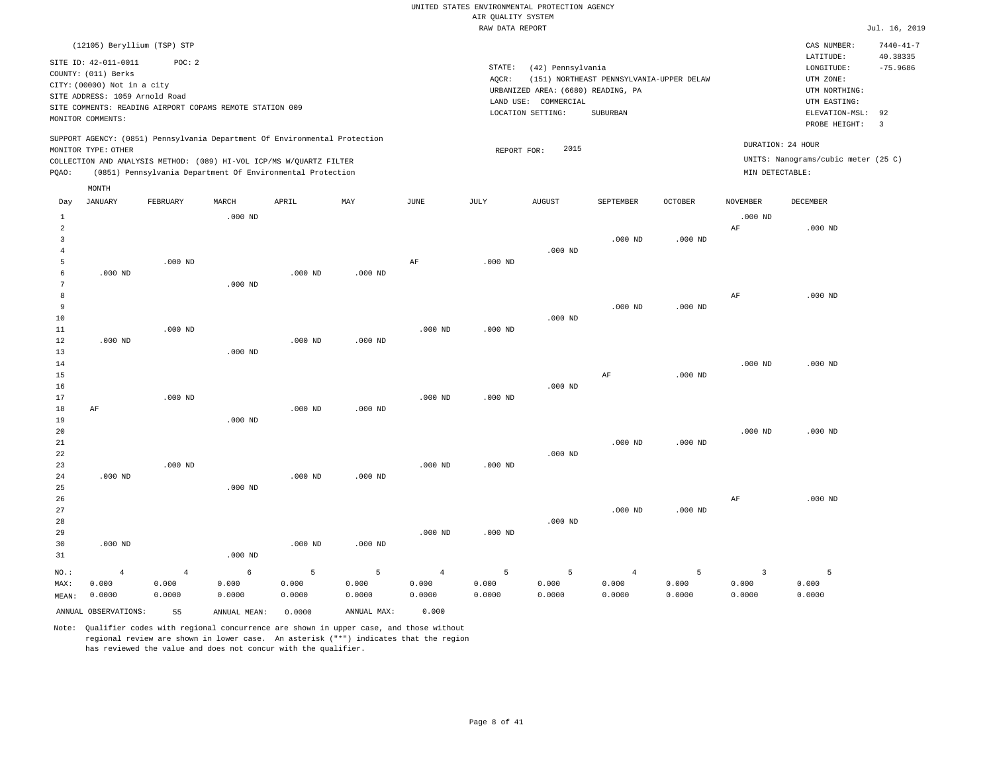|                                                                                                                                                                                                                                                          | RAW DATA REPORT                                                                                                                                                                 | Jul. 16, 2019                                                                                                                                                             |
|----------------------------------------------------------------------------------------------------------------------------------------------------------------------------------------------------------------------------------------------------------|---------------------------------------------------------------------------------------------------------------------------------------------------------------------------------|---------------------------------------------------------------------------------------------------------------------------------------------------------------------------|
| (12105) Beryllium (TSP) STP<br>SITE ID: 42-011-0011<br>POC:2<br>COUNTY: (011) Berks<br>CITY: (00000) Not in a city<br>SITE ADDRESS: 1059 Arnold Road<br>SITE COMMENTS: READING AIRPORT COPAMS REMOTE STATION 009<br>MONITOR COMMENTS:                    | STATE:<br>(42) Pennsylvania<br>(151) NORTHEAST PENNSYLVANIA-UPPER DELAW<br>AOCR:<br>URBANIZED AREA: (6680) READING, PA<br>LAND USE: COMMERCIAL<br>LOCATION SETTING:<br>SUBURBAN | $7440 - 41 - 7$<br>CAS NUMBER:<br>40.38335<br>LATITUDE:<br>$-75.9686$<br>LONGITUDE:<br>UTM ZONE:<br>UTM NORTHING:<br>UTM EASTING:<br>ELEVATION-MSL: 92<br>PROBE HEIGHT: 3 |
| SUPPORT AGENCY: (0851) Pennsylvania Department Of Environmental Protection<br>MONITOR TYPE: OTHER<br>COLLECTION AND ANALYSIS METHOD: (089) HI-VOL ICP/MS W/OUARTZ FILTER<br>(0851) Pennsylvania Department Of Environmental Protection<br>POAO:<br>MONTH | 2015<br>REPORT FOR:<br>MIN DETECTABLE:                                                                                                                                          | DURATION: 24 HOUR<br>UNITS: Nanograms/cubic meter (25 C)                                                                                                                  |

| Day            | JANUARY              | FEBRUARY       | MARCH        | APRIL     | MAY         | JUNE           | JULY      | AUGUST    | SEPTEMBER      | OCTOBER   | NOVEMBER                | DECEMBER       |
|----------------|----------------------|----------------|--------------|-----------|-------------|----------------|-----------|-----------|----------------|-----------|-------------------------|----------------|
| $\mathbf{1}$   |                      |                | $.000$ ND    |           |             |                |           |           |                |           | $.000$ ND               |                |
| $\overline{a}$ |                      |                |              |           |             |                |           |           |                |           | $\rm{AF}$               | $.000$ ND      |
| 3              |                      |                |              |           |             |                |           |           | $.000$ ND      | $.000$ ND |                         |                |
| $\overline{4}$ |                      |                |              |           |             |                |           | $.000$ ND |                |           |                         |                |
| 5              |                      | $.000$ ND      |              |           |             | $\rm{AF}$      | $.000$ ND |           |                |           |                         |                |
| 6              | $.000$ ND            |                |              | $.000$ ND | $.000$ ND   |                |           |           |                |           |                         |                |
| 7              |                      |                | $.000$ ND    |           |             |                |           |           |                |           |                         |                |
| 8              |                      |                |              |           |             |                |           |           |                |           | $\rm{AF}$               | $.000$ ND      |
| 9              |                      |                |              |           |             |                |           |           | $.000$ ND      | $.000$ ND |                         |                |
| $10$           |                      |                |              |           |             |                |           | $.000$ ND |                |           |                         |                |
| 11             |                      | $.000$ ND      |              |           |             | $.000$ ND      | $.000$ ND |           |                |           |                         |                |
| 12             | $.000$ ND            |                |              | $.000$ ND | $.000$ ND   |                |           |           |                |           |                         |                |
| 13             |                      |                | $.000$ ND    |           |             |                |           |           |                |           |                         |                |
| 14             |                      |                |              |           |             |                |           |           |                |           | $.000$ ND               | $.000$ ND      |
| 15             |                      |                |              |           |             |                |           |           | AF             | $.000$ ND |                         |                |
| 16             |                      |                |              |           |             |                |           | $.000$ ND |                |           |                         |                |
| 17             |                      | $.000$ ND      |              |           |             | $.000$ ND      | $.000$ ND |           |                |           |                         |                |
| 18             | AF                   |                |              | $.000$ ND | $.000$ ND   |                |           |           |                |           |                         |                |
| 19             |                      |                | $.000$ ND    |           |             |                |           |           |                |           |                         |                |
| 20             |                      |                |              |           |             |                |           |           |                |           | $.000$ ND               | $.000$ ND      |
| $2\sqrt{1}$    |                      |                |              |           |             |                |           |           | $.000$ ND      | $.000$ ND |                         |                |
| 22             |                      |                |              |           |             |                |           | $.000$ ND |                |           |                         |                |
| 23             |                      | $.000$ ND      |              |           |             | $.000$ ND      | $.000$ ND |           |                |           |                         |                |
| 24             | $.000$ ND            |                |              | $.000$ ND | $.000$ ND   |                |           |           |                |           |                         |                |
| 25             |                      |                | $.000$ ND    |           |             |                |           |           |                |           |                         |                |
| 26             |                      |                |              |           |             |                |           |           |                |           | $\rm{AF}$               | $.000$ ND      |
| 27             |                      |                |              |           |             |                |           |           | $.000$ ND      | $.000$ ND |                         |                |
| 28             |                      |                |              |           |             |                |           | $.000$ ND |                |           |                         |                |
| 29             |                      |                |              |           |             | $.000$ ND      | $.000$ ND |           |                |           |                         |                |
| 30             | $.000$ ND            |                |              | $.000$ ND | $.000$ ND   |                |           |           |                |           |                         |                |
| 31             |                      |                | $.000$ ND    |           |             |                |           |           |                |           |                         |                |
| $NO.$ :        | $\overline{4}$       | $\overline{4}$ | 6            | 5         | 5           | $\overline{4}$ | 5         | 5         | $\overline{4}$ | 5         | $\overline{\mathbf{3}}$ | $\overline{5}$ |
| MAX:           | 0.000                | 0.000          | 0.000        | 0.000     | 0.000       | 0.000          | 0.000     | 0.000     | 0.000          | 0.000     | 0.000                   | 0.000          |
| MEAN:          | 0.0000               | 0.0000         | 0.0000       | 0.0000    | 0.0000      | 0.0000         | 0.0000    | 0.0000    | 0.0000         | 0.0000    | 0.0000                  | 0.0000         |
|                | ANNUAL OBSERVATIONS: | 55             | ANNUAL MEAN: | 0.0000    | ANNUAL MAX: | 0.000          |           |           |                |           |                         |                |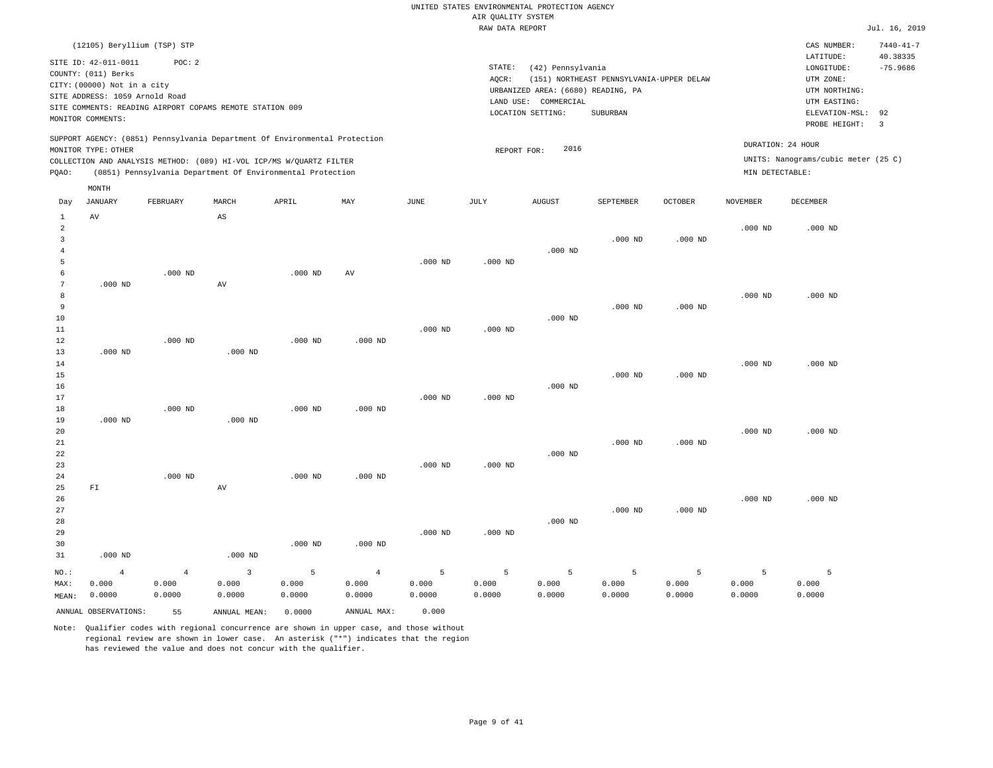|                                  |                                                                                                                                   |                                                                    |           |                                                                            |           |           | RAW DATA REPORT    |                                                                                                      |                                                      |                |                 |                                                                                                          | Jul. 16, 2019                                           |
|----------------------------------|-----------------------------------------------------------------------------------------------------------------------------------|--------------------------------------------------------------------|-----------|----------------------------------------------------------------------------|-----------|-----------|--------------------|------------------------------------------------------------------------------------------------------|------------------------------------------------------|----------------|-----------------|----------------------------------------------------------------------------------------------------------|---------------------------------------------------------|
|                                  |                                                                                                                                   | (12105) Beryllium (TSP) STP                                        |           |                                                                            |           |           |                    |                                                                                                      |                                                      |                |                 | CAS NUMBER:                                                                                              | $7440 - 41 - 7$                                         |
|                                  | SITE ID: 42-011-0011<br>COUNTY: (011) Berks<br>CITY: (00000) Not in a city<br>SITE ADDRESS: 1059 Arnold Road<br>MONITOR COMMENTS: | POC: 2<br>SITE COMMENTS: READING AIRPORT COPAMS REMOTE STATION 009 |           |                                                                            |           |           | STATE:<br>AQCR:    | (42) Pennsylvania<br>URBANIZED AREA: (6680) READING, PA<br>LAND USE: COMMERCIAL<br>LOCATION SETTING: | (151) NORTHEAST PENNSYLVANIA-UPPER DELAW<br>SUBURBAN |                |                 | LATITUDE:<br>LONGITUDE:<br>UTM ZONE:<br>UTM NORTHING:<br>UTM EASTING:<br>ELEVATION-MSL:<br>PROBE HEIGHT: | 40.38335<br>$-75.9686$<br>92<br>$\overline{\mathbf{3}}$ |
|                                  | MONITOR TYPE: OTHER                                                                                                               |                                                                    |           | SUPPORT AGENCY: (0851) Pennsylvania Department Of Environmental Protection |           |           |                    | 2016                                                                                                 |                                                      |                |                 | DURATION: 24 HOUR                                                                                        |                                                         |
|                                  |                                                                                                                                   |                                                                    |           | COLLECTION AND ANALYSIS METHOD: (089) HI-VOL ICP/MS W/QUARTZ FILTER        |           |           | REPORT FOR:        |                                                                                                      |                                                      |                |                 | UNITS: Nanograms/cubic meter (25 C)                                                                      |                                                         |
| PQAO:                            |                                                                                                                                   |                                                                    |           | (0851) Pennsylvania Department Of Environmental Protection                 |           |           |                    |                                                                                                      |                                                      |                | MIN DETECTABLE: |                                                                                                          |                                                         |
| Day                              | MONTH<br><b>JANUARY</b>                                                                                                           | FEBRUARY                                                           | MARCH     | APRIL                                                                      | MAY       | JUNE      | JULY               | <b>AUGUST</b>                                                                                        | SEPTEMBER                                            | <b>OCTOBER</b> | <b>NOVEMBER</b> | DECEMBER                                                                                                 |                                                         |
| 1                                | AV                                                                                                                                |                                                                    | AS        |                                                                            |           |           |                    |                                                                                                      |                                                      |                |                 |                                                                                                          |                                                         |
| $\overline{a}$<br>$\overline{3}$ |                                                                                                                                   |                                                                    |           |                                                                            |           |           |                    |                                                                                                      | $.000$ ND                                            | $.000$ ND      | $.000$ ND       | $.000$ ND                                                                                                |                                                         |
| $\overline{4}$                   |                                                                                                                                   |                                                                    |           |                                                                            |           |           |                    | $.000$ ND                                                                                            |                                                      |                |                 |                                                                                                          |                                                         |
| 5                                |                                                                                                                                   |                                                                    |           |                                                                            |           | $.000$ ND | $.000$ ND          |                                                                                                      |                                                      |                |                 |                                                                                                          |                                                         |
| 6<br>7                           | $.000$ ND                                                                                                                         | $.000$ ND                                                          | AV        | $.000$ ND                                                                  | AV        |           |                    |                                                                                                      |                                                      |                |                 |                                                                                                          |                                                         |
| 8                                |                                                                                                                                   |                                                                    |           |                                                                            |           |           |                    |                                                                                                      |                                                      |                | $.000$ ND       | $.000$ ND                                                                                                |                                                         |
| 9<br>10                          |                                                                                                                                   |                                                                    |           |                                                                            |           |           |                    | $.000$ ND                                                                                            | $.000$ ND                                            | $.000$ ND      |                 |                                                                                                          |                                                         |
| $11\,$                           |                                                                                                                                   |                                                                    |           |                                                                            |           | $.000$ ND | $.000$ ND          |                                                                                                      |                                                      |                |                 |                                                                                                          |                                                         |
| 12                               |                                                                                                                                   | $.000$ ND                                                          |           | $.000$ ND                                                                  | $.000$ ND |           |                    |                                                                                                      |                                                      |                |                 |                                                                                                          |                                                         |
| 13<br>14                         | $.000$ ND                                                                                                                         |                                                                    | $.000$ ND |                                                                            |           |           |                    |                                                                                                      |                                                      |                | $.000$ ND       | $.000$ ND                                                                                                |                                                         |
| 15                               |                                                                                                                                   |                                                                    |           |                                                                            |           |           |                    |                                                                                                      | $.000$ ND                                            | $.000$ ND      |                 |                                                                                                          |                                                         |
| 16<br>17                         |                                                                                                                                   |                                                                    |           |                                                                            |           | $.000$ ND | $.000$ ND          | $.000$ ND                                                                                            |                                                      |                |                 |                                                                                                          |                                                         |
| 18                               |                                                                                                                                   | $.000$ ND                                                          |           | $.000$ ND                                                                  | $.000$ ND |           |                    |                                                                                                      |                                                      |                |                 |                                                                                                          |                                                         |
| 19<br>20                         | $.000$ ND                                                                                                                         |                                                                    | $.000$ ND |                                                                            |           |           |                    |                                                                                                      |                                                      |                | $.000$ ND       | $.000$ ND                                                                                                |                                                         |
| 21                               |                                                                                                                                   |                                                                    |           |                                                                            |           |           |                    |                                                                                                      | $.000$ ND                                            | $.000$ ND      |                 |                                                                                                          |                                                         |
| 22                               |                                                                                                                                   |                                                                    |           |                                                                            |           |           |                    | $.000$ ND                                                                                            |                                                      |                |                 |                                                                                                          |                                                         |
| 23<br>24                         |                                                                                                                                   | $.000$ ND                                                          |           | $.000$ ND                                                                  | $.000$ ND | $.000$ ND | $.000$ ND          |                                                                                                      |                                                      |                |                 |                                                                                                          |                                                         |
| 25                               | ${\rm F\,I}$                                                                                                                      |                                                                    | AV        |                                                                            |           |           |                    |                                                                                                      |                                                      |                |                 |                                                                                                          |                                                         |
| 26<br>27                         |                                                                                                                                   |                                                                    |           |                                                                            |           |           |                    |                                                                                                      | $.000$ ND                                            | $.000$ ND      | $.000$ ND       | $.000$ ND                                                                                                |                                                         |
| 28                               |                                                                                                                                   |                                                                    |           |                                                                            |           |           |                    | $.000$ ND                                                                                            |                                                      |                |                 |                                                                                                          |                                                         |
| 29                               |                                                                                                                                   |                                                                    |           |                                                                            |           | $.000$ ND | .000 <sub>ND</sub> |                                                                                                      |                                                      |                |                 |                                                                                                          |                                                         |
| 30<br>31                         | $.000$ ND                                                                                                                         |                                                                    | $.000$ ND | $.000$ ND                                                                  | $.000$ ND |           |                    |                                                                                                      |                                                      |                |                 |                                                                                                          |                                                         |
|                                  |                                                                                                                                   |                                                                    |           |                                                                            |           |           |                    |                                                                                                      |                                                      |                |                 |                                                                                                          |                                                         |

NO.: MAX: MEAN: 0.0000 4 0.000 4 0.000 0.0000 3 0.000 0.0000 5 0.000 0.0000 4 0.000 0.0000 5 0.000 0.0000 5 0.000 0.0000 5 0.000 0.0000 5 0.000 0.0000 5 0.000 0.0000 5 0.000 0.0000 5 0.000 0.0000 ANNUAL OBSERVATIONS: 55 ANNUAL MEAN: 0.0000 ANNUAL MAX: 0.000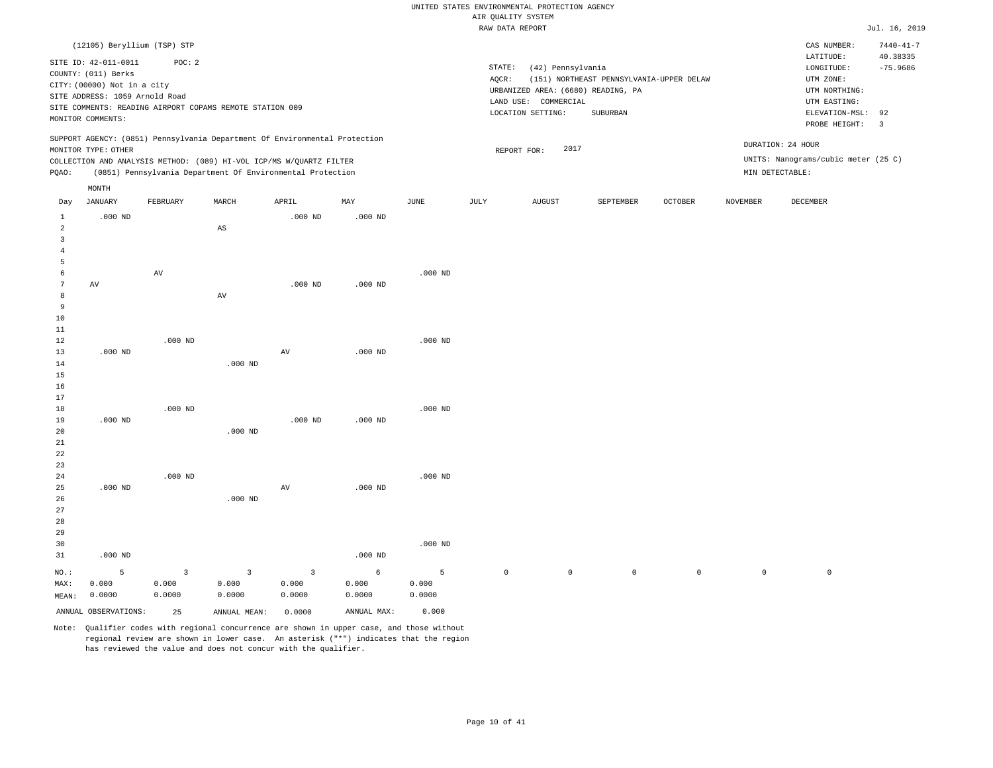|                   |                                             |                         |                                                                                                                                   |                 |             |           | RAW DATA REPORT     |                                    |                                          |             |                     |                                     | Jul. 16, 2019   |
|-------------------|---------------------------------------------|-------------------------|-----------------------------------------------------------------------------------------------------------------------------------|-----------------|-------------|-----------|---------------------|------------------------------------|------------------------------------------|-------------|---------------------|-------------------------------------|-----------------|
|                   | (12105) Beryllium (TSP) STP                 |                         |                                                                                                                                   |                 |             |           |                     |                                    |                                          |             |                     | CAS NUMBER:                         | $7440 - 41 - 7$ |
|                   |                                             |                         |                                                                                                                                   |                 |             |           |                     |                                    |                                          |             |                     | LATITUDE:                           | 40.38335        |
|                   | SITE ID: 42-011-0011<br>COUNTY: (011) Berks | POC: 2                  |                                                                                                                                   |                 |             |           | STATE:              | (42) Pennsylvania                  |                                          |             |                     | LONGITUDE:                          | $-75.9686$      |
|                   | CITY: (00000) Not in a city                 |                         |                                                                                                                                   |                 |             |           | AOCR:               |                                    | (151) NORTHEAST PENNSYLVANIA-UPPER DELAW |             |                     | UTM ZONE:                           |                 |
|                   | SITE ADDRESS: 1059 Arnold Road              |                         |                                                                                                                                   |                 |             |           |                     | URBANIZED AREA: (6680) READING, PA |                                          |             |                     | UTM NORTHING:                       |                 |
|                   |                                             |                         | SITE COMMENTS: READING AIRPORT COPAMS REMOTE STATION 009                                                                          |                 |             |           |                     | LAND USE: COMMERCIAL               |                                          |             |                     | UTM EASTING:                        |                 |
|                   | MONITOR COMMENTS:                           |                         |                                                                                                                                   |                 |             |           |                     | LOCATION SETTING:                  | SUBURBAN                                 |             |                     | ELEVATION-MSL:                      | 92              |
|                   |                                             |                         |                                                                                                                                   |                 |             |           |                     |                                    |                                          |             |                     | PROBE HEIGHT:                       | $\overline{3}$  |
|                   |                                             |                         | SUPPORT AGENCY: (0851) Pennsylvania Department Of Environmental Protection                                                        |                 |             |           |                     |                                    |                                          |             |                     | DURATION: 24 HOUR                   |                 |
|                   | MONITOR TYPE: OTHER                         |                         |                                                                                                                                   |                 |             |           |                     | 2017<br>REPORT FOR:                |                                          |             |                     | UNITS: Nanograms/cubic meter (25 C) |                 |
|                   |                                             |                         | COLLECTION AND ANALYSIS METHOD: (089) HI-VOL ICP/MS W/QUARTZ FILTER<br>(0851) Pennsylvania Department Of Environmental Protection |                 |             |           |                     |                                    |                                          |             |                     | MIN DETECTABLE:                     |                 |
| PQAO:             |                                             |                         |                                                                                                                                   |                 |             |           |                     |                                    |                                          |             |                     |                                     |                 |
|                   | MONTH                                       |                         |                                                                                                                                   |                 |             |           |                     |                                    |                                          |             |                     |                                     |                 |
| Day               | JANUARY                                     | FEBRUARY                | MARCH                                                                                                                             | APRIL           | MAY         | JUNE      | JULY                | <b>AUGUST</b>                      | SEPTEMBER                                | OCTOBER     | NOVEMBER            | DECEMBER                            |                 |
| $\mathbf{1}$<br>2 | $.000$ ND                                   |                         | $\mathbb{A}\mathbb{S}$                                                                                                            | $.000$ ND       | $.000$ ND   |           |                     |                                    |                                          |             |                     |                                     |                 |
| $\overline{3}$    |                                             |                         |                                                                                                                                   |                 |             |           |                     |                                    |                                          |             |                     |                                     |                 |
| $\overline{4}$    |                                             |                         |                                                                                                                                   |                 |             |           |                     |                                    |                                          |             |                     |                                     |                 |
| 5                 |                                             |                         |                                                                                                                                   |                 |             |           |                     |                                    |                                          |             |                     |                                     |                 |
| 6                 |                                             | AV                      |                                                                                                                                   |                 |             | $.000$ ND |                     |                                    |                                          |             |                     |                                     |                 |
| $7\phantom{.0}$   | $\hbox{AV}$                                 |                         |                                                                                                                                   | $.000$ ND       | $.000$ ND   |           |                     |                                    |                                          |             |                     |                                     |                 |
| 8                 |                                             |                         | AV                                                                                                                                |                 |             |           |                     |                                    |                                          |             |                     |                                     |                 |
| $\overline{9}$    |                                             |                         |                                                                                                                                   |                 |             |           |                     |                                    |                                          |             |                     |                                     |                 |
| 10                |                                             |                         |                                                                                                                                   |                 |             |           |                     |                                    |                                          |             |                     |                                     |                 |
| 11                |                                             |                         |                                                                                                                                   |                 |             |           |                     |                                    |                                          |             |                     |                                     |                 |
| 12                |                                             | $.000$ ND               |                                                                                                                                   |                 |             | $.000$ ND |                     |                                    |                                          |             |                     |                                     |                 |
| 13                | $.000$ ND                                   |                         |                                                                                                                                   | $\,\mathrm{AV}$ | $.000$ ND   |           |                     |                                    |                                          |             |                     |                                     |                 |
| 14                |                                             |                         | $.000$ ND                                                                                                                         |                 |             |           |                     |                                    |                                          |             |                     |                                     |                 |
| 15                |                                             |                         |                                                                                                                                   |                 |             |           |                     |                                    |                                          |             |                     |                                     |                 |
| 16                |                                             |                         |                                                                                                                                   |                 |             |           |                     |                                    |                                          |             |                     |                                     |                 |
| 17<br>18          |                                             | $.000$ ND               |                                                                                                                                   |                 |             | $.000$ ND |                     |                                    |                                          |             |                     |                                     |                 |
| 19                | $.000$ ND                                   |                         |                                                                                                                                   | $.000$ ND       | $.000$ ND   |           |                     |                                    |                                          |             |                     |                                     |                 |
| 20                |                                             |                         | $.000$ ND                                                                                                                         |                 |             |           |                     |                                    |                                          |             |                     |                                     |                 |
| 21                |                                             |                         |                                                                                                                                   |                 |             |           |                     |                                    |                                          |             |                     |                                     |                 |
| 22                |                                             |                         |                                                                                                                                   |                 |             |           |                     |                                    |                                          |             |                     |                                     |                 |
| 23                |                                             |                         |                                                                                                                                   |                 |             |           |                     |                                    |                                          |             |                     |                                     |                 |
| 24                |                                             | $.000$ ND               |                                                                                                                                   |                 |             | $.000$ ND |                     |                                    |                                          |             |                     |                                     |                 |
| 25                | $.000$ ND                                   |                         |                                                                                                                                   | AV              | $.000$ ND   |           |                     |                                    |                                          |             |                     |                                     |                 |
| 26                |                                             |                         | $.000$ ND                                                                                                                         |                 |             |           |                     |                                    |                                          |             |                     |                                     |                 |
| 27                |                                             |                         |                                                                                                                                   |                 |             |           |                     |                                    |                                          |             |                     |                                     |                 |
| 28                |                                             |                         |                                                                                                                                   |                 |             |           |                     |                                    |                                          |             |                     |                                     |                 |
| 29                |                                             |                         |                                                                                                                                   |                 |             |           |                     |                                    |                                          |             |                     |                                     |                 |
| 30                |                                             |                         |                                                                                                                                   |                 |             | $.000$ ND |                     |                                    |                                          |             |                     |                                     |                 |
| 31                | $.000$ ND                                   |                         |                                                                                                                                   |                 | $.000$ ND   |           |                     |                                    |                                          |             |                     |                                     |                 |
| NO.:              | 5                                           | $\overline{\mathbf{3}}$ | 3                                                                                                                                 | $\overline{3}$  | 6           | 5         | $\mathsf{O}\xspace$ | $\mathbb O$                        | $\circ$                                  | $\mathbb O$ | $\mathsf{O}\xspace$ | $\mathbb O$                         |                 |
| MAX:              | 0.000                                       | 0.000                   | 0.000                                                                                                                             | 0.000           | 0.000       | 0.000     |                     |                                    |                                          |             |                     |                                     |                 |
| MEAN:             | 0.0000                                      | 0.0000                  | 0.0000                                                                                                                            | 0.0000          | 0.0000      | 0.0000    |                     |                                    |                                          |             |                     |                                     |                 |
|                   | ANNUAL OBSERVATIONS:                        | 25                      | ANNUAL MEAN:                                                                                                                      | 0.0000          | ANNUAL MAX: | 0.000     |                     |                                    |                                          |             |                     |                                     |                 |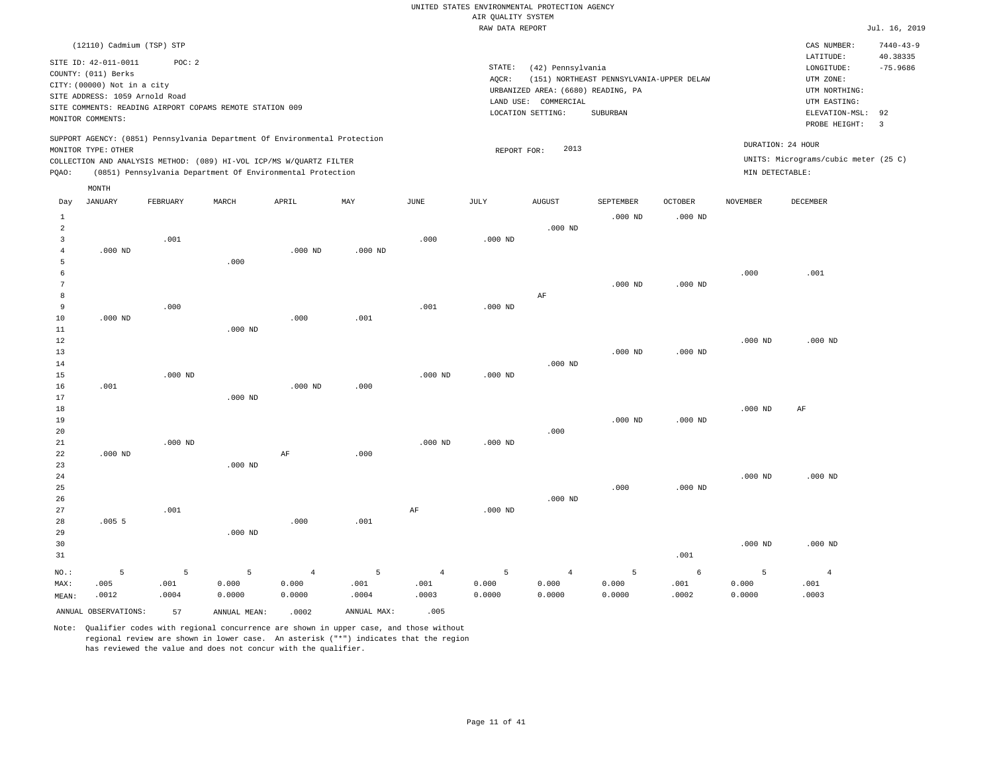|                |                                |           |                                                                            |                |             |                | RAW DATA REPORT |                                    |                                          |                |                 |                                      | Jul. 16, 2019   |
|----------------|--------------------------------|-----------|----------------------------------------------------------------------------|----------------|-------------|----------------|-----------------|------------------------------------|------------------------------------------|----------------|-----------------|--------------------------------------|-----------------|
|                | (12110) Cadmium (TSP) STP      |           |                                                                            |                |             |                |                 |                                    |                                          |                |                 | CAS NUMBER:                          | $7440 - 43 - 9$ |
|                |                                |           |                                                                            |                |             |                |                 |                                    |                                          |                |                 | LATITUDE:                            | 40.38335        |
|                | SITE ID: 42-011-0011           | POC: 2    |                                                                            |                |             |                | STATE:          | (42) Pennsylvania                  |                                          |                |                 | LONGITUDE:                           | $-75.9686$      |
|                | COUNTY: (011) Berks            |           |                                                                            |                |             |                | AQCR:           |                                    | (151) NORTHEAST PENNSYLVANIA-UPPER DELAW |                |                 | UTM ZONE:                            |                 |
|                | CITY: (00000) Not in a city    |           |                                                                            |                |             |                |                 | URBANIZED AREA: (6680) READING, PA |                                          |                |                 | UTM NORTHING:                        |                 |
|                | SITE ADDRESS: 1059 Arnold Road |           |                                                                            |                |             |                | LAND USE:       | COMMERCIAL                         |                                          |                |                 | UTM EASTING:                         |                 |
|                |                                |           | SITE COMMENTS: READING AIRPORT COPAMS REMOTE STATION 009                   |                |             |                |                 | LOCATION SETTING:                  | SUBURBAN                                 |                |                 | ELEVATION-MSL:                       | 92              |
|                | MONITOR COMMENTS:              |           |                                                                            |                |             |                |                 |                                    |                                          |                |                 | PROBE HEIGHT:                        | $\overline{3}$  |
|                |                                |           | SUPPORT AGENCY: (0851) Pennsylvania Department Of Environmental Protection |                |             |                |                 |                                    |                                          |                |                 |                                      |                 |
|                | MONITOR TYPE: OTHER            |           |                                                                            |                |             |                | REPORT FOR:     | 2013                               |                                          |                |                 | DURATION: 24 HOUR                    |                 |
|                |                                |           | COLLECTION AND ANALYSIS METHOD: (089) HI-VOL ICP/MS W/QUARTZ FILTER        |                |             |                |                 |                                    |                                          |                |                 | UNITS: Micrograms/cubic meter (25 C) |                 |
| PQAO:          |                                |           | (0851) Pennsylvania Department Of Environmental Protection                 |                |             |                |                 |                                    |                                          |                | MIN DETECTABLE: |                                      |                 |
|                | MONTH                          |           |                                                                            |                |             |                |                 |                                    |                                          |                |                 |                                      |                 |
| Day            | <b>JANUARY</b>                 | FEBRUARY  | MARCH                                                                      | APRIL          | MAY         | JUNE           | JULY            | <b>AUGUST</b>                      | SEPTEMBER                                | <b>OCTOBER</b> | <b>NOVEMBER</b> | <b>DECEMBER</b>                      |                 |
| $\mathbf{1}$   |                                |           |                                                                            |                |             |                |                 |                                    | $.000$ ND                                | $.000$ ND      |                 |                                      |                 |
| $\overline{a}$ |                                |           |                                                                            |                |             |                |                 | $.000$ ND                          |                                          |                |                 |                                      |                 |
| 3              |                                | .001      |                                                                            |                |             | .000           | $.000$ ND       |                                    |                                          |                |                 |                                      |                 |
| $\overline{4}$ | $.000$ ND                      |           |                                                                            | $.000$ ND      | $.000$ ND   |                |                 |                                    |                                          |                |                 |                                      |                 |
| 5              |                                |           | .000                                                                       |                |             |                |                 |                                    |                                          |                |                 |                                      |                 |
| 6              |                                |           |                                                                            |                |             |                |                 |                                    |                                          |                | .000            | .001                                 |                 |
| $\overline{7}$ |                                |           |                                                                            |                |             |                |                 |                                    | $.000$ ND                                | $.000$ ND      |                 |                                      |                 |
| 8              |                                |           |                                                                            |                |             |                |                 | AF                                 |                                          |                |                 |                                      |                 |
| 9              |                                | .000      |                                                                            |                |             | .001           | $.000$ ND       |                                    |                                          |                |                 |                                      |                 |
| 10             | $.000$ ND                      |           |                                                                            | .000           | .001        |                |                 |                                    |                                          |                |                 |                                      |                 |
| 11             |                                |           | $.000$ ND                                                                  |                |             |                |                 |                                    |                                          |                |                 |                                      |                 |
| 12             |                                |           |                                                                            |                |             |                |                 |                                    |                                          |                | $.000$ ND       | $.000$ ND                            |                 |
| 13             |                                |           |                                                                            |                |             |                |                 |                                    | $.000$ ND                                | $.000$ ND      |                 |                                      |                 |
| 14             |                                |           |                                                                            |                |             |                |                 | $.000$ ND                          |                                          |                |                 |                                      |                 |
| 15             |                                | $.000$ ND |                                                                            |                |             | $.000$ ND      | $.000$ ND       |                                    |                                          |                |                 |                                      |                 |
| 16             | .001                           |           |                                                                            | $.000$ ND      | .000        |                |                 |                                    |                                          |                |                 |                                      |                 |
| 17             |                                |           | $.000$ ND                                                                  |                |             |                |                 |                                    |                                          |                |                 |                                      |                 |
| 18             |                                |           |                                                                            |                |             |                |                 |                                    |                                          |                | $.000$ ND       | $\rm{AF}$                            |                 |
| 19             |                                |           |                                                                            |                |             |                |                 |                                    | $.000$ ND                                | $.000$ ND      |                 |                                      |                 |
| 20             |                                |           |                                                                            |                |             |                |                 | .000                               |                                          |                |                 |                                      |                 |
| 21             |                                | $.000$ ND |                                                                            |                |             | $.000$ ND      | $.000$ ND       |                                    |                                          |                |                 |                                      |                 |
| 22             | $.000$ ND                      |           |                                                                            | AF             | .000        |                |                 |                                    |                                          |                |                 |                                      |                 |
| 23             |                                |           | $.000$ ND                                                                  |                |             |                |                 |                                    |                                          |                |                 |                                      |                 |
| 24             |                                |           |                                                                            |                |             |                |                 |                                    |                                          |                | $.000$ ND       | $.000$ ND                            |                 |
| 25             |                                |           |                                                                            |                |             |                |                 |                                    | .000                                     | $.000$ ND      |                 |                                      |                 |
| 26             |                                |           |                                                                            |                |             |                |                 | $.000$ ND                          |                                          |                |                 |                                      |                 |
| 27             |                                | .001      |                                                                            |                |             | $\rm{AF}$      | $.000$ ND       |                                    |                                          |                |                 |                                      |                 |
| 28             | .0055                          |           |                                                                            | .000           | .001        |                |                 |                                    |                                          |                |                 |                                      |                 |
| 29             |                                |           | $.000$ ND                                                                  |                |             |                |                 |                                    |                                          |                |                 |                                      |                 |
| 30             |                                |           |                                                                            |                |             |                |                 |                                    |                                          |                | $.000$ ND       | $.000$ ND                            |                 |
| 31             |                                |           |                                                                            |                |             |                |                 |                                    |                                          | .001           |                 |                                      |                 |
| NO.:           | 5                              | 5         | 5                                                                          | $\overline{4}$ | 5           | $\overline{4}$ | 5               | $\overline{4}$                     | 5                                        | 6              | 5               | $\overline{4}$                       |                 |
| MAX:           | .005                           | .001      | 0.000                                                                      | 0.000          | .001        | .001           | 0.000           | 0.000                              | 0.000                                    | .001           | 0.000           | .001                                 |                 |
| MEAN:          | .0012                          | .0004     | 0.0000                                                                     | 0.0000         | .0004       | .0003          | 0.0000          | 0.0000                             | 0.0000                                   | .0002          | 0.0000          | .0003                                |                 |
|                |                                |           |                                                                            |                |             |                |                 |                                    |                                          |                |                 |                                      |                 |
|                | ANNUAL OBSERVATIONS:           | 57        | ANNUAL MEAN:                                                               | .0002          | ANNUAL MAX: | .005           |                 |                                    |                                          |                |                 |                                      |                 |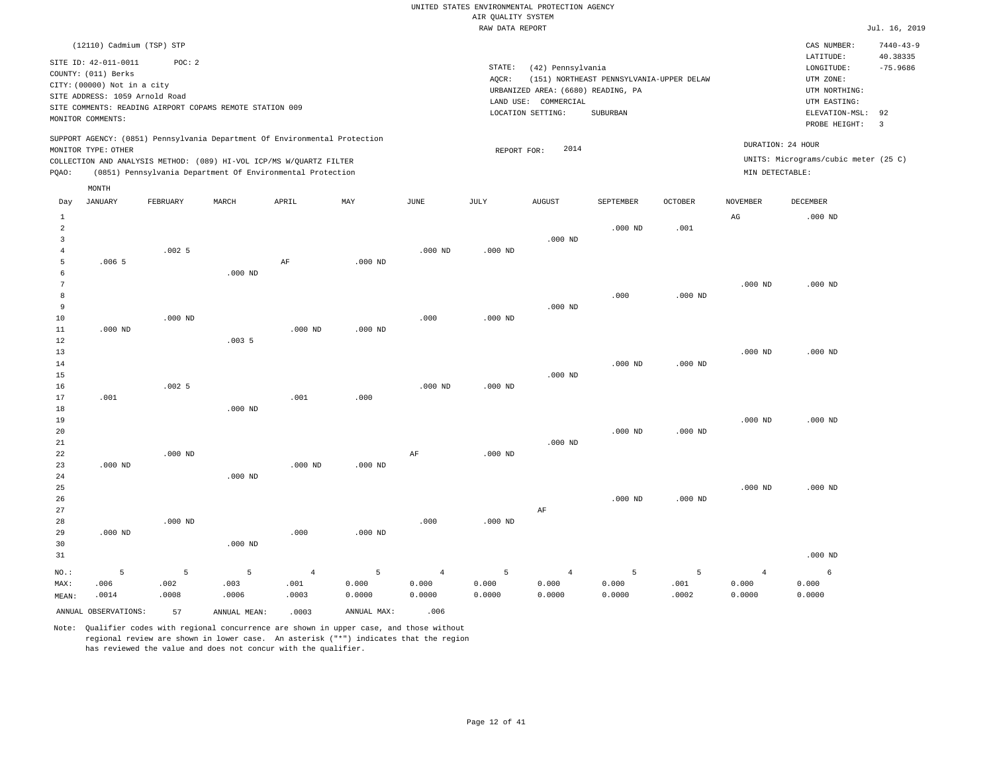|                                             | (12110) Cadmium (TSP) STP<br>SITE ID: 42-011-0011<br>COUNTY: (011) Berks<br>CITY: (00000) Not in a city<br>SITE ADDRESS: 1059 Arnold Road<br>SITE COMMENTS: READING AIRPORT COPAMS REMOTE STATION 009<br>MONITOR COMMENTS: | POC: 2        |               | SUPPORT AGENCY: (0851) Pennsylvania Department Of Environmental Protection |                 |                 | STATE:<br>AOCR: | (42) Pennsylvania<br>URBANIZED AREA: (6680) READING, PA<br>LAND USE: COMMERCIAL<br>LOCATION SETTING: | (151) NORTHEAST PENNSYLVANIA-UPPER DELAW<br>SUBURBAN |                | DURATION: 24 HOUR | CAS NUMBER:<br>LATITUDE:<br>$\texttt{LONGITUDE}$ :<br>UTM ZONE:<br>UTM NORTHING:<br>UTM EASTING:<br>ELEVATION-MSL:<br>PROBE HEIGHT: | $7440 - 43 - 9$<br>40.38335<br>$-75.9686$<br>92<br>$\overline{3}$ |
|---------------------------------------------|----------------------------------------------------------------------------------------------------------------------------------------------------------------------------------------------------------------------------|---------------|---------------|----------------------------------------------------------------------------|-----------------|-----------------|-----------------|------------------------------------------------------------------------------------------------------|------------------------------------------------------|----------------|-------------------|-------------------------------------------------------------------------------------------------------------------------------------|-------------------------------------------------------------------|
|                                             | MONITOR TYPE: OTHER                                                                                                                                                                                                        |               |               | COLLECTION AND ANALYSIS METHOD: (089) HI-VOL ICP/MS W/QUARTZ FILTER        |                 |                 | REPORT FOR:     | 2014                                                                                                 |                                                      |                |                   | UNITS: Micrograms/cubic meter (25 C)                                                                                                |                                                                   |
| PQAO:                                       |                                                                                                                                                                                                                            |               |               | (0851) Pennsylvania Department Of Environmental Protection                 |                 |                 |                 |                                                                                                      |                                                      |                | MIN DETECTABLE:   |                                                                                                                                     |                                                                   |
|                                             | MONTH                                                                                                                                                                                                                      |               |               |                                                                            |                 |                 |                 |                                                                                                      |                                                      |                |                   |                                                                                                                                     |                                                                   |
| Day                                         | <b>JANUARY</b>                                                                                                                                                                                                             | FEBRUARY      | MARCH         | APRIL                                                                      | MAY             | JUNE            | JULY            | <b>AUGUST</b>                                                                                        | <b>SEPTEMBER</b>                                     | <b>OCTOBER</b> | <b>NOVEMBER</b>   | <b>DECEMBER</b>                                                                                                                     |                                                                   |
| 1<br>$\overline{a}$<br>3                    |                                                                                                                                                                                                                            |               |               |                                                                            |                 |                 |                 | $.000$ ND                                                                                            | $.000$ ND                                            | .001           | AG                | $.000$ ND                                                                                                                           |                                                                   |
| $\overline{4}$<br>5<br>6                    | .0065                                                                                                                                                                                                                      | .0025         | $.000$ ND     | AF                                                                         | $.000$ ND       | $.000$ ND       | $.000$ ND       |                                                                                                      |                                                      |                |                   |                                                                                                                                     |                                                                   |
| $\overline{7}$<br>8<br>$\overline{9}$<br>10 |                                                                                                                                                                                                                            | $.000$ ND     |               |                                                                            |                 | .000            | $.000$ ND       | $.000$ ND                                                                                            | .000                                                 | $.000$ ND      | $.000$ ND         | $.000$ ND                                                                                                                           |                                                                   |
| 11<br>12<br>13                              | $.000$ ND                                                                                                                                                                                                                  |               | .0035         | $.000$ ND                                                                  | $.000$ ND       |                 |                 |                                                                                                      |                                                      |                | $.000$ ND         | $.000$ ND                                                                                                                           |                                                                   |
| 14<br>15<br>16                              |                                                                                                                                                                                                                            | .0025         |               |                                                                            |                 | $.000$ ND       | $.000$ ND       | $.000$ ND                                                                                            | $.000$ ND                                            | $.000$ ND      |                   |                                                                                                                                     |                                                                   |
| 17<br>18<br>19<br>20                        | .001                                                                                                                                                                                                                       |               | $.000$ ND     | .001                                                                       | .000.           |                 |                 |                                                                                                      | $.000$ ND                                            | $.000$ ND      | $.000$ ND         | $.000$ ND                                                                                                                           |                                                                   |
| 21<br>22<br>23                              | $.000$ ND                                                                                                                                                                                                                  | $.000$ ND     |               | $.000$ ND                                                                  | $.000$ ND       | AF              | $.000$ ND       | $.000$ ND                                                                                            |                                                      |                |                   |                                                                                                                                     |                                                                   |
| 24<br>25<br>26<br>27                        |                                                                                                                                                                                                                            |               | $.000$ ND     |                                                                            |                 |                 |                 | AF                                                                                                   | $.000$ ND                                            | $.000$ ND      | $.000$ ND         | $.000$ ND                                                                                                                           |                                                                   |
| 28<br>29<br>30<br>31                        | $.000$ ND                                                                                                                                                                                                                  | $.000$ ND     | $.000$ ND     | .000                                                                       | $.000$ ND       | .000            | $.000$ ND       |                                                                                                      |                                                      |                |                   | $.000$ ND                                                                                                                           |                                                                   |
| NO.:                                        | 5                                                                                                                                                                                                                          | 5             | 5             | $\overline{4}$                                                             | $\overline{5}$  | $\overline{4}$  | 5               | $\overline{4}$                                                                                       | 5                                                    | 5              | $\overline{4}$    | 6                                                                                                                                   |                                                                   |
| MAX:<br>MEAN:                               | .006<br>.0014                                                                                                                                                                                                              | .002<br>.0008 | .003<br>.0006 | .001<br>.0003                                                              | 0.000<br>0.0000 | 0.000<br>0.0000 | 0.000<br>0.0000 | 0.000<br>0.0000                                                                                      | 0.000<br>0.0000                                      | .001<br>.0002  | 0.000<br>0.0000   | 0.000<br>0.0000                                                                                                                     |                                                                   |
|                                             | ANNUAL OBSERVATIONS:                                                                                                                                                                                                       | 57            | ANNUAL MEAN:  | .0003                                                                      | ANNUAL MAX:     | .006            |                 |                                                                                                      |                                                      |                |                   |                                                                                                                                     |                                                                   |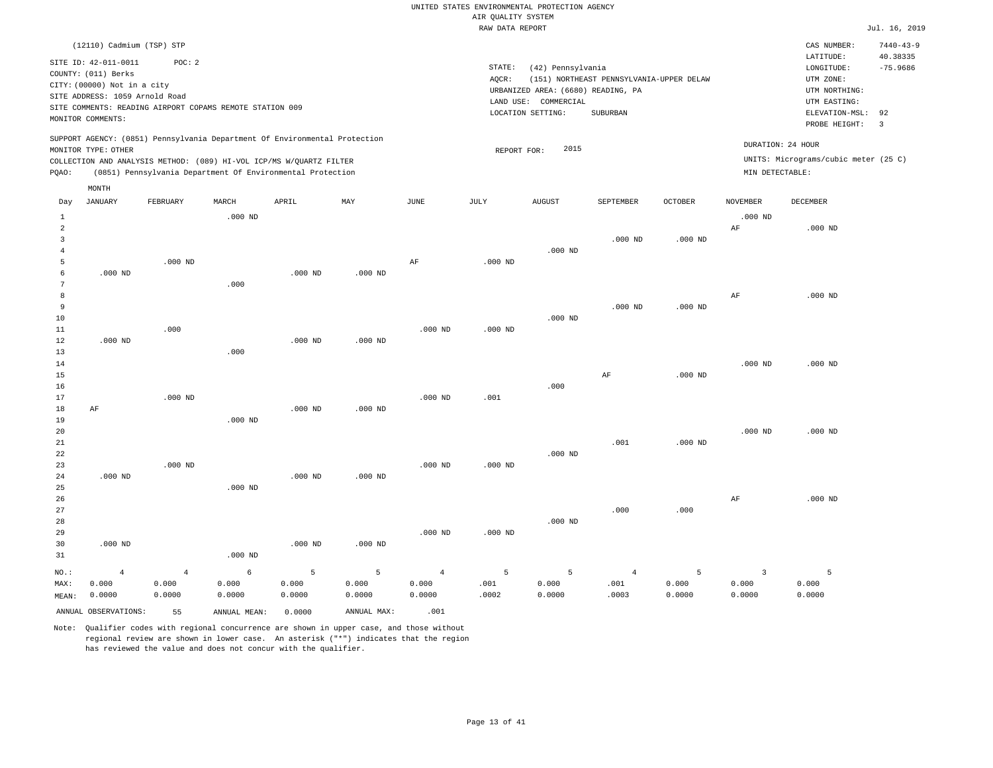|  |  | RAW DATA REPORT |  |
|--|--|-----------------|--|
|--|--|-----------------|--|

|                         |                                |                |                                                                            |           |             |                       | RAW DATA REPORT |                                    |                                          |           |                 |                                      | Jul. 16, 2019   |
|-------------------------|--------------------------------|----------------|----------------------------------------------------------------------------|-----------|-------------|-----------------------|-----------------|------------------------------------|------------------------------------------|-----------|-----------------|--------------------------------------|-----------------|
|                         | (12110) Cadmium (TSP) STP      |                |                                                                            |           |             |                       |                 |                                    |                                          |           |                 | CAS NUMBER:                          | $7440 - 43 - 9$ |
|                         |                                |                |                                                                            |           |             |                       |                 |                                    |                                          |           |                 | LATITUDE:                            | 40.38335        |
|                         | SITE ID: 42-011-0011           | POC: 2         |                                                                            |           |             |                       | STATE:          | (42) Pennsylvania                  |                                          |           |                 | LONGITUDE:                           | $-75.9686$      |
|                         | COUNTY: (011) Berks            |                |                                                                            |           |             |                       | AQCR:           |                                    | (151) NORTHEAST PENNSYLVANIA-UPPER DELAW |           |                 | UTM ZONE:                            |                 |
|                         | CITY: (00000) Not in a city    |                |                                                                            |           |             |                       |                 | URBANIZED AREA: (6680) READING, PA |                                          |           |                 | UTM NORTHING:                        |                 |
|                         | SITE ADDRESS: 1059 Arnold Road |                |                                                                            |           |             |                       | LAND USE:       | COMMERCIAL                         |                                          |           |                 | UTM EASTING:                         |                 |
|                         |                                |                | SITE COMMENTS: READING AIRPORT COPAMS REMOTE STATION 009                   |           |             |                       |                 | LOCATION SETTING:                  | SUBURBAN                                 |           |                 | ELEVATION-MSL:                       | 92              |
|                         | MONITOR COMMENTS:              |                |                                                                            |           |             |                       |                 |                                    |                                          |           |                 | PROBE HEIGHT:                        | $\overline{3}$  |
|                         |                                |                | SUPPORT AGENCY: (0851) Pennsylvania Department Of Environmental Protection |           |             |                       |                 |                                    |                                          |           |                 |                                      |                 |
|                         | MONITOR TYPE: OTHER            |                |                                                                            |           |             |                       | REPORT FOR:     | 2015                               |                                          |           |                 | DURATION: 24 HOUR                    |                 |
|                         |                                |                | COLLECTION AND ANALYSIS METHOD: (089) HI-VOL ICP/MS W/QUARTZ FILTER        |           |             |                       |                 |                                    |                                          |           |                 | UNITS: Micrograms/cubic meter (25 C) |                 |
| PQAO:                   |                                |                | (0851) Pennsylvania Department Of Environmental Protection                 |           |             |                       |                 |                                    |                                          |           | MIN DETECTABLE: |                                      |                 |
|                         | MONTH                          |                |                                                                            |           |             |                       |                 |                                    |                                          |           |                 |                                      |                 |
| Day                     | <b>JANUARY</b>                 | FEBRUARY       | MARCH                                                                      | APRIL     | MAY         | $\operatorname{JUNE}$ | JULY            | <b>AUGUST</b>                      | SEPTEMBER                                | OCTOBER   | NOVEMBER        | DECEMBER                             |                 |
| 1                       |                                |                | $.000$ ND                                                                  |           |             |                       |                 |                                    |                                          |           | $.000$ ND       |                                      |                 |
| $\overline{a}$          |                                |                |                                                                            |           |             |                       |                 |                                    |                                          |           | AF              | $.000$ ND                            |                 |
| $\overline{\mathbf{3}}$ |                                |                |                                                                            |           |             |                       |                 |                                    | $.000$ ND                                | $.000$ ND |                 |                                      |                 |
| $\overline{4}$          |                                |                |                                                                            |           |             |                       |                 | $.000$ ND                          |                                          |           |                 |                                      |                 |
| 5                       |                                | $.000$ ND      |                                                                            |           |             | AF                    | $.000$ ND       |                                    |                                          |           |                 |                                      |                 |
| 6                       | $.000$ ND                      |                |                                                                            | $.000$ ND | $.000$ ND   |                       |                 |                                    |                                          |           |                 |                                      |                 |
| 7                       |                                |                | .000                                                                       |           |             |                       |                 |                                    |                                          |           |                 |                                      |                 |
| 8                       |                                |                |                                                                            |           |             |                       |                 |                                    |                                          |           | AF              | $.000$ ND                            |                 |
| 9                       |                                |                |                                                                            |           |             |                       |                 |                                    | $.000$ ND                                | $.000$ ND |                 |                                      |                 |
| $10$                    |                                |                |                                                                            |           |             |                       |                 | $.000$ ND                          |                                          |           |                 |                                      |                 |
| $11\,$                  |                                | .000           |                                                                            |           |             | $.000$ ND             | $.000$ ND       |                                    |                                          |           |                 |                                      |                 |
| 12                      | $.000$ ND                      |                |                                                                            | $.000$ ND | $.000$ ND   |                       |                 |                                    |                                          |           |                 |                                      |                 |
| 13                      |                                |                | .000                                                                       |           |             |                       |                 |                                    |                                          |           |                 |                                      |                 |
| 14                      |                                |                |                                                                            |           |             |                       |                 |                                    |                                          |           | $.000$ ND       | $.000$ ND                            |                 |
| 15                      |                                |                |                                                                            |           |             |                       |                 |                                    | AF                                       | $.000$ ND |                 |                                      |                 |
| 16                      |                                |                |                                                                            |           |             |                       |                 | .000                               |                                          |           |                 |                                      |                 |
| 17                      |                                | $.000$ ND      |                                                                            |           |             | $.000$ ND             | .001            |                                    |                                          |           |                 |                                      |                 |
| 18                      | AF                             |                |                                                                            | $.000$ ND | $.000$ ND   |                       |                 |                                    |                                          |           |                 |                                      |                 |
| 19                      |                                |                | $.000$ ND                                                                  |           |             |                       |                 |                                    |                                          |           |                 |                                      |                 |
| 20                      |                                |                |                                                                            |           |             |                       |                 |                                    |                                          |           | $.000$ ND       | $.000$ ND                            |                 |
| 21                      |                                |                |                                                                            |           |             |                       |                 |                                    | .001                                     | $.000$ ND |                 |                                      |                 |
| 22                      |                                |                |                                                                            |           |             |                       |                 | $.000$ ND                          |                                          |           |                 |                                      |                 |
| 23                      |                                | $.000$ ND      |                                                                            |           |             | $.000$ ND             | $.000$ ND       |                                    |                                          |           |                 |                                      |                 |
| 24                      | $.000$ ND                      |                |                                                                            | $.000$ ND | $.000$ ND   |                       |                 |                                    |                                          |           |                 |                                      |                 |
| 25                      |                                |                | $.000$ ND                                                                  |           |             |                       |                 |                                    |                                          |           |                 |                                      |                 |
| 26                      |                                |                |                                                                            |           |             |                       |                 |                                    |                                          |           | AF              | $.000$ ND                            |                 |
| 27                      |                                |                |                                                                            |           |             |                       |                 |                                    | .000                                     | .000      |                 |                                      |                 |
| 28                      |                                |                |                                                                            |           |             |                       |                 | $.000$ ND                          |                                          |           |                 |                                      |                 |
| 29                      |                                |                |                                                                            |           |             | $.000$ ND             | $.000$ ND       |                                    |                                          |           |                 |                                      |                 |
| 30                      | $.000$ ND                      |                |                                                                            | $.000$ ND | $.000$ ND   |                       |                 |                                    |                                          |           |                 |                                      |                 |
| 31                      |                                |                | $.000$ ND                                                                  |           |             |                       |                 |                                    |                                          |           |                 |                                      |                 |
|                         |                                |                |                                                                            |           |             |                       |                 |                                    |                                          |           |                 |                                      |                 |
| NO.:                    | $\overline{4}$                 | $\overline{4}$ | 6                                                                          | 5         | 5           | $\overline{4}$        | 5               | 5                                  | $\overline{4}$                           | 5         | $\overline{3}$  | 5                                    |                 |
| MAX:                    | 0.000                          | 0.000          | 0.000                                                                      | 0.000     | 0.000       | 0.000                 | .001            | 0.000                              | .001                                     | 0.000     | 0.000           | 0.000                                |                 |
| MEAN:                   | 0.0000                         | 0.0000         | 0.0000                                                                     | 0.0000    | 0.0000      | 0.0000                | .0002           | 0.0000                             | .0003                                    | 0.0000    | 0.0000          | 0.0000                               |                 |
|                         | ANNUAL OBSERVATIONS:           | 55             | ANNUAL MEAN:                                                               | 0.0000    | ANNUAL MAX: | .001                  |                 |                                    |                                          |           |                 |                                      |                 |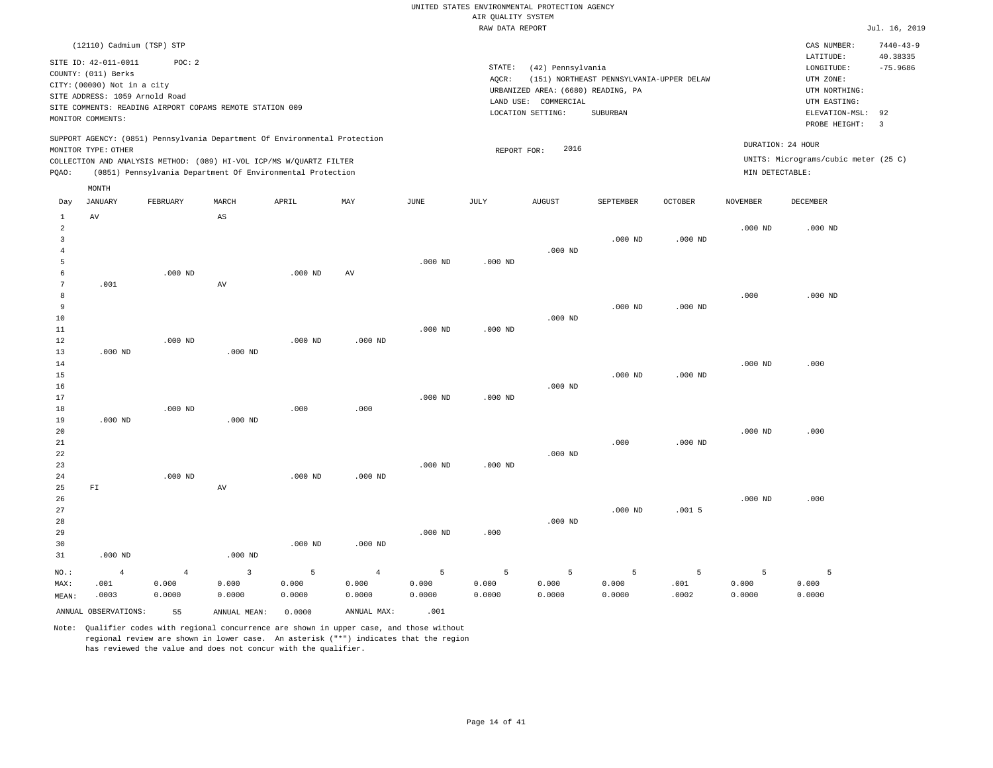|                                                                                                                                                                                                                                                          | RAW DATA REPORT                                                                                                                                                                 | Jul. 16, 2019                                                                                                                                                                 |
|----------------------------------------------------------------------------------------------------------------------------------------------------------------------------------------------------------------------------------------------------------|---------------------------------------------------------------------------------------------------------------------------------------------------------------------------------|-------------------------------------------------------------------------------------------------------------------------------------------------------------------------------|
| (12110) Cadmium (TSP) STP<br>SITE ID: 42-011-0011<br>POC: 2<br>COUNTY: (011) Berks<br>CITY: (00000) Not in a city<br>SITE ADDRESS: 1059 Arnold Road<br>SITE COMMENTS: READING AIRPORT COPAMS REMOTE STATION 009<br>MONITOR COMMENTS:                     | STATE:<br>(42) Pennsylvania<br>(151) NORTHEAST PENNSYLVANIA-UPPER DELAW<br>AOCR:<br>URBANIZED AREA: (6680) READING, PA<br>LAND USE: COMMERCIAL<br>SUBURBAN<br>LOCATION SETTING: | $7440 - 43 - 9$<br>CAS NUMBER:<br>40.38335<br>LATITUDE:<br>$-75.9686$<br>LONGITUDE:<br>UTM ZONE:<br>UTM NORTHING:<br>UTM EASTING:<br>ELEVATION-MSL: 92<br>PROBE HEIGHT:<br>-3 |
| SUPPORT AGENCY: (0851) Pennsylvania Department Of Environmental Protection<br>MONITOR TYPE: OTHER<br>COLLECTION AND ANALYSIS METHOD: (089) HI-VOL ICP/MS W/OUARTZ FILTER<br>(0851) Pennsylvania Department Of Environmental Protection<br>POAO:<br>MONTH | 2016<br>REPORT FOR:                                                                                                                                                             | DURATION: 24 HOUR<br>UNITS: Micrograms/cubic meter (25 C)<br>MIN DETECTABLE:                                                                                                  |

| Day            | JANUARY                  | FEBRUARY       | MARCH                  | APRIL     | $\mathtt{MAX}$ | $_{\rm JUNE}$ | $\mathtt{JULY}$ | <b>AUGUST</b> | SEPTEMBER | OCTOBER   | NOVEMBER  | DECEMBER  |
|----------------|--------------------------|----------------|------------------------|-----------|----------------|---------------|-----------------|---------------|-----------|-----------|-----------|-----------|
| 1              | $\hbox{AV}$              |                | $\mathbb{A}\mathbb{S}$ |           |                |               |                 |               |           |           |           |           |
| $\overline{a}$ |                          |                |                        |           |                |               |                 |               |           |           | $.000$ ND | $.000$ ND |
| 3              |                          |                |                        |           |                |               |                 |               | $.000$ ND | $.000$ ND |           |           |
| 4              |                          |                |                        |           |                |               |                 | $.000$ ND     |           |           |           |           |
| 5              |                          |                |                        |           |                | $.000$ ND     | $.000$ ND       |               |           |           |           |           |
| 6              |                          | $.000$ ND      |                        | $.000$ ND | AV             |               |                 |               |           |           |           |           |
| 7              | .001                     |                | AV                     |           |                |               |                 |               |           |           |           |           |
| 8              |                          |                |                        |           |                |               |                 |               |           |           | .000      | $.000$ ND |
| 9              |                          |                |                        |           |                |               |                 |               | $.000$ ND | $.000$ ND |           |           |
| 10             |                          |                |                        |           |                |               |                 | $.000$ ND     |           |           |           |           |
| 11             |                          |                |                        |           |                | $.000$ ND     | $.000$ ND       |               |           |           |           |           |
| $12\,$         |                          | $.000$ ND      |                        | $.000$ ND | $.000$ ND      |               |                 |               |           |           |           |           |
| 13             | $.000$ ND                |                | $.000$ ND              |           |                |               |                 |               |           |           |           |           |
| 14             |                          |                |                        |           |                |               |                 |               |           |           | $.000$ ND | .000      |
| 15             |                          |                |                        |           |                |               |                 |               | $.000$ ND | $.000$ ND |           |           |
| 16             |                          |                |                        |           |                |               |                 | $.000$ ND     |           |           |           |           |
| 17             |                          |                |                        |           |                | $.000$ ND     | $.000$ ND       |               |           |           |           |           |
| 18<br>19       | $.000$ ND                | $.000$ ND      | $.000$ ND              | .000      | .000           |               |                 |               |           |           |           |           |
| 20             |                          |                |                        |           |                |               |                 |               |           |           | $.000$ ND | .000      |
| 21             |                          |                |                        |           |                |               |                 |               | .000      | $.000$ ND |           |           |
| 22             |                          |                |                        |           |                |               |                 | $.000$ ND     |           |           |           |           |
| 23             |                          |                |                        |           |                | $.000$ ND     | $.000$ ND       |               |           |           |           |           |
| 24             |                          | $.000$ ND      |                        | $.000$ ND | $.000$ ND      |               |                 |               |           |           |           |           |
| 25             | $\mathbb{F} \mathbbm{I}$ |                | AV                     |           |                |               |                 |               |           |           |           |           |
| 26             |                          |                |                        |           |                |               |                 |               |           |           | $.000$ ND | .000      |
| 27             |                          |                |                        |           |                |               |                 |               | $.000$ ND | .0015     |           |           |
| 28             |                          |                |                        |           |                |               |                 | $.000$ ND     |           |           |           |           |
| 29             |                          |                |                        |           |                | $.000$ ND     | .000            |               |           |           |           |           |
| 30             |                          |                |                        | $.000$ ND | $.000$ ND      |               |                 |               |           |           |           |           |
| 31             | $.000$ ND                |                | $.000$ ND              |           |                |               |                 |               |           |           |           |           |
| $NO.$ :        | $\overline{4}$           | $\overline{4}$ | $\overline{3}$         | 5         | $\overline{4}$ | 5             | 5               | 5             | 5         | 5         | 5         | 5         |
| MAX:           | .001                     | 0.000          | 0.000                  | 0.000     | 0.000          | 0.000         | 0.000           | 0.000         | 0.000     | .001      | 0.000     | 0.000     |
| MEAN:          | .0003                    | 0.0000         | 0.0000                 | 0.0000    | 0.0000         | 0.0000        | 0.0000          | 0.0000        | 0.0000    | .0002     | 0.0000    | 0.0000    |
|                | ANNUAL OBSERVATIONS:     | 55             | ANNUAL MEAN:           | 0.0000    | ANNUAL MAX:    | .001          |                 |               |           |           |           |           |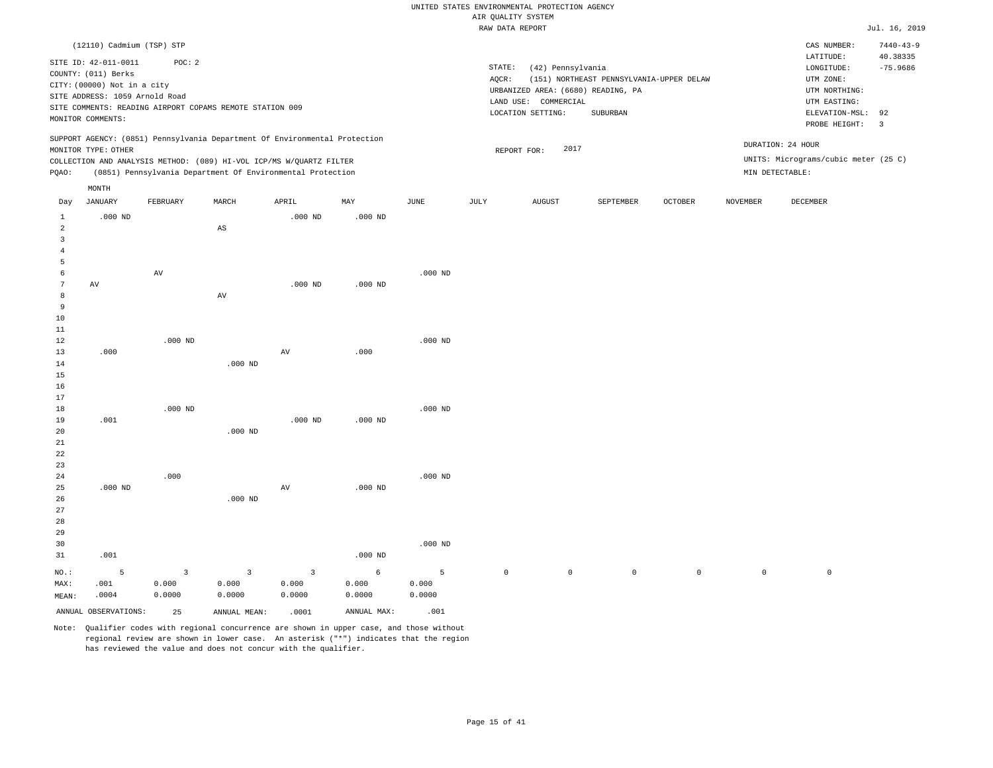|                     |                                |                         |                                                                            |                |             |           | RAW DATA REPORT     |                                    |                                          |                |                 |                                      | Jul. 16, 2019   |
|---------------------|--------------------------------|-------------------------|----------------------------------------------------------------------------|----------------|-------------|-----------|---------------------|------------------------------------|------------------------------------------|----------------|-----------------|--------------------------------------|-----------------|
|                     | (12110) Cadmium (TSP) STP      |                         |                                                                            |                |             |           |                     |                                    |                                          |                |                 | CAS NUMBER:                          | $7440 - 43 - 9$ |
|                     |                                |                         |                                                                            |                |             |           |                     |                                    |                                          |                |                 | LATITUDE:                            | 40.38335        |
|                     | SITE ID: 42-011-0011           | POC: 2                  |                                                                            |                |             |           | STATE:              | (42) Pennsylvania                  |                                          |                |                 | $\texttt{LONGITUDE}$ :               | $-75.9686$      |
|                     | COUNTY: (011) Berks            |                         |                                                                            |                |             |           | AQCR:               |                                    | (151) NORTHEAST PENNSYLVANIA-UPPER DELAW |                |                 | UTM ZONE:                            |                 |
|                     | CITY: (00000) Not in a city    |                         |                                                                            |                |             |           |                     | URBANIZED AREA: (6680) READING, PA |                                          |                |                 | UTM NORTHING:                        |                 |
|                     | SITE ADDRESS: 1059 Arnold Road |                         |                                                                            |                |             |           |                     | LAND USE: COMMERCIAL               |                                          |                |                 | UTM EASTING:                         |                 |
|                     |                                |                         | SITE COMMENTS: READING AIRPORT COPAMS REMOTE STATION 009                   |                |             |           |                     | LOCATION SETTING:                  | SUBURBAN                                 |                |                 | ELEVATION-MSL:                       | 92              |
|                     | MONITOR COMMENTS:              |                         |                                                                            |                |             |           |                     |                                    |                                          |                |                 | PROBE HEIGHT:                        | $\overline{3}$  |
|                     |                                |                         | SUPPORT AGENCY: (0851) Pennsylvania Department Of Environmental Protection |                |             |           |                     |                                    |                                          |                |                 | DURATION: 24 HOUR                    |                 |
|                     | MONITOR TYPE: OTHER            |                         |                                                                            |                |             |           |                     | 2017<br>REPORT FOR:                |                                          |                |                 |                                      |                 |
|                     |                                |                         | COLLECTION AND ANALYSIS METHOD: (089) HI-VOL ICP/MS W/QUARTZ FILTER        |                |             |           |                     |                                    |                                          |                |                 | UNITS: Micrograms/cubic meter (25 C) |                 |
| PQAO:               |                                |                         | (0851) Pennsylvania Department Of Environmental Protection                 |                |             |           |                     |                                    |                                          |                |                 | MIN DETECTABLE:                      |                 |
|                     | MONTH                          |                         |                                                                            |                |             |           |                     |                                    |                                          |                |                 |                                      |                 |
| Day                 | <b>JANUARY</b>                 | FEBRUARY                | MARCH                                                                      | APRIL          | MAY         | JUNE      | <b>JULY</b>         | <b>AUGUST</b>                      | SEPTEMBER                                | <b>OCTOBER</b> | <b>NOVEMBER</b> | DECEMBER                             |                 |
| $\mathbf{1}$        | $.000$ ND                      |                         |                                                                            | $.000$ ND      | $.000$ ND   |           |                     |                                    |                                          |                |                 |                                      |                 |
| $\overline{a}$      |                                |                         | $\mathbb{A}\mathbb{S}$                                                     |                |             |           |                     |                                    |                                          |                |                 |                                      |                 |
| $\overline{3}$      |                                |                         |                                                                            |                |             |           |                     |                                    |                                          |                |                 |                                      |                 |
| $\overline{4}$      |                                |                         |                                                                            |                |             |           |                     |                                    |                                          |                |                 |                                      |                 |
| 5                   |                                |                         |                                                                            |                |             |           |                     |                                    |                                          |                |                 |                                      |                 |
| 6                   |                                | $\operatorname{AV}$     |                                                                            |                |             | $.000$ ND |                     |                                    |                                          |                |                 |                                      |                 |
| $7\phantom{.0}$     | AV                             |                         |                                                                            | $.000$ ND      | $.000$ ND   |           |                     |                                    |                                          |                |                 |                                      |                 |
| 8<br>$\overline{9}$ |                                |                         | AV                                                                         |                |             |           |                     |                                    |                                          |                |                 |                                      |                 |
| 10                  |                                |                         |                                                                            |                |             |           |                     |                                    |                                          |                |                 |                                      |                 |
| 11                  |                                |                         |                                                                            |                |             |           |                     |                                    |                                          |                |                 |                                      |                 |
| 12                  |                                | $.000$ ND               |                                                                            |                |             | $.000$ ND |                     |                                    |                                          |                |                 |                                      |                 |
| 13                  | .000                           |                         |                                                                            | $\hbox{AV}$    | .000        |           |                     |                                    |                                          |                |                 |                                      |                 |
| 14                  |                                |                         | $.000$ ND                                                                  |                |             |           |                     |                                    |                                          |                |                 |                                      |                 |
| 15                  |                                |                         |                                                                            |                |             |           |                     |                                    |                                          |                |                 |                                      |                 |
| 16                  |                                |                         |                                                                            |                |             |           |                     |                                    |                                          |                |                 |                                      |                 |
| 17                  |                                |                         |                                                                            |                |             |           |                     |                                    |                                          |                |                 |                                      |                 |
| 18                  |                                | $.000$ ND               |                                                                            |                |             | $.000$ ND |                     |                                    |                                          |                |                 |                                      |                 |
| 19                  | .001                           |                         |                                                                            | $.000$ ND      | $.000$ ND   |           |                     |                                    |                                          |                |                 |                                      |                 |
| 20                  |                                |                         | $.000$ ND                                                                  |                |             |           |                     |                                    |                                          |                |                 |                                      |                 |
| 21                  |                                |                         |                                                                            |                |             |           |                     |                                    |                                          |                |                 |                                      |                 |
| 22                  |                                |                         |                                                                            |                |             |           |                     |                                    |                                          |                |                 |                                      |                 |
| 23                  |                                |                         |                                                                            |                |             |           |                     |                                    |                                          |                |                 |                                      |                 |
| 24                  |                                | .000                    |                                                                            |                |             | $.000$ ND |                     |                                    |                                          |                |                 |                                      |                 |
| 25                  | $.000$ ND                      |                         |                                                                            | $\hbox{AV}$    | $.000$ ND   |           |                     |                                    |                                          |                |                 |                                      |                 |
| 26                  |                                |                         | $.000$ ND                                                                  |                |             |           |                     |                                    |                                          |                |                 |                                      |                 |
| 27                  |                                |                         |                                                                            |                |             |           |                     |                                    |                                          |                |                 |                                      |                 |
| 28                  |                                |                         |                                                                            |                |             |           |                     |                                    |                                          |                |                 |                                      |                 |
| 29<br>30            |                                |                         |                                                                            |                |             | $.000$ ND |                     |                                    |                                          |                |                 |                                      |                 |
| 31                  | .001                           |                         |                                                                            |                | $.000$ ND   |           |                     |                                    |                                          |                |                 |                                      |                 |
|                     |                                |                         |                                                                            |                |             |           |                     |                                    |                                          |                |                 |                                      |                 |
| NO.:                | 5                              | $\overline{\mathbf{3}}$ | $\overline{3}$                                                             | $\overline{3}$ | 6           | 5         | $\mathsf{O}\xspace$ | $\mathsf{O}\xspace$                | $\,$ 0 $\,$                              | $\mathsf{O}$   | $\mathsf 0$     | $\mathbb O$                          |                 |
| MAX:                | .001                           | 0.000                   | 0.000                                                                      | 0.000          | 0.000       | 0.000     |                     |                                    |                                          |                |                 |                                      |                 |
| MEAN:               | .0004                          | 0.0000                  | 0.0000                                                                     | 0.0000         | 0.0000      | 0.0000    |                     |                                    |                                          |                |                 |                                      |                 |
|                     | ANNUAL OBSERVATIONS:           | 25                      | ANNUAL MEAN:                                                               | .0001          | ANNUAL MAX: | .001      |                     |                                    |                                          |                |                 |                                      |                 |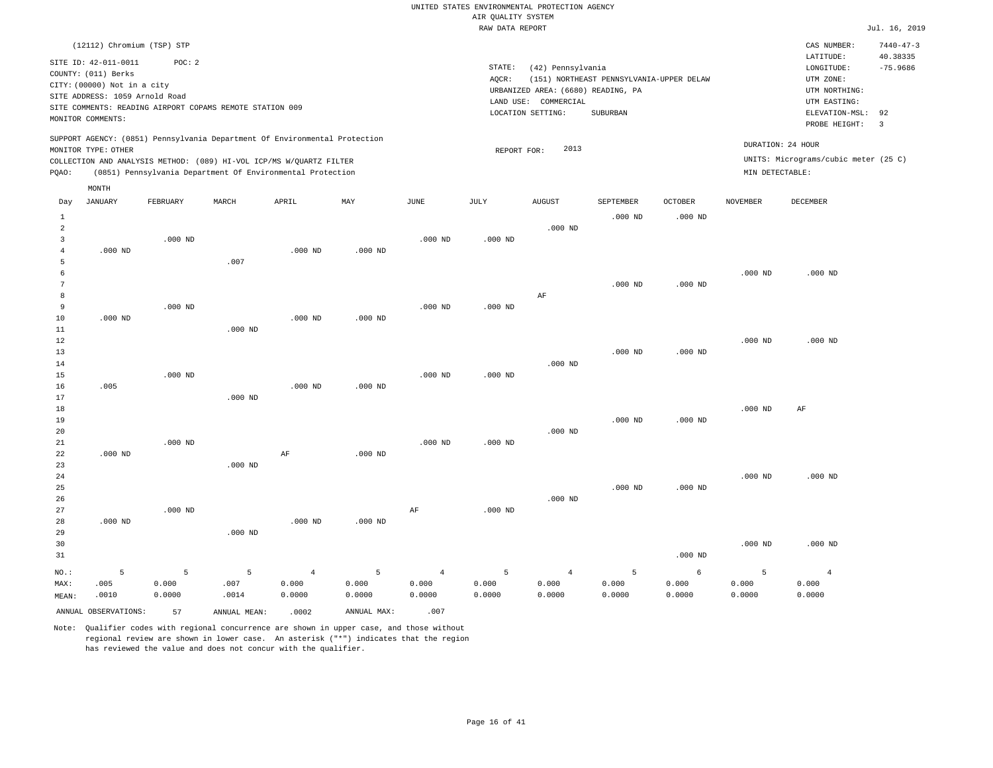|                |                                |           |                                                                            |                |                |                | RAW DATA REPORT |                                    |                                          |                |                 |                                      | Jul. 16, 2019           |
|----------------|--------------------------------|-----------|----------------------------------------------------------------------------|----------------|----------------|----------------|-----------------|------------------------------------|------------------------------------------|----------------|-----------------|--------------------------------------|-------------------------|
|                | (12112) Chromium (TSP) STP     |           |                                                                            |                |                |                |                 |                                    |                                          |                |                 | CAS NUMBER:                          | $7440 - 47 - 3$         |
|                |                                |           |                                                                            |                |                |                |                 |                                    |                                          |                |                 | LATITUDE:                            | 40.38335                |
|                | SITE ID: 42-011-0011           | POC: 2    |                                                                            |                |                |                | STATE:          | (42) Pennsylvania                  |                                          |                |                 | LONGITUDE:                           | $-75.9686$              |
|                | COUNTY: (011) Berks            |           |                                                                            |                |                |                | AOCR:           |                                    | (151) NORTHEAST PENNSYLVANIA-UPPER DELAW |                |                 | UTM ZONE:                            |                         |
|                | CITY: (00000) Not in a city    |           |                                                                            |                |                |                |                 | URBANIZED AREA: (6680) READING, PA |                                          |                |                 | UTM NORTHING:                        |                         |
|                | SITE ADDRESS: 1059 Arnold Road |           |                                                                            |                |                |                |                 | LAND USE: COMMERCIAL               |                                          |                |                 | UTM EASTING:                         |                         |
|                |                                |           | SITE COMMENTS: READING AIRPORT COPAMS REMOTE STATION 009                   |                |                |                |                 | LOCATION SETTING:                  | SUBURBAN                                 |                |                 | ELEVATION-MSL:                       | 92                      |
|                | MONITOR COMMENTS:              |           |                                                                            |                |                |                |                 |                                    |                                          |                |                 | PROBE HEIGHT:                        | $\overline{\mathbf{3}}$ |
|                |                                |           | SUPPORT AGENCY: (0851) Pennsylvania Department Of Environmental Protection |                |                |                |                 |                                    |                                          |                |                 | DURATION: 24 HOUR                    |                         |
|                | MONITOR TYPE: OTHER            |           |                                                                            |                |                |                | REPORT FOR:     | 2013                               |                                          |                |                 |                                      |                         |
|                |                                |           | COLLECTION AND ANALYSIS METHOD: (089) HI-VOL ICP/MS W/QUARTZ FILTER        |                |                |                |                 |                                    |                                          |                |                 | UNITS: Micrograms/cubic meter (25 C) |                         |
| PQAO:          |                                |           | (0851) Pennsylvania Department Of Environmental Protection                 |                |                |                |                 |                                    |                                          |                | MIN DETECTABLE: |                                      |                         |
|                | MONTH                          |           |                                                                            |                |                |                |                 |                                    |                                          |                |                 |                                      |                         |
| Day            | JANUARY                        | FEBRUARY  | MARCH                                                                      | APRIL          | MAY            | JUNE           | JULY            | AUGUST                             | SEPTEMBER                                | <b>OCTOBER</b> | <b>NOVEMBER</b> | DECEMBER                             |                         |
| $\mathbf{1}$   |                                |           |                                                                            |                |                |                |                 |                                    | $.000$ ND                                | $.000$ ND      |                 |                                      |                         |
| $\overline{a}$ |                                |           |                                                                            |                |                |                |                 | $.000$ ND                          |                                          |                |                 |                                      |                         |
| $\overline{3}$ |                                | $.000$ ND |                                                                            |                |                | $.000$ ND      | $.000$ ND       |                                    |                                          |                |                 |                                      |                         |
| 4              | $.000$ ND                      |           |                                                                            | $.000$ ND      | $.000$ ND      |                |                 |                                    |                                          |                |                 |                                      |                         |
| 5              |                                |           | .007                                                                       |                |                |                |                 |                                    |                                          |                |                 |                                      |                         |
| 6              |                                |           |                                                                            |                |                |                |                 |                                    |                                          |                | $.000$ ND       | $.000$ ND                            |                         |
| 7              |                                |           |                                                                            |                |                |                |                 |                                    | $.000$ ND                                | $.000$ ND      |                 |                                      |                         |
| 8              |                                |           |                                                                            |                |                |                |                 | AF                                 |                                          |                |                 |                                      |                         |
| 9              |                                | $.000$ ND |                                                                            |                |                | $.000$ ND      | $.000$ ND       |                                    |                                          |                |                 |                                      |                         |
| 10             | $.000$ ND                      |           |                                                                            | $.000$ ND      | $.000$ ND      |                |                 |                                    |                                          |                |                 |                                      |                         |
| 11             |                                |           | $.000$ ND                                                                  |                |                |                |                 |                                    |                                          |                |                 |                                      |                         |
| 12             |                                |           |                                                                            |                |                |                |                 |                                    |                                          |                | $.000$ ND       | $.000$ ND                            |                         |
| 13             |                                |           |                                                                            |                |                |                |                 |                                    | $.000$ ND                                | $.000$ ND      |                 |                                      |                         |
| 14             |                                |           |                                                                            |                |                |                |                 | $.000$ ND                          |                                          |                |                 |                                      |                         |
| 15             |                                | $.000$ ND |                                                                            |                |                | $.000$ ND      | $.000$ ND       |                                    |                                          |                |                 |                                      |                         |
| 16             | .005                           |           |                                                                            | $.000$ ND      | $.000$ ND      |                |                 |                                    |                                          |                |                 |                                      |                         |
| 17             |                                |           | $.000$ ND                                                                  |                |                |                |                 |                                    |                                          |                |                 |                                      |                         |
| 18             |                                |           |                                                                            |                |                |                |                 |                                    |                                          |                | $.000$ ND       | AF                                   |                         |
| 19             |                                |           |                                                                            |                |                |                |                 |                                    | $.000$ ND                                | $.000$ ND      |                 |                                      |                         |
| 20             |                                |           |                                                                            |                |                |                |                 | $.000$ ND                          |                                          |                |                 |                                      |                         |
| 21<br>22       | $.000$ ND                      | $.000$ ND |                                                                            | AF             | $.000$ ND      | $.000$ ND      | $.000$ ND       |                                    |                                          |                |                 |                                      |                         |
| 23             |                                |           | $.000$ ND                                                                  |                |                |                |                 |                                    |                                          |                |                 |                                      |                         |
| 24             |                                |           |                                                                            |                |                |                |                 |                                    |                                          |                | $.000$ ND       | $.000$ ND                            |                         |
| 25             |                                |           |                                                                            |                |                |                |                 |                                    | $.000$ ND                                | $.000$ ND      |                 |                                      |                         |
| 26             |                                |           |                                                                            |                |                |                |                 | $.000$ ND                          |                                          |                |                 |                                      |                         |
| 27             |                                | $.000$ ND |                                                                            |                |                | AF             | $.000$ ND       |                                    |                                          |                |                 |                                      |                         |
| 28             | $.000$ ND                      |           |                                                                            | $.000$ ND      | $.000$ ND      |                |                 |                                    |                                          |                |                 |                                      |                         |
| 29             |                                |           | $.000$ ND                                                                  |                |                |                |                 |                                    |                                          |                |                 |                                      |                         |
| 30             |                                |           |                                                                            |                |                |                |                 |                                    |                                          |                | $.000$ ND       | $.000$ ND                            |                         |
| 31             |                                |           |                                                                            |                |                |                |                 |                                    |                                          | $.000$ ND      |                 |                                      |                         |
|                |                                |           |                                                                            |                |                |                |                 |                                    |                                          |                |                 |                                      |                         |
| NO.:           | 5                              | 5         | $\overline{5}$                                                             | $\overline{4}$ | $\overline{5}$ | $\overline{4}$ | 5               | $\sqrt{4}$                         | 5                                        | 6              | 5               | $\,4\,$                              |                         |
| MAX:           | .005                           | 0.000     | .007                                                                       | 0.000          | 0.000          | 0.000          | 0.000           | 0.000                              | 0.000                                    | 0.000          | 0.000           | 0.000                                |                         |
| MEAN:          | .0010                          | 0.0000    | .0014                                                                      | 0.0000         | 0.0000         | 0.0000         | 0.0000          | 0.0000                             | 0.0000                                   | 0.0000         | 0.0000          | 0.0000                               |                         |
|                | ANNUAL OBSERVATIONS:           | 57        | ANNUAL MEAN:                                                               | .0002          | ANNUAL MAX:    | .007           |                 |                                    |                                          |                |                 |                                      |                         |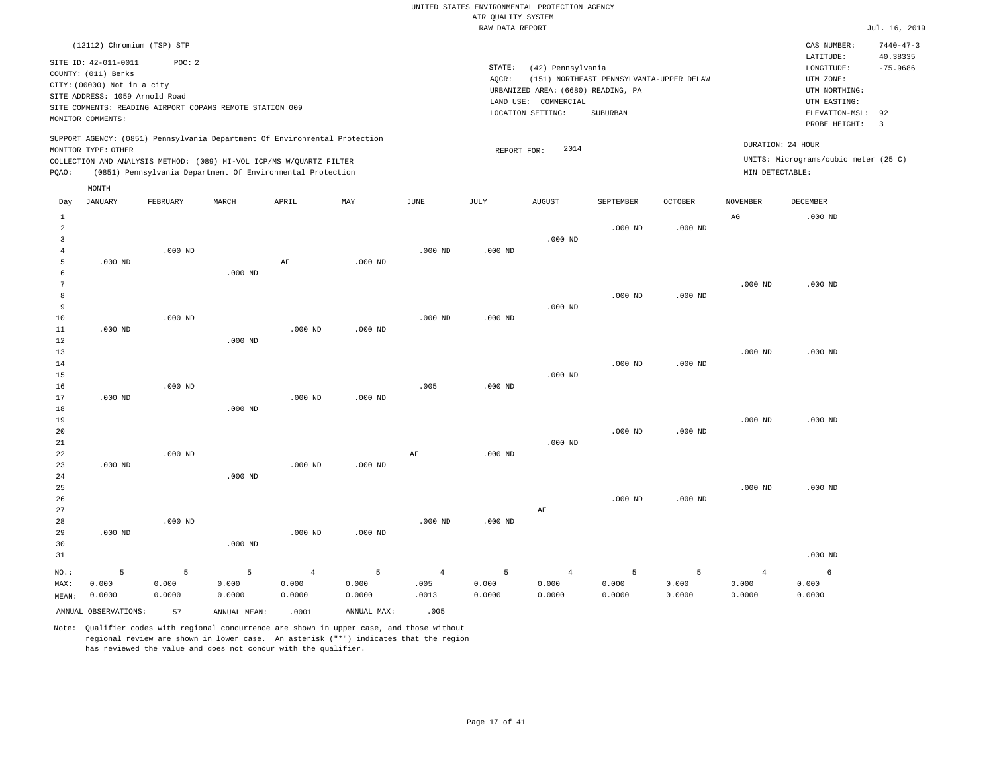|                |                                |           |                                                          |                                                                            |             |                | RAW DATA REPORT |                                    |                                          |                |                 |                                      | Jul. 16, 2019   |
|----------------|--------------------------------|-----------|----------------------------------------------------------|----------------------------------------------------------------------------|-------------|----------------|-----------------|------------------------------------|------------------------------------------|----------------|-----------------|--------------------------------------|-----------------|
|                | (12112) Chromium (TSP) STP     |           |                                                          |                                                                            |             |                |                 |                                    |                                          |                |                 | CAS NUMBER:                          | $7440 - 47 - 3$ |
|                | SITE ID: 42-011-0011           | POC: 2    |                                                          |                                                                            |             |                |                 |                                    |                                          |                |                 | LATITUDE:                            | 40.38335        |
|                | COUNTY: (011) Berks            |           |                                                          |                                                                            |             |                | STATE:          | (42) Pennsylvania                  |                                          |                |                 | LONGITUDE:                           | $-75.9686$      |
|                | CITY: (00000) Not in a city    |           |                                                          |                                                                            |             |                | AOCR:           |                                    | (151) NORTHEAST PENNSYLVANIA-UPPER DELAW |                |                 | UTM ZONE:                            |                 |
|                | SITE ADDRESS: 1059 Arnold Road |           |                                                          |                                                                            |             |                |                 | URBANIZED AREA: (6680) READING, PA |                                          |                |                 | UTM NORTHING:                        |                 |
|                |                                |           | SITE COMMENTS: READING AIRPORT COPAMS REMOTE STATION 009 |                                                                            |             |                | LAND USE:       | COMMERCIAL                         |                                          |                |                 | UTM EASTING:                         |                 |
|                | MONITOR COMMENTS:              |           |                                                          |                                                                            |             |                |                 | LOCATION SETTING:                  | SUBURBAN                                 |                |                 | ELEVATION-MSL:                       | 92              |
|                |                                |           |                                                          |                                                                            |             |                |                 |                                    |                                          |                |                 | PROBE HEIGHT:                        | $\overline{3}$  |
|                |                                |           |                                                          | SUPPORT AGENCY: (0851) Pennsylvania Department Of Environmental Protection |             |                |                 |                                    |                                          |                |                 | DURATION: 24 HOUR                    |                 |
|                | MONITOR TYPE: OTHER            |           |                                                          |                                                                            |             |                | REPORT FOR:     | 2014                               |                                          |                |                 | UNITS: Micrograms/cubic meter (25 C) |                 |
|                |                                |           |                                                          | COLLECTION AND ANALYSIS METHOD: (089) HI-VOL ICP/MS W/QUARTZ FILTER        |             |                |                 |                                    |                                          |                |                 |                                      |                 |
| PQAO:          |                                |           |                                                          | (0851) Pennsylvania Department Of Environmental Protection                 |             |                |                 |                                    |                                          |                | MIN DETECTABLE: |                                      |                 |
| Day            | MONTH<br><b>JANUARY</b>        | FEBRUARY  | MARCH                                                    | APRIL                                                                      | MAY         | <b>JUNE</b>    | JULY            | <b>AUGUST</b>                      | SEPTEMBER                                | <b>OCTOBER</b> | <b>NOVEMBER</b> | DECEMBER                             |                 |
|                |                                |           |                                                          |                                                                            |             |                |                 |                                    |                                          |                |                 |                                      |                 |
| $\mathbf{1}$   |                                |           |                                                          |                                                                            |             |                |                 |                                    |                                          |                | AG              | $.000$ ND                            |                 |
| 2              |                                |           |                                                          |                                                                            |             |                |                 |                                    | $.000$ ND                                | $.000$ ND      |                 |                                      |                 |
| 3              |                                |           |                                                          |                                                                            |             |                |                 | $.000$ ND                          |                                          |                |                 |                                      |                 |
| $\overline{4}$ |                                | $.000$ ND |                                                          |                                                                            |             | $.000$ ND      | $.000$ ND       |                                    |                                          |                |                 |                                      |                 |
| 5              | $.000$ ND                      |           |                                                          | $\rm{AF}$                                                                  | $.000$ ND   |                |                 |                                    |                                          |                |                 |                                      |                 |
| 6              |                                |           | $.000$ ND                                                |                                                                            |             |                |                 |                                    |                                          |                |                 |                                      |                 |
| 7              |                                |           |                                                          |                                                                            |             |                |                 |                                    |                                          |                | $.000$ ND       | $.000$ ND                            |                 |
| 8              |                                |           |                                                          |                                                                            |             |                |                 |                                    | $.000$ ND                                | $.000$ ND      |                 |                                      |                 |
| 9              |                                |           |                                                          |                                                                            |             |                |                 | $.000$ ND                          |                                          |                |                 |                                      |                 |
| 10             |                                | $.000$ ND |                                                          |                                                                            |             | $.000$ ND      | $.000$ ND       |                                    |                                          |                |                 |                                      |                 |
| $11\,$         | $.000$ ND                      |           |                                                          | $.000$ ND                                                                  | $.000$ ND   |                |                 |                                    |                                          |                |                 |                                      |                 |
| 12             |                                |           | $.000$ ND                                                |                                                                            |             |                |                 |                                    |                                          |                |                 |                                      |                 |
| 13             |                                |           |                                                          |                                                                            |             |                |                 |                                    |                                          |                | $.000$ ND       | $.000$ ND                            |                 |
| 14             |                                |           |                                                          |                                                                            |             |                |                 |                                    | $.000$ ND                                | $.000$ ND      |                 |                                      |                 |
| 15             |                                |           |                                                          |                                                                            |             |                |                 | $.000$ ND                          |                                          |                |                 |                                      |                 |
| 16             |                                | $.000$ ND |                                                          |                                                                            |             | .005           | $.000$ ND       |                                    |                                          |                |                 |                                      |                 |
| 17             | $.000$ ND                      |           |                                                          | $.000$ ND                                                                  | $.000$ ND   |                |                 |                                    |                                          |                |                 |                                      |                 |
| 18             |                                |           | $.000$ ND                                                |                                                                            |             |                |                 |                                    |                                          |                |                 |                                      |                 |
| 19             |                                |           |                                                          |                                                                            |             |                |                 |                                    |                                          |                | $.000$ ND       | $.000$ ND                            |                 |
| 20             |                                |           |                                                          |                                                                            |             |                |                 | $.000$ ND                          | $.000$ ND                                | $.000$ ND      |                 |                                      |                 |
| 21<br>22       |                                | $.000$ ND |                                                          |                                                                            |             | $\rm{AF}$      | $.000$ ND       |                                    |                                          |                |                 |                                      |                 |
| 23             | $.000$ ND                      |           |                                                          |                                                                            |             |                |                 |                                    |                                          |                |                 |                                      |                 |
| 24             |                                |           | $.000$ ND                                                | $.000$ ND                                                                  | $.000$ ND   |                |                 |                                    |                                          |                |                 |                                      |                 |
| 25             |                                |           |                                                          |                                                                            |             |                |                 |                                    |                                          |                | $.000$ ND       | $.000$ ND                            |                 |
| 26             |                                |           |                                                          |                                                                            |             |                |                 |                                    | $.000$ ND                                | $.000$ ND      |                 |                                      |                 |
|                |                                |           |                                                          |                                                                            |             |                |                 |                                    |                                          |                |                 |                                      |                 |
| 27<br>28       |                                | $.000$ ND |                                                          |                                                                            |             | $.000$ ND      | $.000$ ND       | AF                                 |                                          |                |                 |                                      |                 |
| 29             | $.000$ ND                      |           |                                                          | $.000$ ND                                                                  | $.000$ ND   |                |                 |                                    |                                          |                |                 |                                      |                 |
|                |                                |           |                                                          |                                                                            |             |                |                 |                                    |                                          |                |                 |                                      |                 |
| 30             |                                |           | $.000$ ND                                                |                                                                            |             |                |                 |                                    |                                          |                |                 |                                      |                 |
| 31             |                                |           |                                                          |                                                                            |             |                |                 |                                    |                                          |                |                 | $.000$ ND                            |                 |
| NO.:           | 5                              | 5         | 5                                                        | $\overline{4}$                                                             | 5           | $\overline{4}$ | 5               | $\overline{4}$                     | 5                                        | 5              | $\overline{4}$  | 6                                    |                 |
| MAX:           | 0.000                          | 0.000     | 0.000                                                    | 0.000                                                                      | 0.000       | .005           | 0.000           | 0.000                              | 0.000                                    | 0.000          | 0.000           | 0.000                                |                 |
| MEAN:          | 0.0000                         | 0.0000    | 0.0000                                                   | 0.0000                                                                     | 0.0000      | .0013          | 0.0000          | 0.0000                             | 0.0000                                   | 0.0000         | 0.0000          | 0.0000                               |                 |
|                | ANNUAL OBSERVATIONS:           | 57        | ANNUAL MEAN:                                             | .0001                                                                      | ANNUAL MAX: | .005           |                 |                                    |                                          |                |                 |                                      |                 |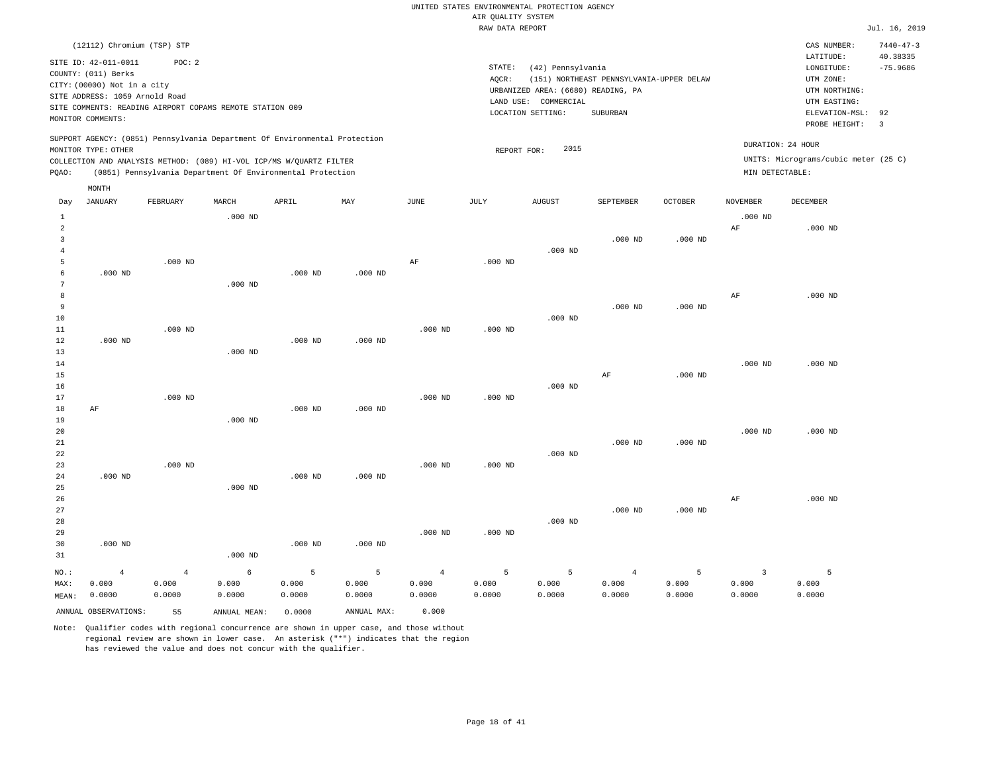| RAW DATA REPORT |
|-----------------|
|                 |
|                 |
|                 |

 $Jul. 16, 2019$ 

CAS NUMBER: 7440-47-3

STATE: (42) Pennsylvania SITE ID: 42-011-0011 POC: 2 AQCR: (151) NORTHEAST PENNSYLVANIA-UPPER DELAW COUNTY: (011) Berks CITY: (00000) Not in a city LONGITUDE: -75.9686 LATITUDE: 40.38335 LOCATION SETTING: SUBURBAN SITE ADDRESS: 1059 Arnold Road LAND USE: COMMERCIAL SITE COMMENTS: READING AIRPORT COPAMS REMOTE STATION 009 MONITOR COMMENTS: PROBE HEIGHT: 3 ELEVATION-MSL: 92 (6680) READING, PA UTM NORTHING: URBANIZED AREA: UTM EASTING: UTM ZONE: SUPPORT AGENCY: (0851) Pennsylvania Department Of Environmental Protection MONITOR TYPE: OTHER REPORT FOR: 2015 DURATION: 24 HOUR

COLLECTION AND ANALYSIS METHOD: (089) HI-VOL ICP/MS W/QUARTZ FILTER UNITS: Micrograms/cubic meter (25 C) PQAO: (0851) Pennsylvania Department Of Environmental Protection MIN DETECTABLE: MONTH

| Day                        | <b>JANUARY</b>                    | FEBRUARY                          | MARCH                | APRIL                | MAY                  | JUNE                              | JULY                 | <b>AUGUST</b>        | SEPTEMBER                         | OCTOBER              | <b>NOVEMBER</b>                   | DECEMBER             |
|----------------------------|-----------------------------------|-----------------------------------|----------------------|----------------------|----------------------|-----------------------------------|----------------------|----------------------|-----------------------------------|----------------------|-----------------------------------|----------------------|
| 1<br>2<br>3<br>4<br>5      |                                   | $.000$ ND                         | $.000$ ND            |                      |                      | AF                                | $.000$ ND            | $.000$ ND            | $.000$ ND                         | $.000$ ND            | $.000$ ND<br>$\rm{AF}$            | $.000$ ND            |
| 6<br>7<br>8<br>9           | $.000$ ND                         |                                   | $.000$ ND            | $.000$ ND            | $.000$ ND            |                                   |                      |                      | $.000$ ND                         | $.000$ ND            | $\rm{AF}$                         | $.000$ ND            |
| 10<br>11<br>12<br>13<br>14 | $.000$ ND                         | $.000$ ND                         | $.000$ ND            | $.000$ ND            | $.000$ ND            | $.000$ ND                         | $.000$ ND            | $.000$ ND            |                                   |                      | $.000$ ND                         | $.000$ ND            |
| 15<br>16<br>17<br>18       | AF                                | $.000$ ND                         |                      | $.000$ ND            | $.000$ ND            | $.000$ ND                         | $.000$ ND            | $.000$ ND            | $\rm{AF}$                         | $.000$ ND            |                                   |                      |
| 19<br>20<br>21<br>22       |                                   |                                   | $.000$ ND            |                      |                      |                                   |                      | $.000$ ND            | $.000$ ND                         | $.000$ ND            | $.000$ ND                         | $.000$ ND            |
| 23<br>24<br>25<br>26<br>27 | $.000$ ND                         | $.000$ ND                         | $.000$ ND            | $.000$ ND            | $.000$ ND            | $.000$ ND                         | $.000$ ND            |                      | $.000$ ND                         | $.000$ ND            | $\rm AF$                          | $.000$ ND            |
| 28<br>29<br>30<br>31       | $.000$ ND                         |                                   | $.000$ ND            | $.000$ ND            | $.000$ ND            | $.000$ ND                         | $.000$ ND            | $.000$ ND            |                                   |                      |                                   |                      |
| $NO.$ :<br>MAX:<br>MEAN:   | $\overline{4}$<br>0.000<br>0.0000 | $\overline{4}$<br>0.000<br>0.0000 | 6<br>0.000<br>0.0000 | 5<br>0.000<br>0.0000 | 5<br>0.000<br>0.0000 | $\overline{4}$<br>0.000<br>0.0000 | 5<br>0.000<br>0.0000 | 5<br>0.000<br>0.0000 | $\overline{4}$<br>0.000<br>0.0000 | 5<br>0.000<br>0.0000 | $\overline{3}$<br>0.000<br>0.0000 | 5<br>0.000<br>0.0000 |

Note: Qualifier codes with regional concurrence are shown in upper case, and those without regional review are shown in lower case. An asterisk ("\*") indicates that the region has reviewed the value and does not concur with the qualifier.

ANNUAL OBSERVATIONS: 55 ANNUAL MEAN: 0.0000 ANNUAL MAX: 0.000

(12112) Chromium (TSP) STP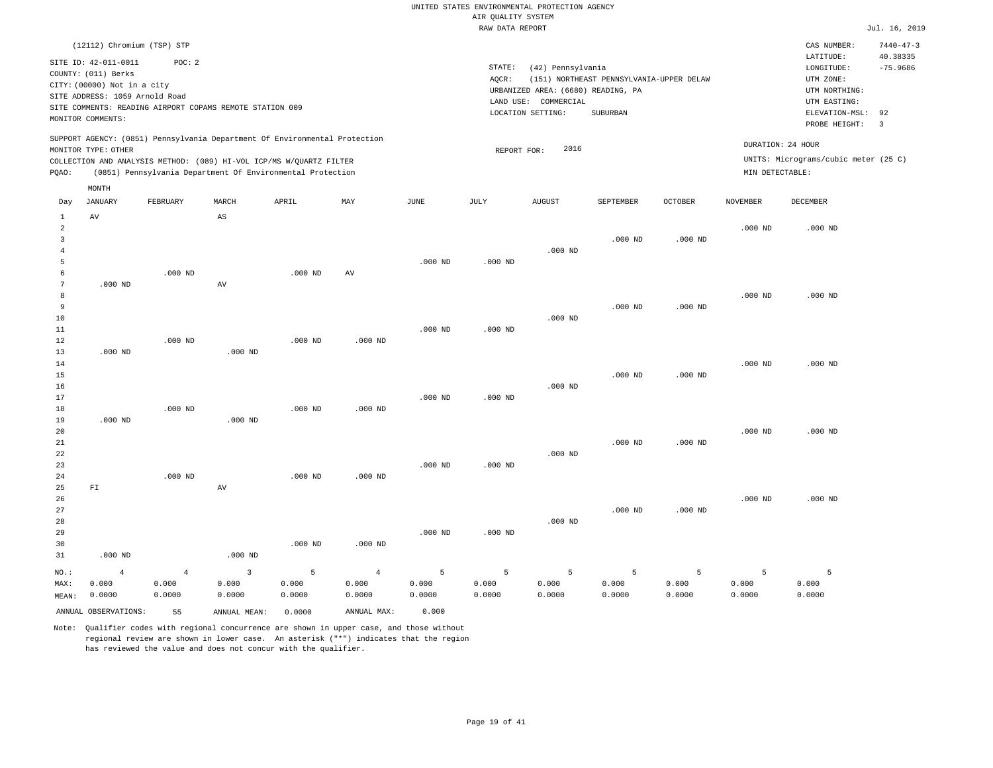|          |                                                                            |                                                          |             |                                                                                                                                   |                                                                            |      |                 | RAW DATA REPORT                              |                                                |                |                       |                                                                              | Jul. 16, 2019                             |
|----------|----------------------------------------------------------------------------|----------------------------------------------------------|-------------|-----------------------------------------------------------------------------------------------------------------------------------|----------------------------------------------------------------------------|------|-----------------|----------------------------------------------|------------------------------------------------|----------------|-----------------------|------------------------------------------------------------------------------|-------------------------------------------|
|          | SITE ID: 42-011-0011<br>COUNTY: (011) Berks<br>CITY: (00000) Not in a city | (12112) Chromium (TSP) STP<br>POC:2                      |             |                                                                                                                                   |                                                                            |      | STATE:<br>AQCR: | (42) Pennsylvania                            | (151) NORTHEAST PENNSYLVANIA-UPPER DELAW       |                |                       | CAS NUMBER:<br>LATITUDE:<br>LONGITUDE:<br>UTM ZONE:                          | $7440 - 47 - 3$<br>40.38335<br>$-75.9686$ |
|          | SITE ADDRESS: 1059 Arnold Road<br>MONITOR COMMENTS:                        | SITE COMMENTS: READING AIRPORT COPAMS REMOTE STATION 009 |             |                                                                                                                                   |                                                                            |      |                 | COMMERCIAL<br>LAND USE:<br>LOCATION SETTING: | URBANIZED AREA: (6680) READING, PA<br>SUBURBAN |                |                       | UTM NORTHING:<br>UTM EASTING:<br>ELEVATION-MSL: 92<br>PROBE HEIGHT:          | $\overline{\mathbf{3}}$                   |
| POAO:    | MONITOR TYPE: OTHER                                                        |                                                          |             | COLLECTION AND ANALYSIS METHOD: (089) HI-VOL ICP/MS W/QUARTZ FILTER<br>(0851) Pennsylvania Department Of Environmental Protection | SUPPORT AGENCY: (0851) Pennsylvania Department Of Environmental Protection |      |                 | 2016<br>REPORT FOR:                          |                                                |                |                       | DURATION: 24 HOUR<br>UNITS: Micrograms/cubic meter (25 C)<br>MIN DETECTABLE: |                                           |
| Day<br>2 | MONTH<br>JANUARY<br>AV                                                     | FEBRUARY                                                 | MARCH<br>AS | APRIL                                                                                                                             | MAY                                                                        | JUNE | JULY            | <b>AUGUST</b>                                | SEPTEMBER                                      | <b>OCTOBER</b> | NOVEMBER<br>$.000$ ND | DECEMBER<br>$.000$ ND                                                        |                                           |

| 3<br>$\overline{4}$<br>5 |                |           |              |           |                | $.000$ ND | $.000$ ND | $.000$ ND | $.000$ ND      | $.000$ ND |           |             |
|--------------------------|----------------|-----------|--------------|-----------|----------------|-----------|-----------|-----------|----------------|-----------|-----------|-------------|
| 6<br>7                   | $.000$ ND      | $.000$ ND | AV           | $.000$ ND | AV             |           |           |           |                |           |           |             |
| 8                        |                |           |              |           |                |           |           |           |                |           | $.000$ ND | $.000$ ND   |
| 9                        |                |           |              |           |                |           |           |           | $.000$ ND      | $.000$ ND |           |             |
| 10                       |                |           |              |           |                |           |           | $.000$ ND |                |           |           |             |
| 11                       |                |           |              |           |                | $.000$ ND | $.000$ ND |           |                |           |           |             |
| 12                       |                | $.000$ ND |              | $.000$ ND | $.000$ ND      |           |           |           |                |           |           |             |
| 13                       | $.000$ ND      |           | $.000$ ND    |           |                |           |           |           |                |           |           |             |
| 14                       |                |           |              |           |                |           |           |           |                |           | $.000$ ND | $.000$ ND   |
| 15                       |                |           |              |           |                |           |           |           | $.000$ ND      | $.000$ ND |           |             |
| 16                       |                |           |              |           |                |           |           | $.000$ ND |                |           |           |             |
| 17                       |                |           |              |           |                | $.000$ ND | $.000$ ND |           |                |           |           |             |
| 18                       |                | $.000$ ND |              | $.000$ ND | $.000$ ND      |           |           |           |                |           |           |             |
| 19                       | $.000$ ND      |           | $.000$ ND    |           |                |           |           |           |                |           |           |             |
| 20                       |                |           |              |           |                |           |           |           |                |           | $.000$ ND | $.000$ ND   |
| 21                       |                |           |              |           |                |           |           |           | $.000$ ND      | $.000$ ND |           |             |
| 22                       |                |           |              |           |                |           |           | $.000$ ND |                |           |           |             |
| 23                       |                |           |              |           |                | $.000$ ND | $.000$ ND |           |                |           |           |             |
| 24                       |                | $.000$ ND |              | $.000$ ND | $.000$ ND      |           |           |           |                |           |           |             |
| 25                       | ${\rm F\,I}$   |           | AV           |           |                |           |           |           |                |           |           |             |
| 26<br>27                 |                |           |              |           |                |           |           |           | $.000$ ND      |           | $.000$ ND | $.000$ ND   |
| 28                       |                |           |              |           |                |           |           | $.000$ ND |                | $.000$ ND |           |             |
| 29                       |                |           |              |           |                | $.000$ ND | $.000$ ND |           |                |           |           |             |
| 30                       |                |           |              | $.000$ ND | $.000$ ND      |           |           |           |                |           |           |             |
| 31                       | $.000$ ND      |           | $.000$ ND    |           |                |           |           |           |                |           |           |             |
| $NO.$ :                  | $\overline{4}$ | $\bf{4}$  | $\mathbf{3}$ | 5         | $\overline{4}$ | 5         | 5         | 5         | $\overline{5}$ | 5         | 5         | $5^{\circ}$ |
| MAX:                     | 0.000          | 0.000     | 0.000        | 0.000     | 0.000          | 0.000     | 0.000     | 0.000     | 0.000          | 0.000     | 0.000     | 0.000       |
| MEAN:                    | 0.0000         | 0.0000    | 0.0000       | 0.0000    | 0.0000         | 0.0000    | 0.0000    | 0.0000    | 0.0000         | 0.0000    | 0.0000    | 0.0000      |
|                          |                |           |              |           |                |           |           |           |                |           |           |             |

Note: Qualifier codes with regional concurrence are shown in upper case, and those without

ANNUAL OBSERVATIONS: 55 ANNUAL MEAN: 0.0000 ANNUAL MAX: 0.000

regional review are shown in lower case. An asterisk ("\*") indicates that the region

has reviewed the value and does not concur with the qualifier.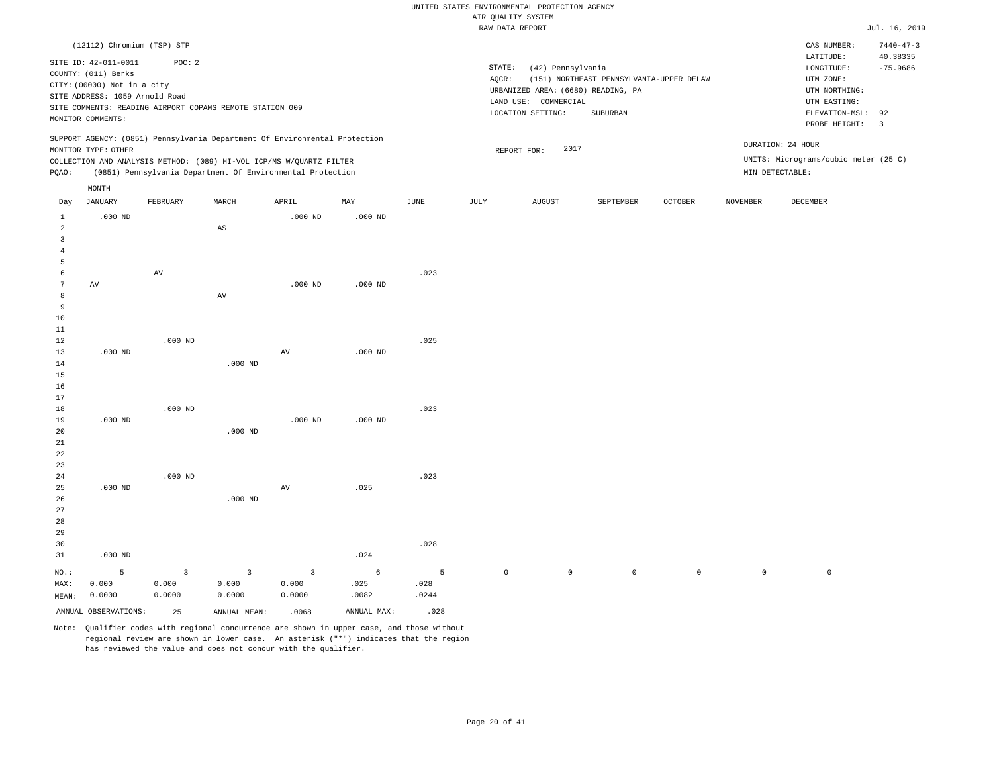|                                                       |                                                                                                              |                                                          |                                            |                                                                                                                                   |                    |                    |                 | RAW DATA REPORT                                                                 |                                          |         |                     |                                                                       | Jul. 16, 2019          |
|-------------------------------------------------------|--------------------------------------------------------------------------------------------------------------|----------------------------------------------------------|--------------------------------------------|-----------------------------------------------------------------------------------------------------------------------------------|--------------------|--------------------|-----------------|---------------------------------------------------------------------------------|------------------------------------------|---------|---------------------|-----------------------------------------------------------------------|------------------------|
|                                                       | (12112) Chromium (TSP) STP                                                                                   |                                                          |                                            |                                                                                                                                   |                    |                    |                 |                                                                                 |                                          |         |                     | CAS NUMBER:                                                           | $7440 - 47 - 3$        |
|                                                       | SITE ID: 42-011-0011<br>COUNTY: (011) Berks<br>CITY: (00000) Not in a city<br>SITE ADDRESS: 1059 Arnold Road | POC: 2                                                   |                                            |                                                                                                                                   |                    |                    | STATE:<br>AQCR: | (42) Pennsylvania<br>URBANIZED AREA: (6680) READING, PA<br>LAND USE: COMMERCIAL | (151) NORTHEAST PENNSYLVANIA-UPPER DELAW |         |                     | LATITUDE:<br>LONGITUDE:<br>UTM ZONE:<br>UTM NORTHING:<br>UTM EASTING: | 40.38335<br>$-75.9686$ |
|                                                       | MONITOR COMMENTS:                                                                                            | SITE COMMENTS: READING AIRPORT COPAMS REMOTE STATION 009 |                                            |                                                                                                                                   |                    |                    |                 | LOCATION SETTING:                                                               | <b>SUBURBAN</b>                          |         |                     | ELEVATION-MSL:<br>PROBE HEIGHT:                                       | 92<br>$\overline{3}$   |
|                                                       | MONITOR TYPE: OTHER                                                                                          |                                                          |                                            | SUPPORT AGENCY: (0851) Pennsylvania Department Of Environmental Protection                                                        |                    |                    |                 | 2017<br>REPORT FOR:                                                             |                                          |         |                     | DURATION: 24 HOUR                                                     |                        |
| PQAO:                                                 |                                                                                                              |                                                          |                                            | COLLECTION AND ANALYSIS METHOD: (089) HI-VOL ICP/MS W/QUARTZ FILTER<br>(0851) Pennsylvania Department Of Environmental Protection |                    |                    |                 |                                                                                 |                                          |         |                     | UNITS: Micrograms/cubic meter (25 C)<br>MIN DETECTABLE:               |                        |
|                                                       | $\texttt{MONTH}$                                                                                             |                                                          |                                            |                                                                                                                                   |                    |                    |                 |                                                                                 |                                          |         |                     |                                                                       |                        |
| Day                                                   | <b>JANUARY</b>                                                                                               | FEBRUARY                                                 | MARCH                                      | APRIL                                                                                                                             | MAY                | JUNE               | JULY            | <b>AUGUST</b>                                                                   | SEPTEMBER                                | OCTOBER | <b>NOVEMBER</b>     | DECEMBER                                                              |                        |
| $\mathbf{1}$<br>$\overline{a}$<br>3<br>$\overline{4}$ | $.000$ ND                                                                                                    |                                                          | $\mathbb{A}\mathbb{S}$                     | $.000$ ND                                                                                                                         | $.000$ ND          |                    |                 |                                                                                 |                                          |         |                     |                                                                       |                        |
| 5<br>6<br>$\,7$                                       | AV                                                                                                           | AV                                                       |                                            | $.000$ ND                                                                                                                         | $.000$ ND          | .023               |                 |                                                                                 |                                          |         |                     |                                                                       |                        |
| 8<br>9<br>$10$<br>11                                  |                                                                                                              |                                                          | $\hbox{AV}$                                |                                                                                                                                   |                    |                    |                 |                                                                                 |                                          |         |                     |                                                                       |                        |
| 12<br>13<br>14<br>15<br>16                            | $.000$ ND                                                                                                    | $.000$ ND                                                | $.000$ ND                                  | AV                                                                                                                                | $.000$ ND          | .025               |                 |                                                                                 |                                          |         |                     |                                                                       |                        |
| 17<br>18<br>19<br>20<br>21<br>22                      | $.000$ ND                                                                                                    | $.000$ ND                                                | $.000$ ND                                  | $.000$ ND                                                                                                                         | $.000$ ND          | .023               |                 |                                                                                 |                                          |         |                     |                                                                       |                        |
| 23<br>24<br>25<br>26<br>27<br>28<br>29<br>30          | $.000$ ND                                                                                                    | $.000$ ND                                                | $.000$ ND                                  | AV                                                                                                                                | .025               | .023<br>.028       |                 |                                                                                 |                                          |         |                     |                                                                       |                        |
| 31                                                    | $.000$ ND                                                                                                    |                                                          |                                            |                                                                                                                                   | .024               |                    |                 |                                                                                 |                                          |         |                     |                                                                       |                        |
| NO.:<br>MAX:<br>MEAN:                                 | 5<br>0.000<br>0.0000                                                                                         | $\overline{\mathbf{3}}$<br>0.000<br>0.0000               | $\overline{\mathbf{3}}$<br>0.000<br>0.0000 | $\overline{3}$<br>0.000<br>0.0000                                                                                                 | 6<br>.025<br>.0082 | 5<br>.028<br>.0244 | $\mathbb O$     | $\mathsf{O}$                                                                    | $\mathsf{O}$                             | $\circ$ | $\mathsf{O}\xspace$ | $\mathbb O$                                                           |                        |

ANNUAL OBSERVATIONS: 25 ANNUAL MEAN: .0068 ANNUAL MAX: .028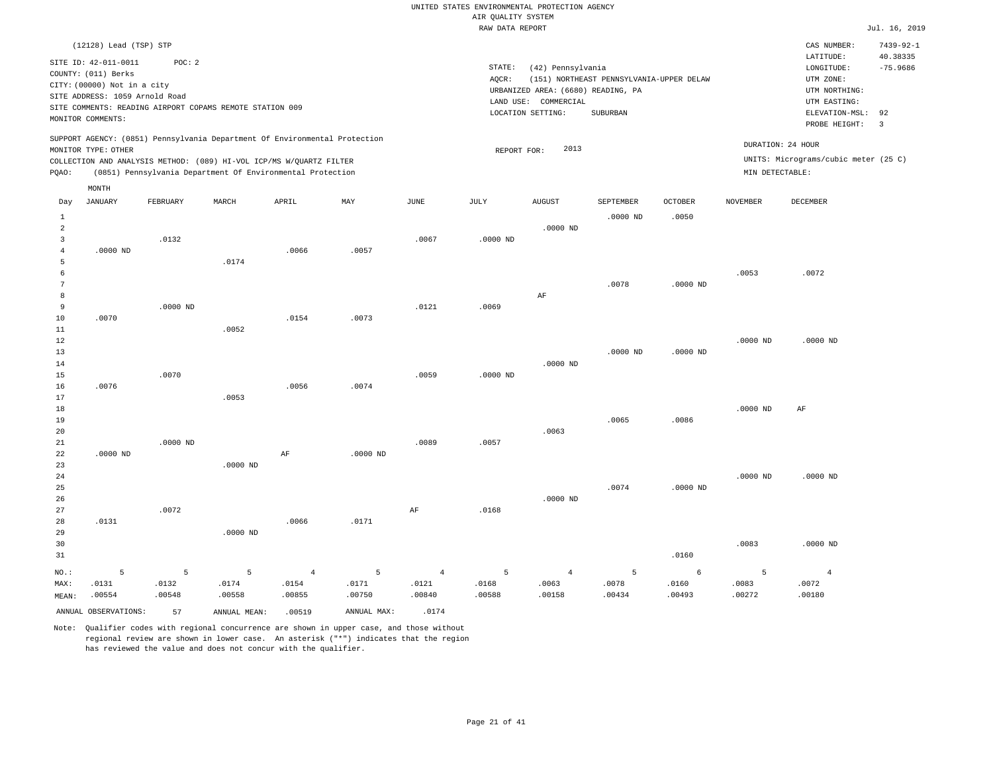|                                            |                                                                                                                                   |                      |                                                                                                                                                                                                                 |                                   |                                   |                                   | ----- ------ ---- ---- |                                                                                                      |                                                      |                      |                                      |                                                                                                          | $    +$ $+$                                    |
|--------------------------------------------|-----------------------------------------------------------------------------------------------------------------------------------|----------------------|-----------------------------------------------------------------------------------------------------------------------------------------------------------------------------------------------------------------|-----------------------------------|-----------------------------------|-----------------------------------|------------------------|------------------------------------------------------------------------------------------------------|------------------------------------------------------|----------------------|--------------------------------------|----------------------------------------------------------------------------------------------------------|------------------------------------------------|
|                                            | (12128) Lead (TSP) STP                                                                                                            |                      |                                                                                                                                                                                                                 |                                   |                                   |                                   |                        |                                                                                                      |                                                      |                      |                                      | CAS NUMBER:                                                                                              | $7439 - 92 - 1$                                |
|                                            | SITE ID: 42-011-0011<br>COUNTY: (011) Berks<br>CITY: (00000) Not in a city<br>SITE ADDRESS: 1059 Arnold Road<br>MONITOR COMMENTS: | POC: 2               | SITE COMMENTS: READING AIRPORT COPAMS REMOTE STATION 009                                                                                                                                                        |                                   |                                   |                                   | STATE:<br>AOCR:        | (42) Pennsylvania<br>URBANIZED AREA: (6680) READING, PA<br>LAND USE: COMMERCIAL<br>LOCATION SETTING: | (151) NORTHEAST PENNSYLVANIA-UPPER DELAW<br>SUBURBAN |                      |                                      | LATITUDE:<br>LONGITUDE:<br>UTM ZONE:<br>UTM NORTHING:<br>UTM EASTING:<br>ELEVATION-MSL:<br>PROBE HEIGHT: | 40.38335<br>$-75.9686$<br>92<br>$\overline{3}$ |
| PQAO:                                      | MONITOR TYPE: OTHER                                                                                                               |                      | SUPPORT AGENCY: (0851) Pennsylvania Department Of Environmental Protection<br>COLLECTION AND ANALYSIS METHOD: (089) HI-VOL ICP/MS W/QUARTZ FILTER<br>(0851) Pennsylvania Department Of Environmental Protection |                                   |                                   |                                   | REPORT FOR:            | 2013                                                                                                 |                                                      |                      | DURATION: 24 HOUR<br>MIN DETECTABLE: | UNITS: Micrograms/cubic meter (25 C)                                                                     |                                                |
|                                            | MONTH                                                                                                                             |                      |                                                                                                                                                                                                                 |                                   |                                   |                                   |                        |                                                                                                      |                                                      |                      |                                      |                                                                                                          |                                                |
| Day                                        | <b>JANUARY</b>                                                                                                                    | FEBRUARY             | MARCH                                                                                                                                                                                                           | APRIL                             | MAY                               | JUNE                              | JULY                   | <b>AUGUST</b>                                                                                        | SEPTEMBER                                            | OCTOBER              | <b>NOVEMBER</b>                      | DECEMBER                                                                                                 |                                                |
| 1<br>$\overline{2}$<br>3<br>$\overline{4}$ | $.0000$ ND                                                                                                                        | .0132                |                                                                                                                                                                                                                 | .0066                             | .0057                             | .0067                             | $.0000$ ND             | $.0000$ ND                                                                                           | $.0000$ ND                                           | .0050                |                                      |                                                                                                          |                                                |
| 5<br>6<br>7<br>8                           |                                                                                                                                   |                      | .0174                                                                                                                                                                                                           |                                   |                                   |                                   |                        | AF                                                                                                   | .0078                                                | $.0000$ ND           | .0053                                | .0072                                                                                                    |                                                |
| 9<br>$10$<br>11                            | .0070                                                                                                                             | $.0000$ ND           | .0052                                                                                                                                                                                                           | .0154                             | .0073                             | .0121                             | .0069                  |                                                                                                      |                                                      |                      |                                      |                                                                                                          |                                                |
| 12<br>13<br>14<br>15                       |                                                                                                                                   | .0070                |                                                                                                                                                                                                                 |                                   |                                   | .0059                             | $.0000$ ND             | $.0000$ ND                                                                                           | $.0000$ ND                                           | $.0000$ ND           | $.0000$ ND                           | $.0000$ ND                                                                                               |                                                |
| 16<br>17<br>18                             | .0076                                                                                                                             |                      | .0053                                                                                                                                                                                                           | .0056                             | .0074                             |                                   |                        |                                                                                                      |                                                      |                      | $.0000$ ND                           | AF                                                                                                       |                                                |
| 19<br>20<br>21<br>22                       | $.0000$ ND                                                                                                                        | $.0000$ ND           |                                                                                                                                                                                                                 | AF                                | $.0000$ ND                        | .0089                             | .0057                  | .0063                                                                                                | .0065                                                | .0086                |                                      |                                                                                                          |                                                |
| 23<br>24<br>25                             |                                                                                                                                   |                      | .0000 ND                                                                                                                                                                                                        |                                   |                                   |                                   |                        |                                                                                                      | .0074                                                | $.0000$ ND           | $.0000$ ND                           | $.0000$ ND                                                                                               |                                                |
| 26<br>27<br>28<br>29                       | .0131                                                                                                                             | .0072                | .0000 ND                                                                                                                                                                                                        | .0066                             | .0171                             | AF                                | .0168                  | $.0000$ ND                                                                                           |                                                      |                      |                                      |                                                                                                          |                                                |
| 30<br>31                                   |                                                                                                                                   |                      |                                                                                                                                                                                                                 |                                   |                                   |                                   |                        |                                                                                                      |                                                      | .0160                | .0083                                | $.0000$ ND                                                                                               |                                                |
| NO.:<br>MAX:<br>MEAN:                      | 5<br>.0131<br>.00554                                                                                                              | 5<br>.0132<br>.00548 | 5<br>.0174<br>.00558                                                                                                                                                                                            | $\overline{4}$<br>.0154<br>.00855 | $\overline{5}$<br>.0171<br>.00750 | $\overline{4}$<br>.0121<br>.00840 | 5<br>.0168<br>.00588   | $\overline{4}$<br>.0063<br>.00158                                                                    | 5<br>.0078<br>.00434                                 | 6<br>.0160<br>.00493 | 5<br>.0083<br>.00272                 | $\overline{4}$<br>.0072<br>.00180                                                                        |                                                |
|                                            | ANNUAL OBSERVATIONS:                                                                                                              | 57                   | ANNUAL MEAN:                                                                                                                                                                                                    | .00519                            | ANNUAL MAX:                       | .0174                             |                        |                                                                                                      |                                                      |                      |                                      |                                                                                                          |                                                |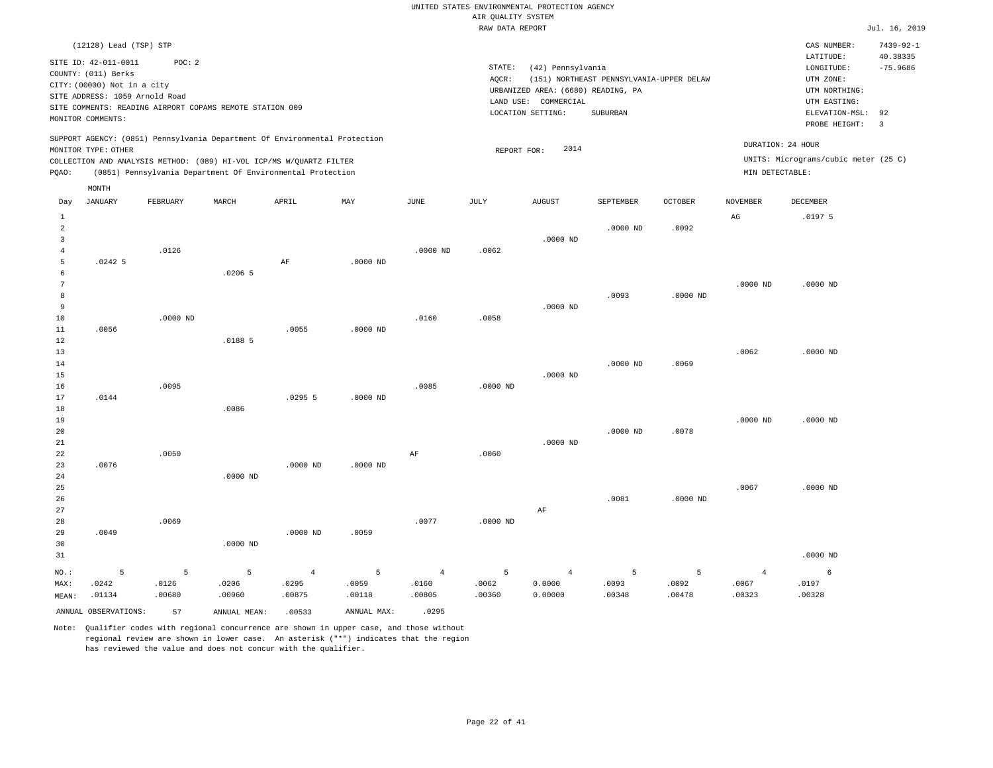|                                                | (12128) Lead (TSP) STP                                                                                                            |                      |                                                                                                                                                                                                                 |                                   |                      |                                   |                              |                                                                                            |                                                      |                      |                                      | CAS NUMBER:                                                                                              | $7439 - 92 - 1$                                |
|------------------------------------------------|-----------------------------------------------------------------------------------------------------------------------------------|----------------------|-----------------------------------------------------------------------------------------------------------------------------------------------------------------------------------------------------------------|-----------------------------------|----------------------|-----------------------------------|------------------------------|--------------------------------------------------------------------------------------------|------------------------------------------------------|----------------------|--------------------------------------|----------------------------------------------------------------------------------------------------------|------------------------------------------------|
|                                                | SITE ID: 42-011-0011<br>COUNTY: (011) Berks<br>CITY: (00000) Not in a city<br>SITE ADDRESS: 1059 Arnold Road<br>MONITOR COMMENTS: | POC: 2               | SITE COMMENTS: READING AIRPORT COPAMS REMOTE STATION 009                                                                                                                                                        |                                   |                      |                                   | STATE:<br>AQCR:<br>LAND USE: | (42) Pennsylvania<br>URBANIZED AREA: (6680) READING, PA<br>COMMERCIAL<br>LOCATION SETTING: | (151) NORTHEAST PENNSYLVANIA-UPPER DELAW<br>SUBURBAN |                      |                                      | LATITUDE:<br>LONGITUDE:<br>UTM ZONE:<br>UTM NORTHING:<br>UTM EASTING:<br>ELEVATION-MSL:<br>PROBE HEIGHT: | 40.38335<br>$-75.9686$<br>92<br>$\overline{3}$ |
| PQAO:                                          | MONITOR TYPE: OTHER                                                                                                               |                      | SUPPORT AGENCY: (0851) Pennsylvania Department Of Environmental Protection<br>COLLECTION AND ANALYSIS METHOD: (089) HI-VOL ICP/MS W/QUARTZ FILTER<br>(0851) Pennsylvania Department Of Environmental Protection |                                   |                      |                                   | REPORT FOR:                  | 2014                                                                                       |                                                      |                      | DURATION: 24 HOUR<br>MIN DETECTABLE: | UNITS: Micrograms/cubic meter (25 C)                                                                     |                                                |
|                                                | MONTH                                                                                                                             |                      |                                                                                                                                                                                                                 |                                   |                      |                                   |                              |                                                                                            |                                                      |                      |                                      |                                                                                                          |                                                |
| Day                                            | <b>JANUARY</b>                                                                                                                    | FEBRUARY             | MARCH                                                                                                                                                                                                           | APRIL                             | MAY                  | <b>JUNE</b>                       | JULY                         | <b>AUGUST</b>                                                                              | SEPTEMBER                                            | <b>OCTOBER</b>       | <b>NOVEMBER</b>                      | <b>DECEMBER</b>                                                                                          |                                                |
| 1<br>$\overline{2}$<br>$\overline{\mathbf{3}}$ |                                                                                                                                   |                      |                                                                                                                                                                                                                 |                                   |                      |                                   |                              | $.0000$ ND                                                                                 | $.0000$ ND                                           | .0092                | AG                                   | .01975                                                                                                   |                                                |
| $\overline{4}$<br>5<br>6                       | .02425                                                                                                                            | .0126                | $.0206$ 5                                                                                                                                                                                                       | AF                                | $.0000$ ND           | $.0000$ ND                        | .0062                        |                                                                                            |                                                      |                      |                                      |                                                                                                          |                                                |
| $\overline{7}$<br>8<br>9                       |                                                                                                                                   |                      |                                                                                                                                                                                                                 |                                   |                      |                                   |                              | $.0000$ ND                                                                                 | .0093                                                | $.0000$ ND           | $.0000$ ND                           | $.0000$ ND                                                                                               |                                                |
| 10<br>$1\,1$<br>$1\,2$                         | .0056                                                                                                                             | $.0000$ ND           | .01885                                                                                                                                                                                                          | .0055                             | $.0000$ ND           | .0160                             | .0058                        |                                                                                            |                                                      |                      |                                      |                                                                                                          |                                                |
| 13<br>14<br>15<br>16                           |                                                                                                                                   | .0095                |                                                                                                                                                                                                                 |                                   |                      | .0085                             | $.0000$ ND                   | $.0000$ ND                                                                                 | $.0000$ ND                                           | .0069                | .0062                                | $.0000$ ND                                                                                               |                                                |
| 17<br>18<br>19                                 | .0144                                                                                                                             |                      | .0086                                                                                                                                                                                                           | .02955                            | $.0000$ ND           |                                   |                              |                                                                                            |                                                      |                      | $.0000$ ND                           | $.0000$ ND                                                                                               |                                                |
| 20<br>21<br>22<br>23                           | .0076                                                                                                                             | .0050                |                                                                                                                                                                                                                 |                                   |                      | AF                                | .0060                        | $.0000$ ND                                                                                 | $.0000$ ND                                           | .0078                |                                      |                                                                                                          |                                                |
| 24<br>25<br>26                                 |                                                                                                                                   |                      | $.0000$ ND                                                                                                                                                                                                      | $.0000$ ND                        | $.0000$ ND           |                                   |                              |                                                                                            | .0081                                                | .0000 ND             | .0067                                | $.0000$ ND                                                                                               |                                                |
| 27<br>28<br>29<br>30                           | .0049                                                                                                                             | .0069                | .0000 ND                                                                                                                                                                                                        | $.0000$ ND                        | .0059                | .0077                             | $.0000$ ND                   | AF                                                                                         |                                                      |                      |                                      |                                                                                                          |                                                |
| 31                                             |                                                                                                                                   |                      |                                                                                                                                                                                                                 |                                   |                      |                                   |                              |                                                                                            |                                                      |                      |                                      | $.0000$ ND                                                                                               |                                                |
| NO.:<br>MAX:<br>MEAN:                          | 5<br>.0242<br>.01134                                                                                                              | 5<br>.0126<br>.00680 | 5<br>.0206<br>.00960                                                                                                                                                                                            | $\overline{4}$<br>.0295<br>.00875 | 5<br>.0059<br>.00118 | $\overline{4}$<br>.0160<br>.00805 | 5<br>.0062<br>.00360         | $\overline{4}$<br>0.0000<br>0.00000                                                        | 5<br>.0093<br>.00348                                 | 5<br>.0092<br>.00478 | $\overline{4}$<br>.0067<br>.00323    | 6<br>.0197<br>.00328                                                                                     |                                                |
|                                                | ANNUAL OBSERVATIONS:                                                                                                              | 57                   | ANNUAL MEAN:                                                                                                                                                                                                    | .00533                            | ANNUAL MAX:          | .0295                             |                              |                                                                                            |                                                      |                      |                                      |                                                                                                          |                                                |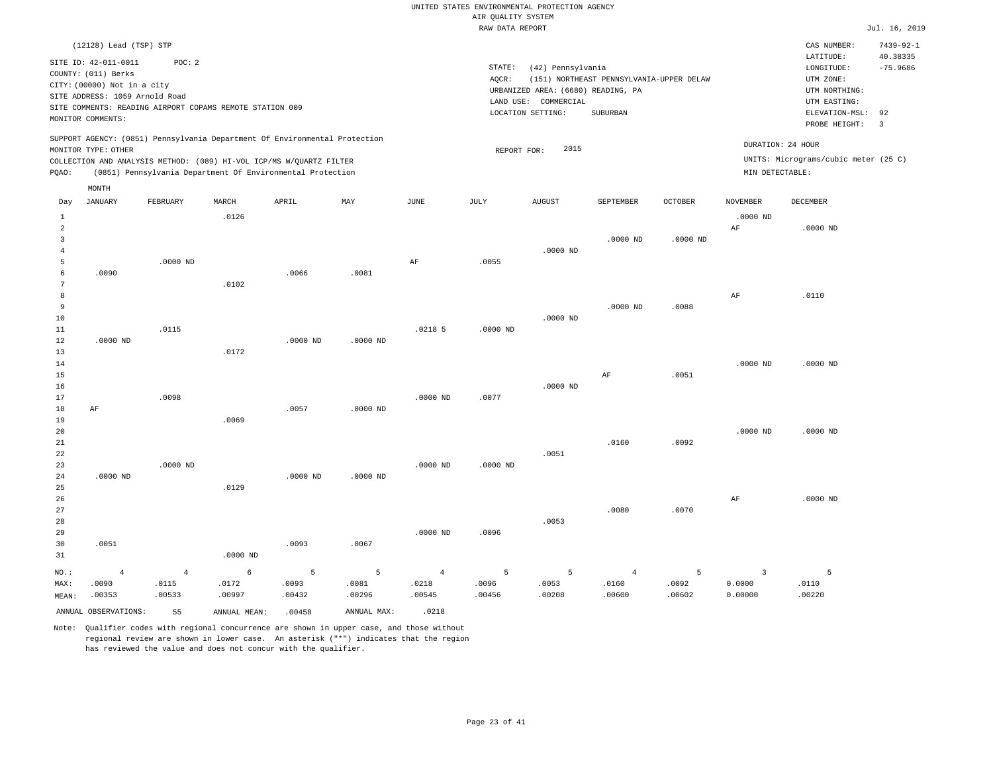|                     | (12128) Lead (TSP) STP<br>SITE ID: 42-011-0011<br>COUNTY: (011) Berks<br>CITY: (00000) Not in a city<br>SITE ADDRESS: 1059 Arnold Road<br>MONITOR COMMENTS:<br>MONITOR TYPE: OTHER | POC: 2         | SITE COMMENTS: READING AIRPORT COPAMS REMOTE STATION 009<br>SUPPORT AGENCY: (0851) Pennsylvania Department Of Environmental Protection<br>COLLECTION AND ANALYSIS METHOD: (089) HI-VOL ICP/MS W/QUARTZ FILTER |            |             |                | STATE:<br>AQCR:<br>REPORT FOR: | (42) Pennsylvania<br>URBANIZED AREA: (6680) READING, PA<br>LAND USE: COMMERCIAL<br>LOCATION SETTING:<br>2015 | (151) NORTHEAST PENNSYLVANIA-UPPER DELAW<br>SUBURBAN |                | DURATION: 24 HOUR  | CAS NUMBER:<br>LATITUDE:<br>$\texttt{LONGITUDE}$ :<br>UTM ZONE:<br>UTM NORTHING:<br>UTM EASTING:<br>ELEVATION-MSL:<br>PROBE HEIGHT:<br>UNITS: Micrograms/cubic meter (25 C) | $7439 - 92 - 1$<br>40.38335<br>$-75.9686$<br>92<br>$\overline{3}$ |
|---------------------|------------------------------------------------------------------------------------------------------------------------------------------------------------------------------------|----------------|---------------------------------------------------------------------------------------------------------------------------------------------------------------------------------------------------------------|------------|-------------|----------------|--------------------------------|--------------------------------------------------------------------------------------------------------------|------------------------------------------------------|----------------|--------------------|-----------------------------------------------------------------------------------------------------------------------------------------------------------------------------|-------------------------------------------------------------------|
| PQAO:               |                                                                                                                                                                                    |                | (0851) Pennsylvania Department Of Environmental Protection                                                                                                                                                    |            |             |                |                                |                                                                                                              |                                                      |                | $MIN$ DETECTABLE : |                                                                                                                                                                             |                                                                   |
|                     | MONTH                                                                                                                                                                              |                |                                                                                                                                                                                                               |            |             |                |                                |                                                                                                              |                                                      |                |                    |                                                                                                                                                                             |                                                                   |
| Day                 | JANUARY                                                                                                                                                                            | FEBRUARY       | MARCH                                                                                                                                                                                                         | APRIL      | MAY         | JUNE           | JULY                           | <b>AUGUST</b>                                                                                                | SEPTEMBER                                            | <b>OCTOBER</b> | <b>NOVEMBER</b>    | <b>DECEMBER</b>                                                                                                                                                             |                                                                   |
| $\mathbf{1}$        |                                                                                                                                                                                    |                | .0126                                                                                                                                                                                                         |            |             |                |                                |                                                                                                              |                                                      |                | $.0000$ ND         |                                                                                                                                                                             |                                                                   |
| $\overline{a}$<br>3 |                                                                                                                                                                                    |                |                                                                                                                                                                                                               |            |             |                |                                |                                                                                                              |                                                      |                | $\rm{AF}$          | $.0000$ ND                                                                                                                                                                  |                                                                   |
| $\overline{4}$      |                                                                                                                                                                                    |                |                                                                                                                                                                                                               |            |             |                |                                | $.0000$ ND                                                                                                   | .0000 ND                                             | $.0000$ ND     |                    |                                                                                                                                                                             |                                                                   |
| 5                   |                                                                                                                                                                                    | $.0000$ ND     |                                                                                                                                                                                                               |            |             | AF             | .0055                          |                                                                                                              |                                                      |                |                    |                                                                                                                                                                             |                                                                   |
| $\epsilon$          | .0090                                                                                                                                                                              |                |                                                                                                                                                                                                               | .0066      | .0081       |                |                                |                                                                                                              |                                                      |                |                    |                                                                                                                                                                             |                                                                   |
| 7                   |                                                                                                                                                                                    |                | .0102                                                                                                                                                                                                         |            |             |                |                                |                                                                                                              |                                                      |                |                    |                                                                                                                                                                             |                                                                   |
| 8                   |                                                                                                                                                                                    |                |                                                                                                                                                                                                               |            |             |                |                                |                                                                                                              |                                                      |                | $\rm{AF}$          | .0110                                                                                                                                                                       |                                                                   |
| 9<br>10             |                                                                                                                                                                                    |                |                                                                                                                                                                                                               |            |             |                |                                | $.0000$ ND                                                                                                   | $.0000$ ND                                           | .0088          |                    |                                                                                                                                                                             |                                                                   |
| 11                  |                                                                                                                                                                                    | .0115          |                                                                                                                                                                                                               |            |             | $.0218$ 5      | .0000 ND                       |                                                                                                              |                                                      |                |                    |                                                                                                                                                                             |                                                                   |
| 12                  | $.0000$ ND                                                                                                                                                                         |                |                                                                                                                                                                                                               | $.0000$ ND | $.0000$ ND  |                |                                |                                                                                                              |                                                      |                |                    |                                                                                                                                                                             |                                                                   |
| 13                  |                                                                                                                                                                                    |                | .0172                                                                                                                                                                                                         |            |             |                |                                |                                                                                                              |                                                      |                |                    |                                                                                                                                                                             |                                                                   |
| 14                  |                                                                                                                                                                                    |                |                                                                                                                                                                                                               |            |             |                |                                |                                                                                                              |                                                      |                | .0000 ND           | $.0000$ ND                                                                                                                                                                  |                                                                   |
| 15                  |                                                                                                                                                                                    |                |                                                                                                                                                                                                               |            |             |                |                                |                                                                                                              | AF                                                   | .0051          |                    |                                                                                                                                                                             |                                                                   |
| 16<br>17            |                                                                                                                                                                                    | .0098          |                                                                                                                                                                                                               |            |             | $.0000$ ND     | .0077                          | $.0000$ ND                                                                                                   |                                                      |                |                    |                                                                                                                                                                             |                                                                   |
| 18                  | AF                                                                                                                                                                                 |                |                                                                                                                                                                                                               | .0057      | $.0000$ ND  |                |                                |                                                                                                              |                                                      |                |                    |                                                                                                                                                                             |                                                                   |
| 19                  |                                                                                                                                                                                    |                | .0069                                                                                                                                                                                                         |            |             |                |                                |                                                                                                              |                                                      |                |                    |                                                                                                                                                                             |                                                                   |
| 20                  |                                                                                                                                                                                    |                |                                                                                                                                                                                                               |            |             |                |                                |                                                                                                              |                                                      |                | $.0000$ ND         | $.0000$ ND                                                                                                                                                                  |                                                                   |
| 21                  |                                                                                                                                                                                    |                |                                                                                                                                                                                                               |            |             |                |                                |                                                                                                              | .0160                                                | .0092          |                    |                                                                                                                                                                             |                                                                   |
| 22<br>23            |                                                                                                                                                                                    | $.0000$ ND     |                                                                                                                                                                                                               |            |             | $.0000$ ND     | .0000 ND                       | .0051                                                                                                        |                                                      |                |                    |                                                                                                                                                                             |                                                                   |
| 24                  | $.0000$ ND                                                                                                                                                                         |                |                                                                                                                                                                                                               | $.0000$ ND | $.0000$ ND  |                |                                |                                                                                                              |                                                      |                |                    |                                                                                                                                                                             |                                                                   |
| 25                  |                                                                                                                                                                                    |                | .0129                                                                                                                                                                                                         |            |             |                |                                |                                                                                                              |                                                      |                |                    |                                                                                                                                                                             |                                                                   |
| 26                  |                                                                                                                                                                                    |                |                                                                                                                                                                                                               |            |             |                |                                |                                                                                                              |                                                      |                | AF                 | $.0000$ ND                                                                                                                                                                  |                                                                   |
| 27                  |                                                                                                                                                                                    |                |                                                                                                                                                                                                               |            |             |                |                                |                                                                                                              | .0080                                                | .0070          |                    |                                                                                                                                                                             |                                                                   |
| 28<br>29            |                                                                                                                                                                                    |                |                                                                                                                                                                                                               |            |             | $.0000$ ND     | .0096                          | .0053                                                                                                        |                                                      |                |                    |                                                                                                                                                                             |                                                                   |
| 30                  | .0051                                                                                                                                                                              |                |                                                                                                                                                                                                               | .0093      | .0067       |                |                                |                                                                                                              |                                                      |                |                    |                                                                                                                                                                             |                                                                   |
| 31                  |                                                                                                                                                                                    |                | $.0000$ ND                                                                                                                                                                                                    |            |             |                |                                |                                                                                                              |                                                      |                |                    |                                                                                                                                                                             |                                                                   |
| NO.:                | $\overline{4}$                                                                                                                                                                     | $\overline{4}$ | 6                                                                                                                                                                                                             | 5          | 5           | $\overline{4}$ | 5                              | 5                                                                                                            | $\overline{4}$                                       | 5              | $\overline{3}$     | $\overline{5}$                                                                                                                                                              |                                                                   |
| MAX:                | .0090                                                                                                                                                                              | .0115          | .0172                                                                                                                                                                                                         | .0093      | .0081       | .0218          | .0096                          | .0053                                                                                                        | .0160                                                | .0092          | 0.0000             | .0110                                                                                                                                                                       |                                                                   |
| MEAN:               | .00353                                                                                                                                                                             | .00533         | .00997                                                                                                                                                                                                        | .00432     | .00296      | .00545         | .00456                         | .00208                                                                                                       | .00600                                               | .00602         | 0.00000            | .00220                                                                                                                                                                      |                                                                   |
|                     | ANNUAL OBSERVATIONS:                                                                                                                                                               | 55             | ANNUAL MEAN:                                                                                                                                                                                                  | .00458     | ANNUAL MAX: | .0218          |                                |                                                                                                              |                                                      |                |                    |                                                                                                                                                                             |                                                                   |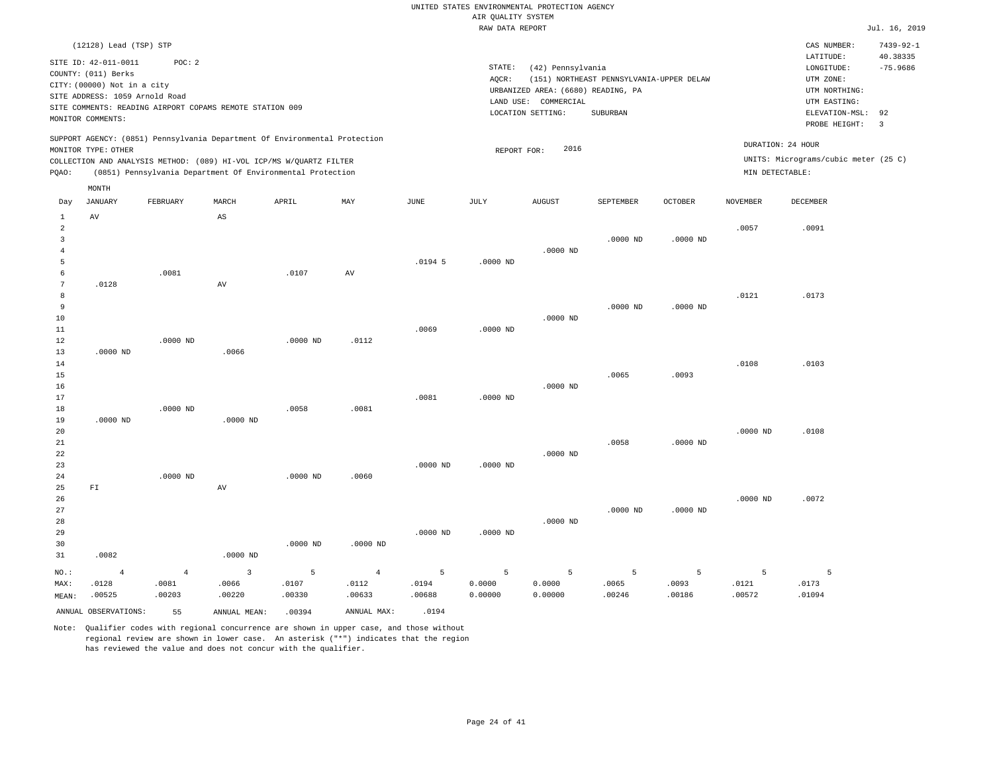| PQAO:                                              | (12128) Lead (TSP) STP<br>SITE ID: 42-011-0011<br>COUNTY: (011) Berks<br>CITY: (00000) Not in a city<br>SITE ADDRESS: 1059 Arnold Road<br>MONITOR COMMENTS:<br>MONITOR TYPE: OTHER<br>MONTH | POC: 2                            | SITE COMMENTS: READING AIRPORT COPAMS REMOTE STATION 009<br>SUPPORT AGENCY: (0851) Pennsylvania Department Of Environmental Protection<br>COLLECTION AND ANALYSIS METHOD: (089) HI-VOL ICP/MS W/QUARTZ FILTER<br>(0851) Pennsylvania Department Of Environmental Protection |                      |                                   |                               | STATE:<br>AQCR:<br>REPORT FOR: | (42) Pennsylvania<br>URBANIZED AREA: (6680) READING, PA<br>LAND USE: COMMERCIAL<br>LOCATION SETTING:<br>2016 | (151) NORTHEAST PENNSYLVANIA-UPPER DELAW<br>SUBURBAN |                      | DURATION: 24 HOUR<br>MIN DETECTABLE: | CAS NUMBER:<br>LATITUDE:<br>LONGITUDE:<br>UTM ZONE:<br>UTM NORTHING:<br>UTM EASTING:<br>ELEVATION-MSL:<br>PROBE HEIGHT:<br>UNITS: Micrograms/cubic meter (25 C) | $7439 - 92 - 1$<br>40.38335<br>$-75.9686$<br>92<br>$\overline{3}$ |
|----------------------------------------------------|---------------------------------------------------------------------------------------------------------------------------------------------------------------------------------------------|-----------------------------------|-----------------------------------------------------------------------------------------------------------------------------------------------------------------------------------------------------------------------------------------------------------------------------|----------------------|-----------------------------------|-------------------------------|--------------------------------|--------------------------------------------------------------------------------------------------------------|------------------------------------------------------|----------------------|--------------------------------------|-----------------------------------------------------------------------------------------------------------------------------------------------------------------|-------------------------------------------------------------------|
| Day                                                | <b>JANUARY</b>                                                                                                                                                                              | FEBRUARY                          | MARCH                                                                                                                                                                                                                                                                       | APRIL                | MAY                               | JUNE                          | JULY                           | <b>AUGUST</b>                                                                                                | SEPTEMBER                                            | <b>OCTOBER</b>       | <b>NOVEMBER</b>                      | DECEMBER                                                                                                                                                        |                                                                   |
| $\mathbf{1}$<br>2<br>$\overline{3}$<br>4<br>5<br>6 | AV                                                                                                                                                                                          | .0081                             | $\mathbb{A}\mathbb{S}$                                                                                                                                                                                                                                                      | .0107                | AV                                | $.0194$ 5                     | $.0000$ ND                     | $.0000$ ND                                                                                                   | $.0000$ ND                                           | $.0000$ ND           | .0057                                | .0091                                                                                                                                                           |                                                                   |
| $\overline{7}$<br>8<br>9<br>10<br>11<br>12         | .0128                                                                                                                                                                                       | $.0000$ ND                        | AV                                                                                                                                                                                                                                                                          | $.0000$ ND           | .0112                             | .0069                         | $.0000$ ND                     | $.0000$ ND                                                                                                   | $.0000$ ND                                           | $.0000$ ND           | .0121                                | .0173                                                                                                                                                           |                                                                   |
| 13<br>14<br>15<br>16<br>17<br>18                   | $.0000$ ND                                                                                                                                                                                  | $.0000$ ND                        | .0066                                                                                                                                                                                                                                                                       | .0058                | .0081                             | .0081                         | $.0000$ ND                     | $.0000$ ND                                                                                                   | .0065                                                | .0093                | .0108                                | .0103                                                                                                                                                           |                                                                   |
| 19<br>20<br>21<br>22<br>23<br>24                   | $.0000$ ND                                                                                                                                                                                  | .0000 ND                          | $.0000$ ND                                                                                                                                                                                                                                                                  | $.0000$ ND           | .0060                             | $.0000$ ND                    | $.0000$ ND                     | $.0000$ ND                                                                                                   | .0058                                                | $.0000$ ND           | $.0000$ ND                           | .0108                                                                                                                                                           |                                                                   |
| 25<br>26<br>27<br>28<br>29<br>30<br>31             | FI<br>.0082                                                                                                                                                                                 |                                   | AV<br>$.0000$ ND                                                                                                                                                                                                                                                            | $.0000$ ND           | $.0000$ ND                        | $.0000$ ND                    | $.0000$ ND                     | $.0000$ ND                                                                                                   | $.0000$ ND                                           | $.0000$ ND           | $.0000$ ND                           | .0072                                                                                                                                                           |                                                                   |
| NO.:<br>MAX:<br>MEAN:                              | $\overline{4}$<br>.0128<br>.00525<br>ANNUAL OBSERVATIONS:                                                                                                                                   | $\overline{4}$<br>.0081<br>.00203 | $\overline{3}$<br>.0066<br>.00220                                                                                                                                                                                                                                           | 5<br>.0107<br>.00330 | $\overline{4}$<br>.0112<br>.00633 | 5<br>.0194<br>.00688<br>.0194 | 5<br>0.0000<br>0.00000         | 5<br>0.0000<br>0.00000                                                                                       | $\overline{5}$<br>.0065<br>.00246                    | 5<br>.0093<br>.00186 | 5<br>.0121<br>.00572                 | 5<br>.0173<br>.01094                                                                                                                                            |                                                                   |
|                                                    |                                                                                                                                                                                             | 55                                | ANNUAL MEAN:                                                                                                                                                                                                                                                                | .00394               | ANNUAL MAX:                       |                               |                                |                                                                                                              |                                                      |                      |                                      |                                                                                                                                                                 |                                                                   |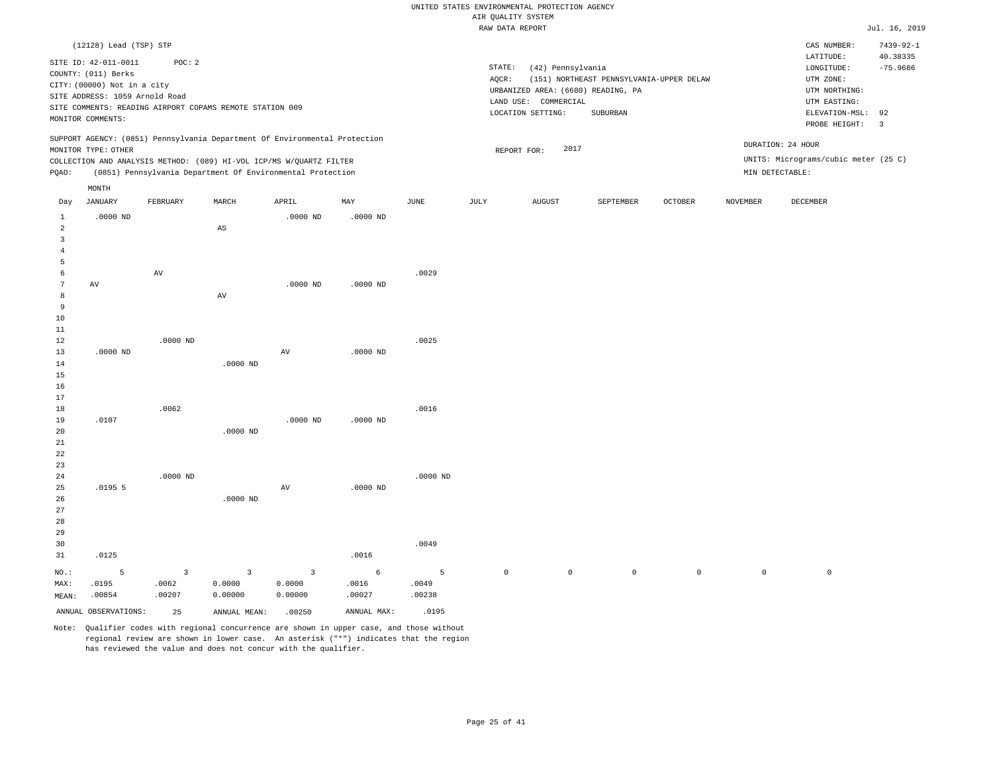|                |                                |                                                          |                        |                                                                            |            |             | RAW DATA REPORT |                                    |                                          |                     |                 |                                      | Jul. 16, 2019           |
|----------------|--------------------------------|----------------------------------------------------------|------------------------|----------------------------------------------------------------------------|------------|-------------|-----------------|------------------------------------|------------------------------------------|---------------------|-----------------|--------------------------------------|-------------------------|
|                | (12128) Lead (TSP) STP         |                                                          |                        |                                                                            |            |             |                 |                                    |                                          |                     |                 | CAS NUMBER:                          | $7439 - 92 - 1$         |
|                |                                |                                                          |                        |                                                                            |            |             |                 |                                    |                                          |                     |                 | LATITUDE:                            | 40.38335                |
|                | SITE ID: 42-011-0011           | POC: 2                                                   |                        |                                                                            |            |             | STATE:          | (42) Pennsylvania                  |                                          |                     |                 | $\texttt{LONGITUDE}$ :               | $-75.9686$              |
|                | COUNTY: (011) Berks            |                                                          |                        |                                                                            |            |             | AQCR:           |                                    | (151) NORTHEAST PENNSYLVANIA-UPPER DELAW |                     |                 | UTM ZONE:                            |                         |
|                | CITY: (00000) Not in a city    |                                                          |                        |                                                                            |            |             |                 | URBANIZED AREA: (6680) READING, PA |                                          |                     |                 | UTM NORTHING:                        |                         |
|                | SITE ADDRESS: 1059 Arnold Road |                                                          |                        |                                                                            |            |             |                 | LAND USE: COMMERCIAL               |                                          |                     |                 | UTM EASTING:                         |                         |
|                |                                | SITE COMMENTS: READING AIRPORT COPAMS REMOTE STATION 009 |                        |                                                                            |            |             |                 | LOCATION SETTING:                  | SUBURBAN                                 |                     |                 | ELEVATION-MSL:                       | 92                      |
|                | MONITOR COMMENTS:              |                                                          |                        |                                                                            |            |             |                 |                                    |                                          |                     |                 | PROBE HEIGHT:                        | $\overline{\mathbf{3}}$ |
|                |                                |                                                          |                        | SUPPORT AGENCY: (0851) Pennsylvania Department Of Environmental Protection |            |             |                 |                                    |                                          |                     |                 | DURATION: 24 HOUR                    |                         |
|                | MONITOR TYPE: OTHER            |                                                          |                        |                                                                            |            |             |                 | 2017<br>REPORT FOR:                |                                          |                     |                 |                                      |                         |
|                |                                |                                                          |                        | COLLECTION AND ANALYSIS METHOD: (089) HI-VOL ICP/MS W/QUARTZ FILTER        |            |             |                 |                                    |                                          |                     |                 | UNITS: Micrograms/cubic meter (25 C) |                         |
| PQAO:          |                                |                                                          |                        | (0851) Pennsylvania Department Of Environmental Protection                 |            |             |                 |                                    |                                          |                     |                 | MIN DETECTABLE:                      |                         |
|                | MONTH                          |                                                          |                        |                                                                            |            |             |                 |                                    |                                          |                     |                 |                                      |                         |
| Day            | <b>JANUARY</b>                 | FEBRUARY                                                 | MARCH                  | APRIL                                                                      | MAY        | <b>JUNE</b> | JULY            | <b>AUGUST</b>                      | SEPTEMBER                                | OCTOBER             | <b>NOVEMBER</b> | DECEMBER                             |                         |
| $\mathbf{1}$   | $.0000$ ND                     |                                                          |                        | $.0000$ ND                                                                 | $.0000$ ND |             |                 |                                    |                                          |                     |                 |                                      |                         |
| $\overline{a}$ |                                |                                                          | $\mathbb{A}\mathbb{S}$ |                                                                            |            |             |                 |                                    |                                          |                     |                 |                                      |                         |
| 3              |                                |                                                          |                        |                                                                            |            |             |                 |                                    |                                          |                     |                 |                                      |                         |
| $\overline{4}$ |                                |                                                          |                        |                                                                            |            |             |                 |                                    |                                          |                     |                 |                                      |                         |
| 5              |                                |                                                          |                        |                                                                            |            |             |                 |                                    |                                          |                     |                 |                                      |                         |
| 6              |                                | AV                                                       |                        |                                                                            |            | .0029       |                 |                                    |                                          |                     |                 |                                      |                         |
| $\overline{7}$ | AV                             |                                                          |                        | $.0000$ ND                                                                 | $.0000$ ND |             |                 |                                    |                                          |                     |                 |                                      |                         |
| 8              |                                |                                                          | AV                     |                                                                            |            |             |                 |                                    |                                          |                     |                 |                                      |                         |
| 9              |                                |                                                          |                        |                                                                            |            |             |                 |                                    |                                          |                     |                 |                                      |                         |
| 10             |                                |                                                          |                        |                                                                            |            |             |                 |                                    |                                          |                     |                 |                                      |                         |
| 11             |                                |                                                          |                        |                                                                            |            |             |                 |                                    |                                          |                     |                 |                                      |                         |
| 12             |                                | $.0000$ ND                                               |                        |                                                                            |            | .0025       |                 |                                    |                                          |                     |                 |                                      |                         |
| 13             | $.0000$ ND                     |                                                          |                        | AV                                                                         | $.0000$ ND |             |                 |                                    |                                          |                     |                 |                                      |                         |
| 14             |                                |                                                          | $.0000$ ND             |                                                                            |            |             |                 |                                    |                                          |                     |                 |                                      |                         |
| 15             |                                |                                                          |                        |                                                                            |            |             |                 |                                    |                                          |                     |                 |                                      |                         |
| 16             |                                |                                                          |                        |                                                                            |            |             |                 |                                    |                                          |                     |                 |                                      |                         |
| 17             |                                |                                                          |                        |                                                                            |            |             |                 |                                    |                                          |                     |                 |                                      |                         |
| 18             |                                | .0062                                                    |                        |                                                                            |            | .0016       |                 |                                    |                                          |                     |                 |                                      |                         |
| 19             | .0107                          |                                                          |                        | $.0000$ ND                                                                 | $.0000$ ND |             |                 |                                    |                                          |                     |                 |                                      |                         |
| 20             |                                |                                                          | $.0000$ ND             |                                                                            |            |             |                 |                                    |                                          |                     |                 |                                      |                         |
| 21             |                                |                                                          |                        |                                                                            |            |             |                 |                                    |                                          |                     |                 |                                      |                         |
| 22             |                                |                                                          |                        |                                                                            |            |             |                 |                                    |                                          |                     |                 |                                      |                         |
| 23             |                                |                                                          |                        |                                                                            |            |             |                 |                                    |                                          |                     |                 |                                      |                         |
| 24             |                                | $.0000$ ND                                               |                        |                                                                            |            | $.0000$ ND  |                 |                                    |                                          |                     |                 |                                      |                         |
| 25             | .01955                         |                                                          |                        | AV                                                                         | $.0000$ ND |             |                 |                                    |                                          |                     |                 |                                      |                         |
| 26             |                                |                                                          | $.0000$ ND             |                                                                            |            |             |                 |                                    |                                          |                     |                 |                                      |                         |
| 27             |                                |                                                          |                        |                                                                            |            |             |                 |                                    |                                          |                     |                 |                                      |                         |
| 28             |                                |                                                          |                        |                                                                            |            |             |                 |                                    |                                          |                     |                 |                                      |                         |
| 29             |                                |                                                          |                        |                                                                            |            |             |                 |                                    |                                          |                     |                 |                                      |                         |
| 30             |                                |                                                          |                        |                                                                            |            | .0049       |                 |                                    |                                          |                     |                 |                                      |                         |
| 31             | .0125                          |                                                          |                        |                                                                            | .0016      |             |                 |                                    |                                          |                     |                 |                                      |                         |
| NO.:           | 5                              | $\overline{\mathbf{3}}$                                  | 3                      | 3                                                                          | 6          | -5          | $\circ$         | $\mathsf{O}\xspace$                | 0                                        | $\mathsf{O}\xspace$ | $\circ$         | $\,0\,$                              |                         |
| MAX:           | .0195                          | .0062                                                    | 0.0000                 | 0.0000                                                                     | .0016      | .0049       |                 |                                    |                                          |                     |                 |                                      |                         |
| MFAN:          | .00854                         | .00207                                                   | 0.00000                | 0.00000                                                                    | 00027      | .00238      |                 |                                    |                                          |                     |                 |                                      |                         |

Note: Qualifier codes with regional concurrence are shown in upper case, and those without regional review are shown in lower case. An asterisk ("\*") indicates that the region has reviewed the value and does not concur with the qualifier.

ANNUAL OBSERVATIONS: 25 ANNUAL MEAN: .00250 ANNUAL MAX: .0195

MEAN: .00854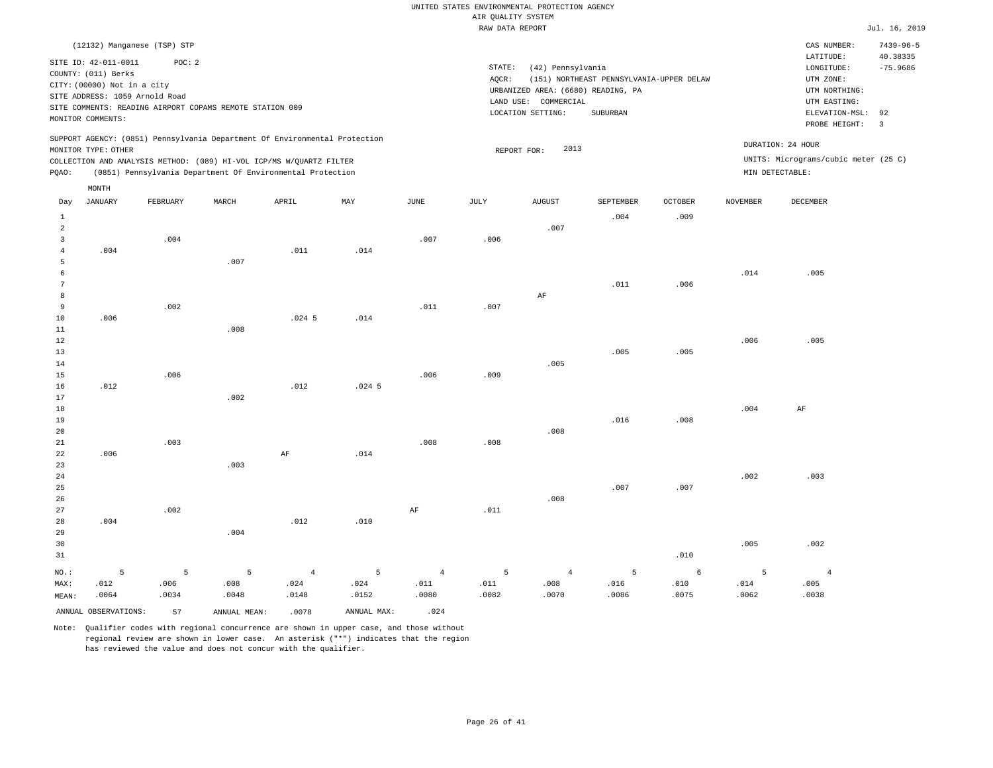|                |                                |                                                          |                |                                                                            |          |                | RAW DATA REPORT |                                    |                                          |                |                 |                                      | Jul. 16, 2019        |
|----------------|--------------------------------|----------------------------------------------------------|----------------|----------------------------------------------------------------------------|----------|----------------|-----------------|------------------------------------|------------------------------------------|----------------|-----------------|--------------------------------------|----------------------|
|                |                                | (12132) Manganese (TSP) STP                              |                |                                                                            |          |                |                 |                                    |                                          |                |                 | CAS NUMBER:                          | $7439 - 96 - 5$      |
|                | SITE ID: 42-011-0011           | POC: 2                                                   |                |                                                                            |          |                | STATE:          |                                    |                                          |                |                 | LATITUDE:                            | 40.38335             |
|                | COUNTY: (011) Berks            |                                                          |                |                                                                            |          |                |                 | (42) Pennsylvania                  |                                          |                |                 | LONGITUDE:                           | $-75.9686$           |
|                | CITY: (00000) Not in a city    |                                                          |                |                                                                            |          |                | AQCR:           |                                    | (151) NORTHEAST PENNSYLVANIA-UPPER DELAW |                |                 | UTM ZONE:                            |                      |
|                | SITE ADDRESS: 1059 Arnold Road |                                                          |                |                                                                            |          |                |                 | URBANIZED AREA: (6680) READING, PA |                                          |                |                 | UTM NORTHING:                        |                      |
|                |                                | SITE COMMENTS: READING AIRPORT COPAMS REMOTE STATION 009 |                |                                                                            |          |                |                 | LAND USE: COMMERCIAL               |                                          |                |                 | UTM EASTING:                         |                      |
|                | MONITOR COMMENTS:              |                                                          |                |                                                                            |          |                |                 | LOCATION SETTING:                  | SUBURBAN                                 |                |                 | ELEVATION-MSL:<br>PROBE HEIGHT:      | 92<br>$\overline{3}$ |
|                |                                |                                                          |                | SUPPORT AGENCY: (0851) Pennsylvania Department Of Environmental Protection |          |                |                 |                                    |                                          |                |                 |                                      |                      |
|                | MONITOR TYPE: OTHER            |                                                          |                |                                                                            |          |                |                 | 2013<br>REPORT FOR:                |                                          |                |                 | DURATION: 24 HOUR                    |                      |
|                |                                |                                                          |                | COLLECTION AND ANALYSIS METHOD: (089) HI-VOL ICP/MS W/QUARTZ FILTER        |          |                |                 |                                    |                                          |                |                 | UNITS: Micrograms/cubic meter (25 C) |                      |
| PQAO:          |                                |                                                          |                | (0851) Pennsylvania Department Of Environmental Protection                 |          |                |                 |                                    |                                          |                |                 | MIN DETECTABLE:                      |                      |
|                | MONTH                          |                                                          |                |                                                                            |          |                |                 |                                    |                                          |                |                 |                                      |                      |
| Day            | JANUARY                        | FEBRUARY                                                 | MARCH          | APRIL                                                                      | MAY      | <b>JUNE</b>    | JULY            | <b>AUGUST</b>                      | SEPTEMBER                                | <b>OCTOBER</b> | <b>NOVEMBER</b> | DECEMBER                             |                      |
| $\mathbf{1}$   |                                |                                                          |                |                                                                            |          |                |                 |                                    | .004                                     | .009           |                 |                                      |                      |
| $\overline{a}$ |                                |                                                          |                |                                                                            |          |                |                 | .007                               |                                          |                |                 |                                      |                      |
| 3              |                                | .004                                                     |                |                                                                            |          | .007           | .006            |                                    |                                          |                |                 |                                      |                      |
| 4              | .004                           |                                                          |                | .011                                                                       | .014     |                |                 |                                    |                                          |                |                 |                                      |                      |
| 5              |                                |                                                          | .007           |                                                                            |          |                |                 |                                    |                                          |                |                 |                                      |                      |
| 6              |                                |                                                          |                |                                                                            |          |                |                 |                                    |                                          |                | .014            | .005                                 |                      |
| $\overline{7}$ |                                |                                                          |                |                                                                            |          |                |                 |                                    | .011                                     | .006           |                 |                                      |                      |
| 8              |                                |                                                          |                |                                                                            |          |                |                 | AF                                 |                                          |                |                 |                                      |                      |
| $\overline{9}$ |                                | .002                                                     |                |                                                                            |          | .011           | .007            |                                    |                                          |                |                 |                                      |                      |
| 10             | .006                           |                                                          |                | $.024$ 5                                                                   | .014     |                |                 |                                    |                                          |                |                 |                                      |                      |
| 11             |                                |                                                          | .008           |                                                                            |          |                |                 |                                    |                                          |                |                 |                                      |                      |
| 12             |                                |                                                          |                |                                                                            |          |                |                 |                                    |                                          |                | .006            | .005                                 |                      |
| 13             |                                |                                                          |                |                                                                            |          |                |                 |                                    | .005                                     | .005           |                 |                                      |                      |
| 14             |                                |                                                          |                |                                                                            |          |                |                 | .005                               |                                          |                |                 |                                      |                      |
| 15             |                                | .006                                                     |                |                                                                            |          | .006           | .009            |                                    |                                          |                |                 |                                      |                      |
| 16             | .012                           |                                                          |                | .012                                                                       | $.024$ 5 |                |                 |                                    |                                          |                |                 |                                      |                      |
| 17             |                                |                                                          | .002           |                                                                            |          |                |                 |                                    |                                          |                |                 |                                      |                      |
| 18             |                                |                                                          |                |                                                                            |          |                |                 |                                    |                                          |                | .004            | $\rm AF$                             |                      |
| 19             |                                |                                                          |                |                                                                            |          |                |                 |                                    | .016                                     | .008           |                 |                                      |                      |
| 20<br>21       |                                | .003                                                     |                |                                                                            |          | .008           | .008            | .008                               |                                          |                |                 |                                      |                      |
| 22             | .006                           |                                                          |                | AF                                                                         | .014     |                |                 |                                    |                                          |                |                 |                                      |                      |
| 23             |                                |                                                          | .003           |                                                                            |          |                |                 |                                    |                                          |                |                 |                                      |                      |
| 24             |                                |                                                          |                |                                                                            |          |                |                 |                                    |                                          |                | .002            | .003                                 |                      |
| 25             |                                |                                                          |                |                                                                            |          |                |                 |                                    | .007                                     | .007           |                 |                                      |                      |
| 26             |                                |                                                          |                |                                                                            |          |                |                 | .008                               |                                          |                |                 |                                      |                      |
| 27             |                                | .002                                                     |                |                                                                            |          | AF             | .011            |                                    |                                          |                |                 |                                      |                      |
| 28             | .004                           |                                                          |                | .012                                                                       | .010     |                |                 |                                    |                                          |                |                 |                                      |                      |
| 29             |                                |                                                          | .004           |                                                                            |          |                |                 |                                    |                                          |                |                 |                                      |                      |
| 30             |                                |                                                          |                |                                                                            |          |                |                 |                                    |                                          |                | .005            | .002                                 |                      |
| 31             |                                |                                                          |                |                                                                            |          |                |                 |                                    |                                          | .010           |                 |                                      |                      |
| NO.:           | 5                              | 5                                                        | $\overline{5}$ | $\overline{4}$                                                             | 5        | $\overline{4}$ | 5               | $\overline{4}$                     | 5                                        | 6              | 5               | $\overline{4}$                       |                      |
| MAX:           | .012                           | .006                                                     | .008           | .024                                                                       | .024     | .011           | .011            | .008                               | .016                                     | .010           | .014            | .005                                 |                      |
| MEAN:          | .0064                          | .0034                                                    | .0048          | .0148                                                                      | .0152    | .0080          | .0082           | .0070                              | .0086                                    | .0075          | .0062           | .0038                                |                      |

ANNUAL OBSERVATIONS: 57 ANNUAL MEAN: .0078 ANNUAL MAX: .024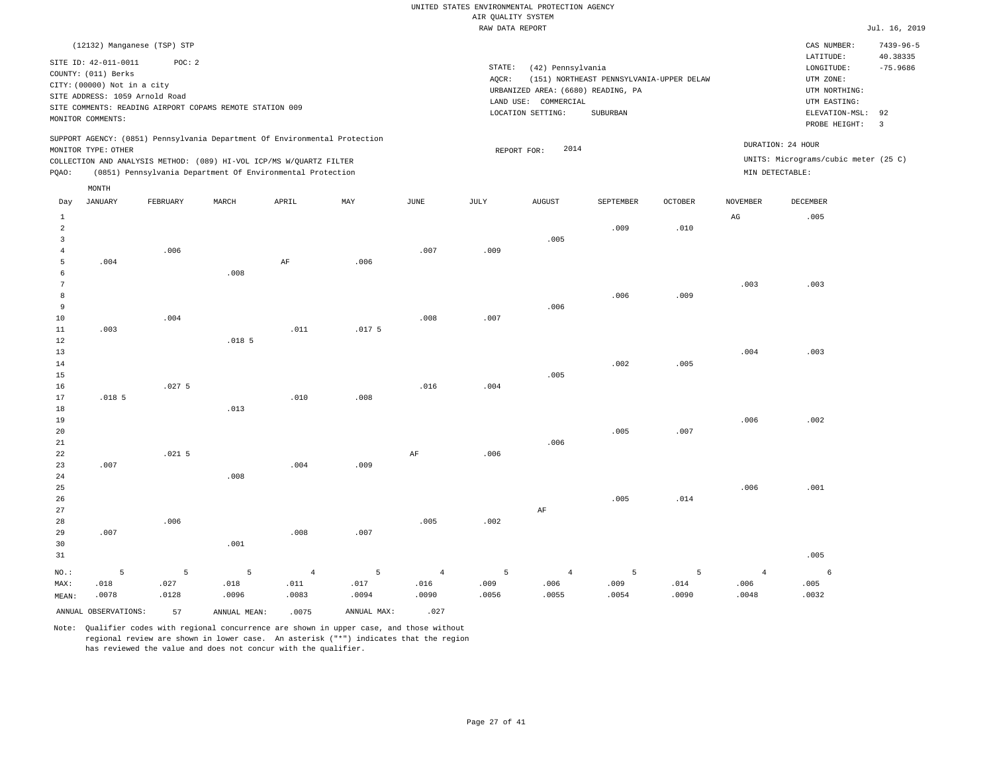|                         | (12132) Manganese (TSP) STP    |          |                                                                            |                |                           |                       |             |                                    |                                          |         |                 | CAS NUMBER:                          | $7439 - 96 - 5$      |
|-------------------------|--------------------------------|----------|----------------------------------------------------------------------------|----------------|---------------------------|-----------------------|-------------|------------------------------------|------------------------------------------|---------|-----------------|--------------------------------------|----------------------|
|                         | SITE ID: 42-011-0011           | POC: 2   |                                                                            |                |                           |                       |             |                                    |                                          |         |                 | LATITUDE:                            | 40.38335             |
|                         | COUNTY: (011) Berks            |          |                                                                            |                |                           |                       | STATE:      | (42) Pennsylvania                  |                                          |         |                 | $\texttt{LONGITUDE}$ :               | $-75.9686$           |
|                         | CITY: (00000) Not in a city    |          |                                                                            |                |                           |                       | AQCR:       |                                    | (151) NORTHEAST PENNSYLVANIA-UPPER DELAW |         |                 | UTM ZONE:                            |                      |
|                         | SITE ADDRESS: 1059 Arnold Road |          |                                                                            |                |                           |                       |             | URBANIZED AREA: (6680) READING, PA |                                          |         |                 | UTM NORTHING:                        |                      |
|                         |                                |          | SITE COMMENTS: READING AIRPORT COPAMS REMOTE STATION 009                   |                |                           |                       |             | LAND USE: COMMERCIAL               |                                          |         |                 | UTM EASTING:                         |                      |
|                         | MONITOR COMMENTS:              |          |                                                                            |                |                           |                       |             | LOCATION SETTING:                  | SUBURBAN                                 |         |                 | ELEVATION-MSL:<br>PROBE HEIGHT:      | 92<br>$\overline{3}$ |
|                         |                                |          | SUPPORT AGENCY: (0851) Pennsylvania Department Of Environmental Protection |                |                           |                       |             |                                    |                                          |         |                 |                                      |                      |
|                         | MONITOR TYPE: OTHER            |          |                                                                            |                |                           |                       | REPORT FOR: | 2014                               |                                          |         |                 | DURATION: 24 HOUR                    |                      |
|                         |                                |          | COLLECTION AND ANALYSIS METHOD: (089) HI-VOL ICP/MS W/QUARTZ FILTER        |                |                           |                       |             |                                    |                                          |         |                 | UNITS: Micrograms/cubic meter (25 C) |                      |
| PQAO:                   |                                |          | (0851) Pennsylvania Department Of Environmental Protection                 |                |                           |                       |             |                                    |                                          |         |                 | MIN DETECTABLE:                      |                      |
|                         | MONTH                          |          |                                                                            |                |                           |                       |             |                                    |                                          |         |                 |                                      |                      |
| Day                     | <b>JANUARY</b>                 | FEBRUARY | MARCH                                                                      | APRIL          | $\ensuremath{\text{MAX}}$ | $\operatorname{JUNE}$ | JULY        | ${\tt AUGUST}$                     | SEPTEMBER                                | OCTOBER | <b>NOVEMBER</b> | DECEMBER                             |                      |
| <b>1</b>                |                                |          |                                                                            |                |                           |                       |             |                                    |                                          |         | $_{\rm AG}$     | .005                                 |                      |
| $\overline{2}$          |                                |          |                                                                            |                |                           |                       |             |                                    | .009                                     | .010    |                 |                                      |                      |
| $\overline{\mathbf{3}}$ |                                |          |                                                                            |                |                           |                       |             | .005                               |                                          |         |                 |                                      |                      |
| $\overline{4}$          |                                | .006     |                                                                            |                |                           | .007                  | .009        |                                    |                                          |         |                 |                                      |                      |
| 5                       | .004                           |          |                                                                            | $\rm AF$       | .006                      |                       |             |                                    |                                          |         |                 |                                      |                      |
| 6                       |                                |          | .008                                                                       |                |                           |                       |             |                                    |                                          |         |                 |                                      |                      |
| $\overline{7}$          |                                |          |                                                                            |                |                           |                       |             |                                    |                                          |         | .003            | .003                                 |                      |
| 8                       |                                |          |                                                                            |                |                           |                       |             |                                    | .006                                     | .009    |                 |                                      |                      |
| 9                       |                                |          |                                                                            |                |                           |                       |             | .006                               |                                          |         |                 |                                      |                      |
| $10$                    |                                | .004     |                                                                            |                |                           | .008                  | .007        |                                    |                                          |         |                 |                                      |                      |
| 11                      | .003                           |          |                                                                            | .011           | .017 <sub>5</sub>         |                       |             |                                    |                                          |         |                 |                                      |                      |
| 12                      |                                |          | .018 <sub>5</sub>                                                          |                |                           |                       |             |                                    |                                          |         |                 |                                      |                      |
| 13                      |                                |          |                                                                            |                |                           |                       |             |                                    |                                          |         | .004            | .003                                 |                      |
| 14                      |                                |          |                                                                            |                |                           |                       |             |                                    | .002                                     | .005    |                 |                                      |                      |
| 15                      |                                |          |                                                                            |                |                           |                       |             | .005                               |                                          |         |                 |                                      |                      |
| 16                      |                                | .0275    |                                                                            |                |                           | .016                  | .004        |                                    |                                          |         |                 |                                      |                      |
| 17                      | .018 <sub>5</sub>              |          |                                                                            | .010           | .008                      |                       |             |                                    |                                          |         |                 |                                      |                      |
| 18                      |                                |          | .013                                                                       |                |                           |                       |             |                                    |                                          |         |                 |                                      |                      |
| 19                      |                                |          |                                                                            |                |                           |                       |             |                                    |                                          |         | .006            | .002                                 |                      |
| 20<br>21                |                                |          |                                                                            |                |                           |                       |             | .006                               | .005                                     | .007    |                 |                                      |                      |
| 22                      |                                | $.021$ 5 |                                                                            |                |                           | $\rm{AF}$             | .006        |                                    |                                          |         |                 |                                      |                      |
| 23                      | .007                           |          |                                                                            | .004           | .009                      |                       |             |                                    |                                          |         |                 |                                      |                      |
| 24                      |                                |          | .008                                                                       |                |                           |                       |             |                                    |                                          |         |                 |                                      |                      |
| 25                      |                                |          |                                                                            |                |                           |                       |             |                                    |                                          |         | .006            | .001                                 |                      |
| 26                      |                                |          |                                                                            |                |                           |                       |             |                                    | .005                                     | .014    |                 |                                      |                      |
| 27                      |                                |          |                                                                            |                |                           |                       |             | $\rm AF$                           |                                          |         |                 |                                      |                      |
| 28                      |                                | .006     |                                                                            |                |                           | .005                  | .002        |                                    |                                          |         |                 |                                      |                      |
| 29                      | .007                           |          |                                                                            | .008           | .007                      |                       |             |                                    |                                          |         |                 |                                      |                      |
| 30                      |                                |          | .001                                                                       |                |                           |                       |             |                                    |                                          |         |                 |                                      |                      |
| 31                      |                                |          |                                                                            |                |                           |                       |             |                                    |                                          |         |                 | .005                                 |                      |
| $NO.$ :                 | 5                              | 5        | 5                                                                          | $\overline{4}$ | 5                         | $\overline{4}$        | 5           | $\overline{4}$                     | 5                                        | 5       | $\overline{4}$  | 6                                    |                      |
| MAX:                    | .018                           | .027     | .018                                                                       | .011           | .017                      | .016                  | .009        | .006                               | .009                                     | .014    | .006            | .005                                 |                      |
| MEAN:                   | .0078                          | .0128    | .0096                                                                      | .0083          | .0094                     | .0090                 | .0056       | .0055                              | .0054                                    | .0090   | .0048           | .0032                                |                      |
|                         | ANNUAL OBSERVATIONS:           | 57       | ANNUAL MEAN:                                                               | .0075          | ANNUAL MAX:               | .027                  |             |                                    |                                          |         |                 |                                      |                      |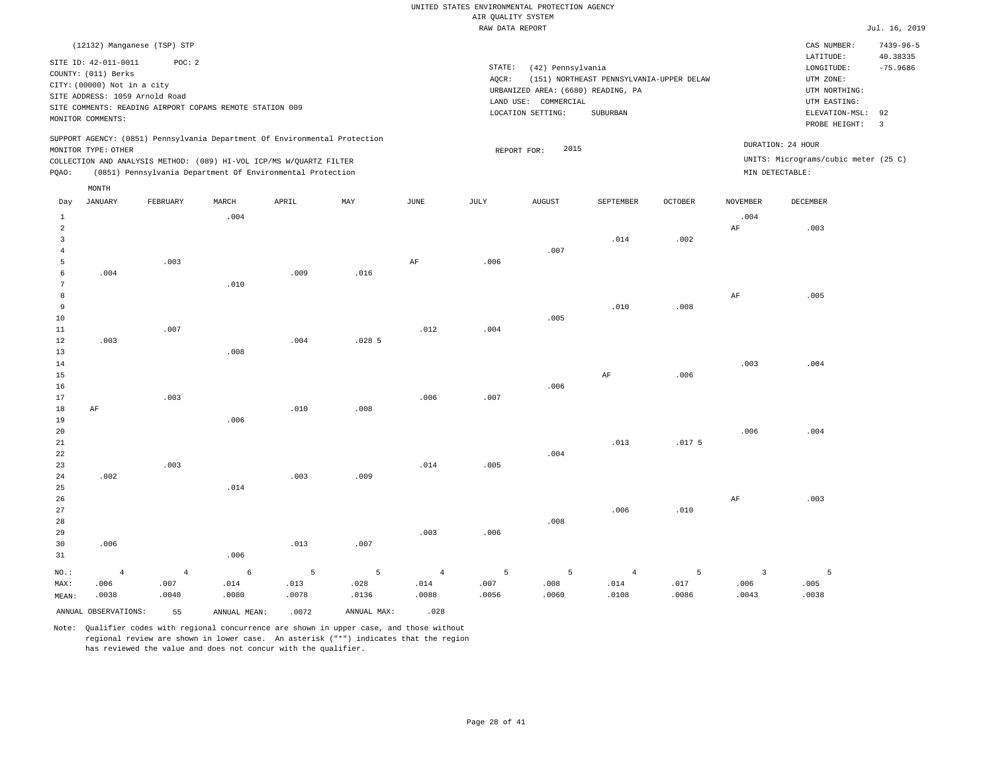|                                                                                                                                                                                                                                                 | RAW DATA REPORT                                                                                                                                                                    | Jul. 16, 2019                                                                                                                           |
|-------------------------------------------------------------------------------------------------------------------------------------------------------------------------------------------------------------------------------------------------|------------------------------------------------------------------------------------------------------------------------------------------------------------------------------------|-----------------------------------------------------------------------------------------------------------------------------------------|
| (12132) Manganese (TSP) STP                                                                                                                                                                                                                     |                                                                                                                                                                                    | $7439 - 96 - 5$<br>CAS NUMBER:                                                                                                          |
| SITE ID: 42-011-0011<br>POC:2<br>COUNTY: (011) Berks<br>CITY: (00000) Not in a city<br>SITE ADDRESS: 1059 Arnold Road<br>SITE COMMENTS: READING AIRPORT COPAMS REMOTE STATION 009<br>MONITOR COMMENTS:                                          | STATE:<br>(42) Pennsylvania<br>(151) NORTHEAST PENNSYLVANIA-UPPER DELAW<br>AOCR:<br>URBANIZED AREA: (6680) READING, PA<br>COMMERCIAL<br>LAND USE:<br>LOCATION SETTING:<br>SUBURBAN | 40.38335<br>LATITUDE:<br>$-75.9686$<br>LONGITUDE:<br>UTM ZONE:<br>UTM NORTHING:<br>UTM EASTING:<br>ELEVATION-MSL: 92<br>PROBE HEIGHT: 3 |
| SUPPORT AGENCY: (0851) Pennsylvania Department Of Environmental Protection<br>MONITOR TYPE: OTHER<br>COLLECTION AND ANALYSIS METHOD: (089) HI-VOL ICP/MS W/OUARTZ FILTER<br>(0851) Pennsylvania Department Of Environmental Protection<br>POAO: | 2015<br>REPORT FOR:                                                                                                                                                                | DURATION: 24 HOUR<br>UNITS: Micrograms/cubic meter (25 C)<br>MIN DETECTABLE:                                                            |

| Day            | <b>JANUARY</b>       | FEBRUARY       | $\tt MARCH$  | APRIL | $\mathtt{MAX}$ | $_{\rm JUNE}$ | $\mathtt{JULY}$ | AUGUST | SEPTEMBER  | OCTOBER | NOVEMBER                | $\tt DECEMBER$ |
|----------------|----------------------|----------------|--------------|-------|----------------|---------------|-----------------|--------|------------|---------|-------------------------|----------------|
| $\mathbf{1}$   |                      |                | .004         |       |                |               |                 |        |            |         | .004                    |                |
| $\overline{a}$ |                      |                |              |       |                |               |                 |        |            |         | $\rm{AF}$               | .003           |
| 3              |                      |                |              |       |                |               |                 |        | .014       | .002    |                         |                |
| $\overline{4}$ |                      |                |              |       |                |               |                 | .007   |            |         |                         |                |
| 5              |                      | .003           |              |       |                | $\rm{AF}$     | .006            |        |            |         |                         |                |
| 6              | .004                 |                |              | .009  | .016           |               |                 |        |            |         |                         |                |
| 7              |                      |                | .010         |       |                |               |                 |        |            |         |                         |                |
| 8              |                      |                |              |       |                |               |                 |        |            |         | $\rm{AF}$               | .005           |
| 9              |                      |                |              |       |                |               |                 |        | .010       | .008    |                         |                |
| 10             |                      |                |              |       |                |               |                 | .005   |            |         |                         |                |
| 11             |                      | .007           |              |       |                | .012          | .004            |        |            |         |                         |                |
| 12             | .003                 |                |              | .004  | .0285          |               |                 |        |            |         |                         |                |
| 13             |                      |                | .008         |       |                |               |                 |        |            |         |                         |                |
| 14<br>15       |                      |                |              |       |                |               |                 |        | $\rm{AF}$  | .006    | .003                    | .004           |
| 16             |                      |                |              |       |                |               |                 | .006   |            |         |                         |                |
| 17             |                      | .003           |              |       |                | .006          | .007            |        |            |         |                         |                |
| 18             | $\rm{AF}$            |                |              | .010  | .008           |               |                 |        |            |         |                         |                |
| 19             |                      |                | .006         |       |                |               |                 |        |            |         |                         |                |
| 20             |                      |                |              |       |                |               |                 |        |            |         | .006                    | .004           |
| 21             |                      |                |              |       |                |               |                 |        | .013       | .0175   |                         |                |
| 22             |                      |                |              |       |                |               |                 | .004   |            |         |                         |                |
| 23             |                      | .003           |              |       |                | .014          | .005            |        |            |         |                         |                |
| 24             | .002                 |                |              | .003  | .009           |               |                 |        |            |         |                         |                |
| 25             |                      |                | .014         |       |                |               |                 |        |            |         |                         |                |
| 26             |                      |                |              |       |                |               |                 |        |            |         | $\rm{AF}$               | .003           |
| 27             |                      |                |              |       |                |               |                 |        | .006       | .010    |                         |                |
| 28             |                      |                |              |       |                |               |                 | .008   |            |         |                         |                |
| 29             |                      |                |              |       |                | .003          | .006            |        |            |         |                         |                |
| 30             | .006                 |                |              | .013  | .007           |               |                 |        |            |         |                         |                |
| 31             |                      |                | .006         |       |                |               |                 |        |            |         |                         |                |
| $NO.$ :        | $\,4\,$              | $\overline{4}$ | $\epsilon$   | 5     | $\overline{5}$ | $\sqrt{4}$    | 5               | 5      | $\sqrt{4}$ | 5       | $\overline{\mathbf{3}}$ | 5              |
| MAX:           | .006                 | .007           | .014         | .013  | .028           | .014          | .007            | .008   | .014       | .017    | .006                    | .005           |
| MEAN:          | .0038                | .0040          | .0080        | .0078 | .0136          | .0088         | .0056           | .0060  | .0108      | .0086   | .0043                   | .0038          |
|                | ANNUAL OBSERVATIONS: | 55             | ANNUAL MEAN: | .0072 | ANNUAL MAX:    | .028          |                 |        |            |         |                         |                |

Note: Qualifier codes with regional concurrence are shown in upper case, and those without regional review are shown in lower case. An asterisk ("\*") indicates that the region

MONTH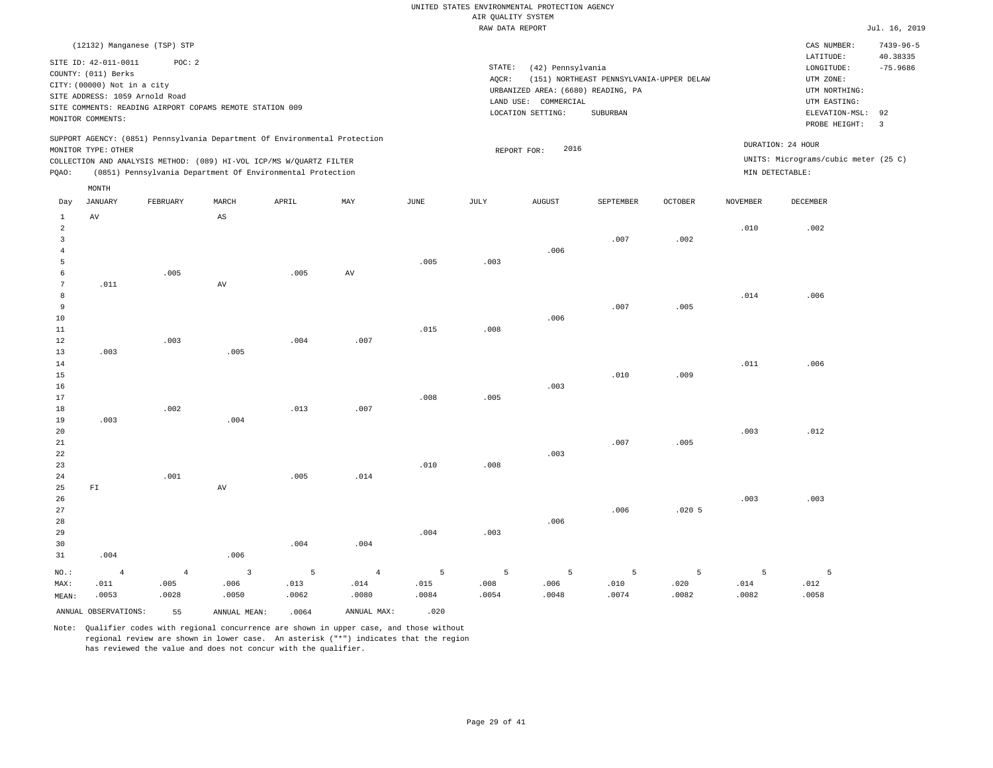|                                                                                                                                                                                                                                                          | RAW DATA REPORT                                                                                                                                                                 | Jul. 16, 2019                                                                                                                                                                 |
|----------------------------------------------------------------------------------------------------------------------------------------------------------------------------------------------------------------------------------------------------------|---------------------------------------------------------------------------------------------------------------------------------------------------------------------------------|-------------------------------------------------------------------------------------------------------------------------------------------------------------------------------|
| (12132) Manganese (TSP) STP<br>POC: 2<br>SITE ID: 42-011-0011<br>COUNTY: (011) Berks<br>CITY: (00000) Not in a city<br>SITE ADDRESS: 1059 Arnold Road<br>SITE COMMENTS: READING AIRPORT COPAMS REMOTE STATION 009<br>MONITOR COMMENTS:                   | STATE:<br>(42) Pennsylvania<br>(151) NORTHEAST PENNSYLVANIA-UPPER DELAW<br>AOCR:<br>URBANIZED AREA: (6680) READING, PA<br>LAND USE: COMMERCIAL<br>SUBURBAN<br>LOCATION SETTING: | $7439 - 96 - 5$<br>CAS NUMBER:<br>40.38335<br>LATITUDE:<br>$-75.9686$<br>LONGITUDE:<br>UTM ZONE:<br>UTM NORTHING:<br>UTM EASTING:<br>ELEVATION-MSL: 92<br>PROBE HEIGHT:<br>-3 |
| SUPPORT AGENCY: (0851) Pennsylvania Department Of Environmental Protection<br>MONITOR TYPE: OTHER<br>COLLECTION AND ANALYSIS METHOD: (089) HI-VOL ICP/MS W/QUARTZ FILTER<br>(0851) Pennsylvania Department Of Environmental Protection<br>POAO:<br>MONTH | 2016<br>REPORT FOR:                                                                                                                                                             | DURATION: 24 HOUR<br>UNITS: Micrograms/cubic meter (25 C)<br>MIN DETECTABLE:                                                                                                  |

| Day            | <b>JANUARY</b>       | FEBRUARY       | $\tt MARCH$             | ${\tt APRIL}$ | $\mathtt{MAX}$  | $_{\rm JUNE}$ | $_{\rm JULY}$ | AUGUST | SEPTEMBER | $\mathtt{OCTOBER}$ | NOVEMBER | DECEMBER    |
|----------------|----------------------|----------------|-------------------------|---------------|-----------------|---------------|---------------|--------|-----------|--------------------|----------|-------------|
| 1              | $\,\mathrm{AV}$      |                | $\mathbb{A}\mathbb{S}$  |               |                 |               |               |        |           |                    |          |             |
| $\overline{a}$ |                      |                |                         |               |                 |               |               |        |           |                    | .010     | .002        |
| 3              |                      |                |                         |               |                 |               |               |        | .007      | .002               |          |             |
| $\overline{4}$ |                      |                |                         |               |                 |               |               | .006   |           |                    |          |             |
| 5              |                      |                |                         |               |                 | .005          | .003          |        |           |                    |          |             |
| 6              |                      | .005           |                         | .005          | $\,\mathrm{AV}$ |               |               |        |           |                    |          |             |
| 7              | .011                 |                | AV                      |               |                 |               |               |        |           |                    |          |             |
| 8              |                      |                |                         |               |                 |               |               |        |           |                    | .014     | .006        |
| 9              |                      |                |                         |               |                 |               |               |        | .007      | .005               |          |             |
| 10             |                      |                |                         |               |                 |               |               | .006   |           |                    |          |             |
| $11\,$         |                      |                |                         |               |                 | .015          | .008          |        |           |                    |          |             |
| 12             |                      | .003           |                         | .004          | .007            |               |               |        |           |                    |          |             |
| 13             | .003                 |                | .005                    |               |                 |               |               |        |           |                    |          |             |
| 14             |                      |                |                         |               |                 |               |               |        |           |                    | .011     | .006        |
| 15             |                      |                |                         |               |                 |               |               |        | .010      | .009               |          |             |
| 16             |                      |                |                         |               |                 |               |               | .003   |           |                    |          |             |
| 17             |                      |                |                         |               |                 | .008          | .005          |        |           |                    |          |             |
| 18<br>19       | .003                 | .002           | .004                    | .013          | .007            |               |               |        |           |                    |          |             |
| 20             |                      |                |                         |               |                 |               |               |        |           |                    | .003     | .012        |
| 21             |                      |                |                         |               |                 |               |               |        | .007      | .005               |          |             |
| $2\sqrt{2}$    |                      |                |                         |               |                 |               |               | .003   |           |                    |          |             |
| 23             |                      |                |                         |               |                 | .010          | .008          |        |           |                    |          |             |
| 24             |                      | .001           |                         | .005          | .014            |               |               |        |           |                    |          |             |
| 25             | ${\rm FT}$           |                | $\,\mathrm{AV}$         |               |                 |               |               |        |           |                    |          |             |
| 26             |                      |                |                         |               |                 |               |               |        |           |                    | .003     | .003        |
| 27             |                      |                |                         |               |                 |               |               |        | .006      | .0205              |          |             |
| 28             |                      |                |                         |               |                 |               |               | .006   |           |                    |          |             |
| 29             |                      |                |                         |               |                 | .004          | .003          |        |           |                    |          |             |
| 30             |                      |                |                         | .004          | .004            |               |               |        |           |                    |          |             |
| 31             | .004                 |                | .006                    |               |                 |               |               |        |           |                    |          |             |
| $NO.$ :        | $\overline{4}$       | $\overline{4}$ | $\overline{\mathbf{3}}$ | 5             | $\overline{4}$  | 5             | 5             | 5      | 5         | 5                  | 5        | $5^{\circ}$ |
| MAX:           | .011                 | .005           | .006                    | .013          | .014            | .015          | .008          | .006   | .010      | .020               | .014     | .012        |
| MEAN:          | .0053                | .0028          | .0050                   | .0062         | .0080           | .0084         | .0054         | .0048  | .0074     | .0082              | .0082    | .0058       |
|                | ANNUAL OBSERVATIONS: | 55             | ANNUAL MEAN:            | .0064         | ANNUAL MAX:     | .020          |               |        |           |                    |          |             |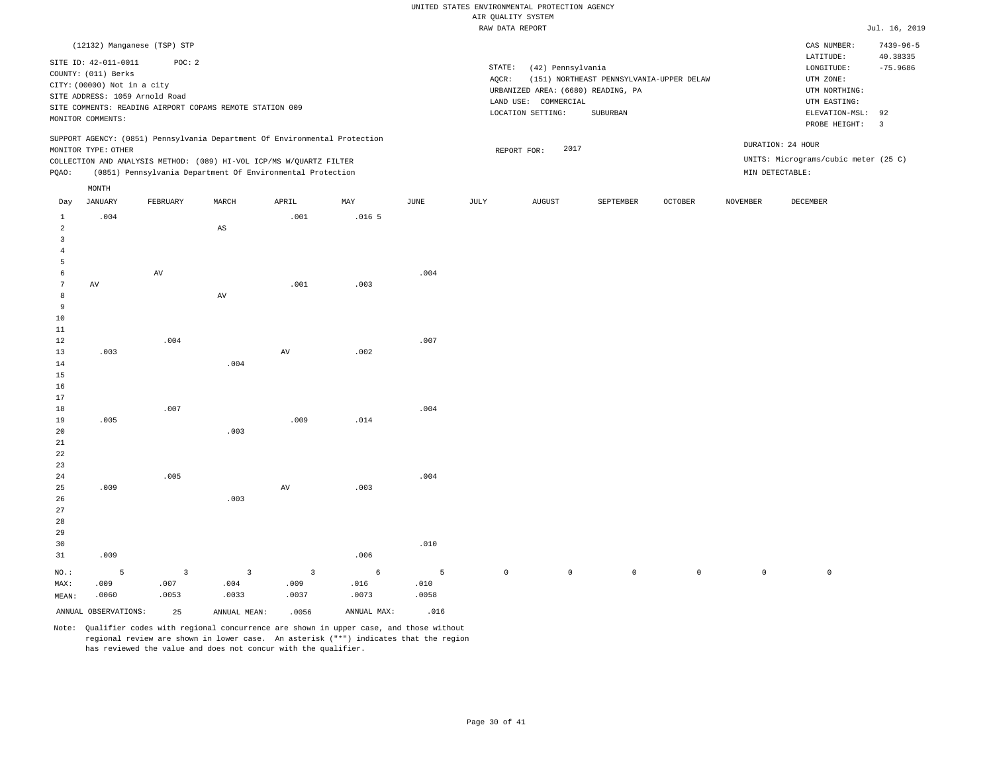|                                |                                |                         |                                                                            |                         |                   |             | RAW DATA REPORT |                                    |                                          |             |                 |                                      | Jul. 16, 2019   |
|--------------------------------|--------------------------------|-------------------------|----------------------------------------------------------------------------|-------------------------|-------------------|-------------|-----------------|------------------------------------|------------------------------------------|-------------|-----------------|--------------------------------------|-----------------|
|                                | (12132) Manganese (TSP) STP    |                         |                                                                            |                         |                   |             |                 |                                    |                                          |             |                 | CAS NUMBER:                          | $7439 - 96 - 5$ |
|                                | SITE ID: 42-011-0011           | POC: 2                  |                                                                            |                         |                   |             |                 |                                    |                                          |             |                 | LATITUDE:                            | 40.38335        |
|                                | COUNTY: (011) Berks            |                         |                                                                            |                         |                   |             | STATE:          | (42) Pennsylvania                  |                                          |             |                 | $\texttt{LONGITUDE}$ :               | $-75.9686$      |
|                                | CITY: (00000) Not in a city    |                         |                                                                            |                         |                   |             | AQCR:           |                                    | (151) NORTHEAST PENNSYLVANIA-UPPER DELAW |             |                 | UTM ZONE:                            |                 |
|                                | SITE ADDRESS: 1059 Arnold Road |                         |                                                                            |                         |                   |             |                 | URBANIZED AREA: (6680) READING, PA |                                          |             |                 | UTM NORTHING:                        |                 |
|                                |                                |                         | SITE COMMENTS: READING AIRPORT COPAMS REMOTE STATION 009                   |                         |                   |             |                 | LAND USE: COMMERCIAL               |                                          |             |                 | UTM EASTING:                         |                 |
|                                | MONITOR COMMENTS:              |                         |                                                                            |                         |                   |             |                 | LOCATION SETTING:                  | SUBURBAN                                 |             |                 | ELEVATION-MSL:                       | 92              |
|                                |                                |                         |                                                                            |                         |                   |             |                 |                                    |                                          |             |                 | PROBE HEIGHT:                        | $\overline{3}$  |
|                                |                                |                         | SUPPORT AGENCY: (0851) Pennsylvania Department Of Environmental Protection |                         |                   |             |                 |                                    |                                          |             |                 | DURATION: 24 HOUR                    |                 |
|                                | MONITOR TYPE: OTHER            |                         |                                                                            |                         |                   |             |                 | 2017<br>REPORT FOR:                |                                          |             |                 |                                      |                 |
|                                |                                |                         | COLLECTION AND ANALYSIS METHOD: (089) HI-VOL ICP/MS W/QUARTZ FILTER        |                         |                   |             |                 |                                    |                                          |             |                 | UNITS: Micrograms/cubic meter (25 C) |                 |
| PQAO:                          |                                |                         | (0851) Pennsylvania Department Of Environmental Protection                 |                         |                   |             |                 |                                    |                                          |             |                 | MIN DETECTABLE:                      |                 |
|                                | MONTH                          |                         |                                                                            |                         |                   |             |                 |                                    |                                          |             |                 |                                      |                 |
| Day                            | <b>JANUARY</b>                 | FEBRUARY                | MARCH                                                                      | APRIL                   | MAY               | <b>JUNE</b> | JULY            | <b>AUGUST</b>                      | SEPTEMBER                                | OCTOBER     | <b>NOVEMBER</b> | DECEMBER                             |                 |
| $\mathbf{1}$<br>$\overline{a}$ | .004                           |                         | $_{\rm AS}$                                                                | .001                    | .016 <sub>5</sub> |             |                 |                                    |                                          |             |                 |                                      |                 |
| $\overline{3}$                 |                                |                         |                                                                            |                         |                   |             |                 |                                    |                                          |             |                 |                                      |                 |
| $\overline{4}$                 |                                |                         |                                                                            |                         |                   |             |                 |                                    |                                          |             |                 |                                      |                 |
| 5                              |                                |                         |                                                                            |                         |                   |             |                 |                                    |                                          |             |                 |                                      |                 |
| 6                              |                                | AV                      |                                                                            |                         |                   | .004        |                 |                                    |                                          |             |                 |                                      |                 |
| 7                              | $\operatorname{AV}$            |                         |                                                                            | .001                    | .003              |             |                 |                                    |                                          |             |                 |                                      |                 |
| 8                              |                                |                         | AV                                                                         |                         |                   |             |                 |                                    |                                          |             |                 |                                      |                 |
| 9                              |                                |                         |                                                                            |                         |                   |             |                 |                                    |                                          |             |                 |                                      |                 |
| 10                             |                                |                         |                                                                            |                         |                   |             |                 |                                    |                                          |             |                 |                                      |                 |
| 11                             |                                |                         |                                                                            |                         |                   |             |                 |                                    |                                          |             |                 |                                      |                 |
| 12                             |                                | .004                    |                                                                            |                         |                   | .007        |                 |                                    |                                          |             |                 |                                      |                 |
| 13                             | .003                           |                         |                                                                            | $\hbox{AV}$             | .002              |             |                 |                                    |                                          |             |                 |                                      |                 |
| 14                             |                                |                         | .004                                                                       |                         |                   |             |                 |                                    |                                          |             |                 |                                      |                 |
| 15                             |                                |                         |                                                                            |                         |                   |             |                 |                                    |                                          |             |                 |                                      |                 |
| 16                             |                                |                         |                                                                            |                         |                   |             |                 |                                    |                                          |             |                 |                                      |                 |
| 17                             |                                |                         |                                                                            |                         |                   |             |                 |                                    |                                          |             |                 |                                      |                 |
| 18                             |                                | .007                    |                                                                            |                         |                   | .004        |                 |                                    |                                          |             |                 |                                      |                 |
| 19                             | .005                           |                         |                                                                            | .009                    | .014              |             |                 |                                    |                                          |             |                 |                                      |                 |
| 20                             |                                |                         | .003                                                                       |                         |                   |             |                 |                                    |                                          |             |                 |                                      |                 |
| 21                             |                                |                         |                                                                            |                         |                   |             |                 |                                    |                                          |             |                 |                                      |                 |
| 22                             |                                |                         |                                                                            |                         |                   |             |                 |                                    |                                          |             |                 |                                      |                 |
| 23<br>24                       |                                | .005                    |                                                                            |                         |                   | .004        |                 |                                    |                                          |             |                 |                                      |                 |
| 25                             | .009                           |                         |                                                                            | $\hbox{AV}$             | .003              |             |                 |                                    |                                          |             |                 |                                      |                 |
| 26                             |                                |                         | .003                                                                       |                         |                   |             |                 |                                    |                                          |             |                 |                                      |                 |
| 27                             |                                |                         |                                                                            |                         |                   |             |                 |                                    |                                          |             |                 |                                      |                 |
| 28                             |                                |                         |                                                                            |                         |                   |             |                 |                                    |                                          |             |                 |                                      |                 |
| 29                             |                                |                         |                                                                            |                         |                   |             |                 |                                    |                                          |             |                 |                                      |                 |
| 30                             |                                |                         |                                                                            |                         |                   | .010        |                 |                                    |                                          |             |                 |                                      |                 |
| 31                             | .009                           |                         |                                                                            |                         | .006              |             |                 |                                    |                                          |             |                 |                                      |                 |
|                                |                                |                         |                                                                            |                         |                   |             |                 |                                    |                                          |             |                 |                                      |                 |
| NO.:                           | $\overline{5}$                 | $\overline{\mathbf{3}}$ | $\overline{\mathbf{3}}$                                                    | $\overline{\mathbf{3}}$ | $\epsilon$        | 5           | $\mathbb O$     | $\mathbb O$                        | $\mathsf{O}$                             | $\mathbb O$ | $\mathbb O$     | $\mathbb O$                          |                 |
| MAX:                           | .009                           | .007                    | .004                                                                       | .009                    | .016              | .010        |                 |                                    |                                          |             |                 |                                      |                 |
| MEAN:                          | .0060                          | .0053                   | .0033                                                                      | .0037                   | .0073             | .0058       |                 |                                    |                                          |             |                 |                                      |                 |
|                                | ANNUAL OBSERVATIONS:           | 25                      | ANNUAL MEAN:                                                               | .0056                   | ANNUAL MAX:       | .016        |                 |                                    |                                          |             |                 |                                      |                 |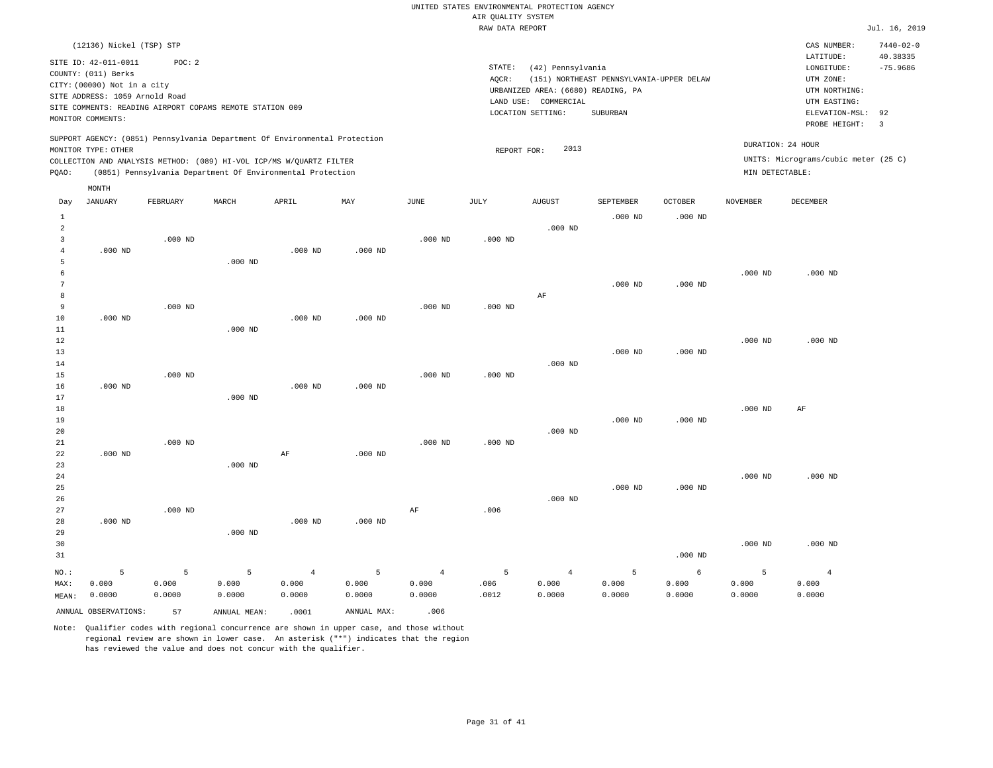|                                | (12136) Nickel (TSP) STP<br>SITE ID: 42-011-0011<br>COUNTY: (011) Berks<br>CITY: (00000) Not in a city<br>SITE ADDRESS: 1059 Arnold Road<br>MONITOR COMMENTS: | POC: 2    | SITE COMMENTS: READING AIRPORT COPAMS REMOTE STATION 009 | SUPPORT AGENCY: (0851) Pennsylvania Department Of Environmental Protection                                                        |             |                | STATE:<br>AQCR: | (42) Pennsylvania<br>URBANIZED AREA: (6680) READING, PA<br>LAND USE: COMMERCIAL<br>LOCATION SETTING: | (151) NORTHEAST PENNSYLVANIA-UPPER DELAW<br>SUBURBAN |                |                    | CAS NUMBER:<br>LATITUDE:<br>LONGITUDE:<br>UTM ZONE:<br>UTM NORTHING:<br>UTM EASTING:<br>ELEVATION-MSL:<br>PROBE HEIGHT: | $7440 - 02 - 0$<br>40.38335<br>$-75.9686$<br>92<br>$\overline{3}$ |
|--------------------------------|---------------------------------------------------------------------------------------------------------------------------------------------------------------|-----------|----------------------------------------------------------|-----------------------------------------------------------------------------------------------------------------------------------|-------------|----------------|-----------------|------------------------------------------------------------------------------------------------------|------------------------------------------------------|----------------|--------------------|-------------------------------------------------------------------------------------------------------------------------|-------------------------------------------------------------------|
|                                | MONITOR TYPE: OTHER                                                                                                                                           |           |                                                          |                                                                                                                                   |             |                | REPORT FOR:     | 2013                                                                                                 |                                                      |                | DURATION: 24 HOUR  |                                                                                                                         |                                                                   |
| PQAO:                          |                                                                                                                                                               |           |                                                          | COLLECTION AND ANALYSIS METHOD: (089) HI-VOL ICP/MS W/QUARTZ FILTER<br>(0851) Pennsylvania Department Of Environmental Protection |             |                |                 |                                                                                                      |                                                      |                | MIN DETECTABLE:    | UNITS: Micrograms/cubic meter (25 C)                                                                                    |                                                                   |
|                                |                                                                                                                                                               |           |                                                          |                                                                                                                                   |             |                |                 |                                                                                                      |                                                      |                |                    |                                                                                                                         |                                                                   |
| Day                            | MONTH<br><b>JANUARY</b>                                                                                                                                       | FEBRUARY  | MARCH                                                    | APRIL                                                                                                                             | MAY         | JUNE           | JULY            | <b>AUGUST</b>                                                                                        | SEPTEMBER                                            | <b>OCTOBER</b> | <b>NOVEMBER</b>    | <b>DECEMBER</b>                                                                                                         |                                                                   |
|                                |                                                                                                                                                               |           |                                                          |                                                                                                                                   |             |                |                 |                                                                                                      |                                                      |                |                    |                                                                                                                         |                                                                   |
| $\mathbf{1}$<br>$\overline{a}$ |                                                                                                                                                               |           |                                                          |                                                                                                                                   |             |                |                 | $.000$ ND                                                                                            | $.000$ ND                                            | $.000$ ND      |                    |                                                                                                                         |                                                                   |
| $\overline{3}$                 |                                                                                                                                                               | $.000$ ND |                                                          |                                                                                                                                   |             | $.000$ ND      | $.000$ ND       |                                                                                                      |                                                      |                |                    |                                                                                                                         |                                                                   |
| $\overline{4}$                 | $.000$ ND                                                                                                                                                     |           |                                                          | $.000$ ND                                                                                                                         | $.000$ ND   |                |                 |                                                                                                      |                                                      |                |                    |                                                                                                                         |                                                                   |
| 5                              |                                                                                                                                                               |           | $.000$ ND                                                |                                                                                                                                   |             |                |                 |                                                                                                      |                                                      |                |                    |                                                                                                                         |                                                                   |
| 6                              |                                                                                                                                                               |           |                                                          |                                                                                                                                   |             |                |                 |                                                                                                      |                                                      |                | $.000$ ND          | $.000$ ND                                                                                                               |                                                                   |
| 7                              |                                                                                                                                                               |           |                                                          |                                                                                                                                   |             |                |                 |                                                                                                      | $.000$ ND                                            | $.000$ ND      |                    |                                                                                                                         |                                                                   |
| 8                              |                                                                                                                                                               |           |                                                          |                                                                                                                                   |             |                |                 | AF                                                                                                   |                                                      |                |                    |                                                                                                                         |                                                                   |
| 9                              |                                                                                                                                                               | $.000$ ND |                                                          |                                                                                                                                   |             | $.000$ ND      | $.000$ ND       |                                                                                                      |                                                      |                |                    |                                                                                                                         |                                                                   |
| 10<br>11                       | $.000$ ND                                                                                                                                                     |           | $.000$ ND                                                | $.000$ ND                                                                                                                         | $.000$ ND   |                |                 |                                                                                                      |                                                      |                |                    |                                                                                                                         |                                                                   |
| $12\,$                         |                                                                                                                                                               |           |                                                          |                                                                                                                                   |             |                |                 |                                                                                                      |                                                      |                | $.000$ ND          | $.000$ ND                                                                                                               |                                                                   |
| 13                             |                                                                                                                                                               |           |                                                          |                                                                                                                                   |             |                |                 |                                                                                                      | $.000$ ND                                            | $.000$ ND      |                    |                                                                                                                         |                                                                   |
| 14                             |                                                                                                                                                               |           |                                                          |                                                                                                                                   |             |                |                 | $.000$ ND                                                                                            |                                                      |                |                    |                                                                                                                         |                                                                   |
| 15                             |                                                                                                                                                               | $.000$ ND |                                                          |                                                                                                                                   |             | $.000$ ND      | $.000$ ND       |                                                                                                      |                                                      |                |                    |                                                                                                                         |                                                                   |
| 16                             | $.000$ ND                                                                                                                                                     |           |                                                          | $.000$ ND                                                                                                                         | $.000$ ND   |                |                 |                                                                                                      |                                                      |                |                    |                                                                                                                         |                                                                   |
| 17                             |                                                                                                                                                               |           | $.000$ ND                                                |                                                                                                                                   |             |                |                 |                                                                                                      |                                                      |                |                    |                                                                                                                         |                                                                   |
| 18                             |                                                                                                                                                               |           |                                                          |                                                                                                                                   |             |                |                 |                                                                                                      |                                                      |                | $.000$ ND          | AF                                                                                                                      |                                                                   |
| 19                             |                                                                                                                                                               |           |                                                          |                                                                                                                                   |             |                |                 |                                                                                                      | $.000$ ND                                            | $.000$ ND      |                    |                                                                                                                         |                                                                   |
| 20                             |                                                                                                                                                               |           |                                                          |                                                                                                                                   |             |                |                 | $.000$ ND                                                                                            |                                                      |                |                    |                                                                                                                         |                                                                   |
| 21                             |                                                                                                                                                               | $.000$ ND |                                                          |                                                                                                                                   |             | $.000$ ND      | $.000$ ND       |                                                                                                      |                                                      |                |                    |                                                                                                                         |                                                                   |
| 22<br>23                       | $.000$ ND                                                                                                                                                     |           | $.000$ ND                                                | AF                                                                                                                                | $.000$ ND   |                |                 |                                                                                                      |                                                      |                |                    |                                                                                                                         |                                                                   |
| 24                             |                                                                                                                                                               |           |                                                          |                                                                                                                                   |             |                |                 |                                                                                                      |                                                      |                | $.000$ ND          | $.000$ ND                                                                                                               |                                                                   |
| 25                             |                                                                                                                                                               |           |                                                          |                                                                                                                                   |             |                |                 |                                                                                                      | $.000$ ND                                            | $.000$ ND      |                    |                                                                                                                         |                                                                   |
| 26                             |                                                                                                                                                               |           |                                                          |                                                                                                                                   |             |                |                 | $.000$ ND                                                                                            |                                                      |                |                    |                                                                                                                         |                                                                   |
| 27                             |                                                                                                                                                               | $.000$ ND |                                                          |                                                                                                                                   |             | AF             | .006            |                                                                                                      |                                                      |                |                    |                                                                                                                         |                                                                   |
| 28                             | $.000$ ND                                                                                                                                                     |           |                                                          | $.000$ ND                                                                                                                         | $.000$ ND   |                |                 |                                                                                                      |                                                      |                |                    |                                                                                                                         |                                                                   |
| 29                             |                                                                                                                                                               |           | $.000$ ND                                                |                                                                                                                                   |             |                |                 |                                                                                                      |                                                      |                |                    |                                                                                                                         |                                                                   |
| 30                             |                                                                                                                                                               |           |                                                          |                                                                                                                                   |             |                |                 |                                                                                                      |                                                      |                | .000 <sub>ND</sub> | $.000$ ND                                                                                                               |                                                                   |
| 31                             |                                                                                                                                                               |           |                                                          |                                                                                                                                   |             |                |                 |                                                                                                      |                                                      | $.000$ ND      |                    |                                                                                                                         |                                                                   |
| NO.:                           | 5                                                                                                                                                             | 5         | 5                                                        | $\sqrt{4}$                                                                                                                        | 5           | $\overline{4}$ | 5               | $\overline{4}$                                                                                       | 5                                                    | 6              | 5                  | $\overline{4}$                                                                                                          |                                                                   |
| MAX:                           | 0.000                                                                                                                                                         | 0.000     | 0.000                                                    | 0.000                                                                                                                             | 0.000       | 0.000          | .006            | 0.000                                                                                                | 0.000                                                | 0.000          | 0.000              | 0.000                                                                                                                   |                                                                   |
| MEAN:                          | 0.0000                                                                                                                                                        | 0.0000    | 0.0000                                                   | 0.0000                                                                                                                            | 0.0000      | 0.0000         | .0012           | 0.0000                                                                                               | 0.0000                                               | 0.0000         | 0.0000             | 0.0000                                                                                                                  |                                                                   |
|                                | ANNUAL OBSERVATIONS:                                                                                                                                          | 57        | ANNUAL MEAN:                                             | .0001                                                                                                                             | ANNUAL MAX: | .006           |                 |                                                                                                      |                                                      |                |                    |                                                                                                                         |                                                                   |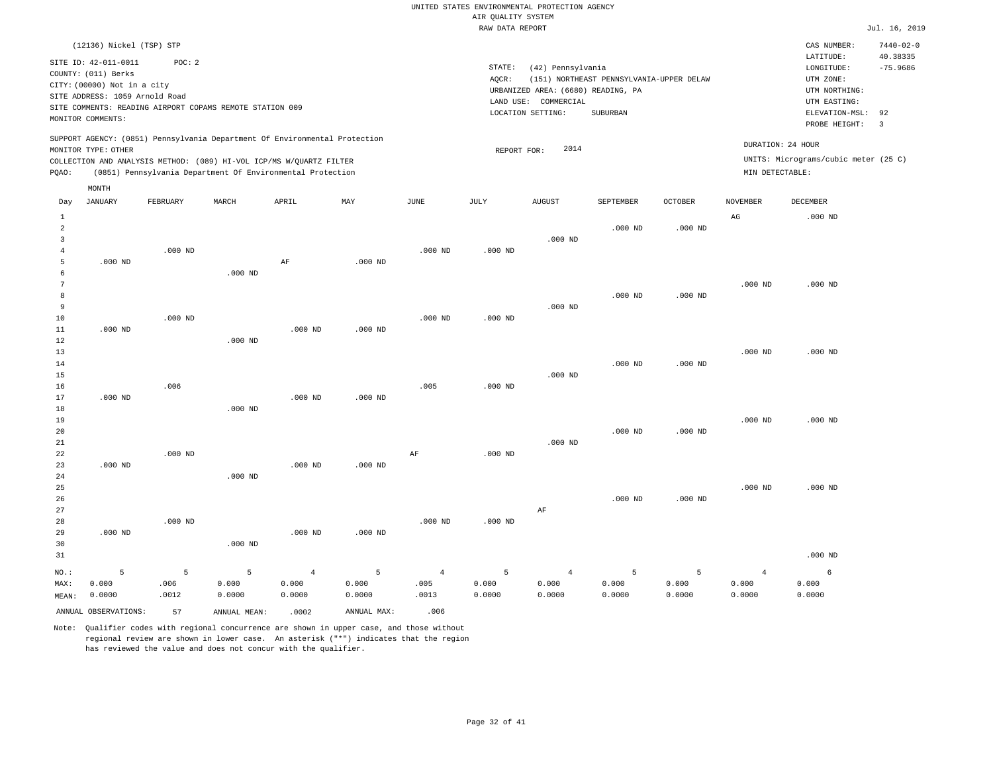|                | (12136) Nickel (TSP) STP<br>SITE ID: 42-011-0011                                                  | POC: 2    |              |                                                            |             |                |             |                                    |                                          |           |                 | CAS NUMBER:<br>LATITUDE:             | $7440 - 02 - 0$<br>40.38335 |
|----------------|---------------------------------------------------------------------------------------------------|-----------|--------------|------------------------------------------------------------|-------------|----------------|-------------|------------------------------------|------------------------------------------|-----------|-----------------|--------------------------------------|-----------------------------|
|                | COUNTY: (011) Berks                                                                               |           |              |                                                            |             |                | STATE:      | (42) Pennsylvania                  |                                          |           |                 | LONGITUDE:                           | $-75.9686$                  |
|                | CITY: (00000) Not in a city                                                                       |           |              |                                                            |             |                | AQCR:       | URBANIZED AREA: (6680) READING, PA | (151) NORTHEAST PENNSYLVANIA-UPPER DELAW |           |                 | UTM ZONE:<br>UTM NORTHING:           |                             |
|                | SITE ADDRESS: 1059 Arnold Road                                                                    |           |              |                                                            |             |                | LAND USE:   | COMMERCIAL                         |                                          |           |                 | UTM EASTING:                         |                             |
|                | SITE COMMENTS: READING AIRPORT COPAMS REMOTE STATION 009                                          |           |              |                                                            |             |                |             | LOCATION SETTING:                  | <b>SUBURBAN</b>                          |           |                 | ELEVATION-MSL:                       | 92                          |
|                | MONITOR COMMENTS:                                                                                 |           |              |                                                            |             |                |             |                                    |                                          |           |                 | PROBE HEIGHT:                        | $\overline{\mathbf{3}}$     |
|                | SUPPORT AGENCY: (0851) Pennsylvania Department Of Environmental Protection<br>MONITOR TYPE: OTHER |           |              |                                                            |             |                | REPORT FOR: | 2014                               |                                          |           |                 | DURATION: 24 HOUR                    |                             |
|                | COLLECTION AND ANALYSIS METHOD: (089) HI-VOL ICP/MS W/QUARTZ FILTER                               |           |              |                                                            |             |                |             |                                    |                                          |           |                 | UNITS: Micrograms/cubic meter (25 C) |                             |
| PQAO:          |                                                                                                   |           |              | (0851) Pennsylvania Department Of Environmental Protection |             |                |             |                                    |                                          |           | MIN DETECTABLE: |                                      |                             |
|                | MONTH                                                                                             |           |              |                                                            |             |                |             |                                    |                                          |           |                 |                                      |                             |
| Day            | <b>JANUARY</b>                                                                                    | FEBRUARY  | MARCH        | APRIL                                                      | MAY         | $_{\rm JUNE}$  | JULY        | <b>AUGUST</b>                      | SEPTEMBER                                | OCTOBER   | <b>NOVEMBER</b> | DECEMBER                             |                             |
| $\mathbf 1$    |                                                                                                   |           |              |                                                            |             |                |             |                                    |                                          |           | $_{\rm AG}$     | $.000$ ND                            |                             |
| $\overline{a}$ |                                                                                                   |           |              |                                                            |             |                |             |                                    | $.000$ ND                                | $.000$ ND |                 |                                      |                             |
| 3              |                                                                                                   |           |              |                                                            |             |                |             | $.000$ ND                          |                                          |           |                 |                                      |                             |
| $\overline{4}$ |                                                                                                   | $.000$ ND |              |                                                            |             | $.000$ ND      | $.000$ ND   |                                    |                                          |           |                 |                                      |                             |
| 5              | $.000$ ND                                                                                         |           |              | AF                                                         | $.000$ ND   |                |             |                                    |                                          |           |                 |                                      |                             |
| 6              |                                                                                                   |           | $.000$ ND    |                                                            |             |                |             |                                    |                                          |           |                 |                                      |                             |
| 7              |                                                                                                   |           |              |                                                            |             |                |             |                                    |                                          |           | $.000$ ND       | $.000$ ND                            |                             |
| 8<br>9         |                                                                                                   |           |              |                                                            |             |                |             | $.000$ ND                          | $.000$ ND                                | $.000$ ND |                 |                                      |                             |
| 10             |                                                                                                   | $.000$ ND |              |                                                            |             | $.000$ ND      | $.000$ ND   |                                    |                                          |           |                 |                                      |                             |
| $1\,1$         | $.000$ ND                                                                                         |           |              | $.000$ ND                                                  | $.000$ ND   |                |             |                                    |                                          |           |                 |                                      |                             |
| 12             |                                                                                                   |           | $.000$ ND    |                                                            |             |                |             |                                    |                                          |           |                 |                                      |                             |
| 13             |                                                                                                   |           |              |                                                            |             |                |             |                                    |                                          |           | $.000$ ND       | $.000$ ND                            |                             |
| 14             |                                                                                                   |           |              |                                                            |             |                |             |                                    | $.000$ ND                                | $.000$ ND |                 |                                      |                             |
| 15             |                                                                                                   |           |              |                                                            |             |                |             | $.000$ ND                          |                                          |           |                 |                                      |                             |
| 16             |                                                                                                   | .006      |              |                                                            |             | .005           | $.000$ ND   |                                    |                                          |           |                 |                                      |                             |
| 17             | $.000$ ND                                                                                         |           |              | $.000$ ND                                                  | $.000$ ND   |                |             |                                    |                                          |           |                 |                                      |                             |
| $1\,8$         |                                                                                                   |           | $.000$ ND    |                                                            |             |                |             |                                    |                                          |           |                 |                                      |                             |
| 19             |                                                                                                   |           |              |                                                            |             |                |             |                                    |                                          |           | $.000$ ND       | $.000$ ND                            |                             |
| 20             |                                                                                                   |           |              |                                                            |             |                |             |                                    | $.000$ ND                                | $.000$ ND |                 |                                      |                             |
| 21             |                                                                                                   |           |              |                                                            |             |                |             | $.000$ ND                          |                                          |           |                 |                                      |                             |
| 22<br>23       | $.000$ ND                                                                                         | $.000$ ND |              | $.000$ ND                                                  | $.000$ ND   | AF             | $.000$ ND   |                                    |                                          |           |                 |                                      |                             |
| 24             |                                                                                                   |           | $.000$ ND    |                                                            |             |                |             |                                    |                                          |           |                 |                                      |                             |
| 25             |                                                                                                   |           |              |                                                            |             |                |             |                                    |                                          |           | $.000$ ND       | $.000$ ND                            |                             |
| 26             |                                                                                                   |           |              |                                                            |             |                |             |                                    | $.000$ ND                                | $.000$ ND |                 |                                      |                             |
| 27             |                                                                                                   |           |              |                                                            |             |                |             | $\rm{AF}$                          |                                          |           |                 |                                      |                             |
| 28             |                                                                                                   | $.000$ ND |              |                                                            |             | $.000$ ND      | $.000$ ND   |                                    |                                          |           |                 |                                      |                             |
| 29             | $.000$ ND                                                                                         |           |              | $.000$ ND                                                  | $.000$ ND   |                |             |                                    |                                          |           |                 |                                      |                             |
| 30             |                                                                                                   |           | $.000$ ND    |                                                            |             |                |             |                                    |                                          |           |                 |                                      |                             |
| 31             |                                                                                                   |           |              |                                                            |             |                |             |                                    |                                          |           |                 | $.000$ ND                            |                             |
| NO.:           | 5                                                                                                 | 5         | 5            | $\overline{4}$                                             | 5           | $\overline{4}$ | 5           | $\overline{4}$                     | 5                                        | 5         | $\overline{4}$  | 6                                    |                             |
| MAX:           | 0.000                                                                                             | .006      | 0.000        | 0.000                                                      | 0.000       | .005           | 0.000       | 0.000                              | 0.000                                    | 0.000     | 0.000           | 0.000                                |                             |
| MEAN:          | 0.0000                                                                                            | .0012     | 0.0000       | 0.0000                                                     | 0.0000      | .0013          | 0.0000      | 0.0000                             | 0.0000                                   | 0.0000    | 0.0000          | 0.0000                               |                             |
|                | ANNUAL OBSERVATIONS:                                                                              | 57        | ANNUAL MEAN: | .0002                                                      | ANNUAL MAX: | .006           |             |                                    |                                          |           |                 |                                      |                             |
|                |                                                                                                   |           |              |                                                            |             |                |             |                                    |                                          |           |                 |                                      |                             |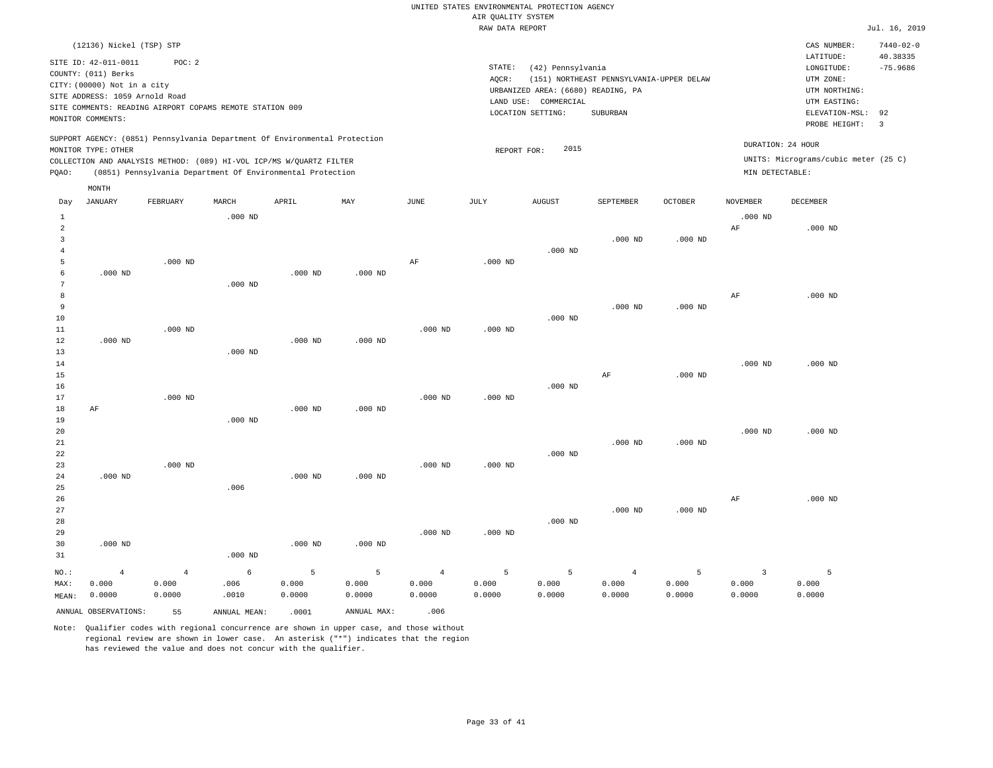|  | RAW DATA REPORT |  |
|--|-----------------|--|

|                |                                                                            |                |                                                            |           |                           |                | RAW DATA REPORT |                                    |                                          |           |                 |                                      | Jul. 16, 2019   |
|----------------|----------------------------------------------------------------------------|----------------|------------------------------------------------------------|-----------|---------------------------|----------------|-----------------|------------------------------------|------------------------------------------|-----------|-----------------|--------------------------------------|-----------------|
|                | (12136) Nickel (TSP) STP                                                   |                |                                                            |           |                           |                |                 |                                    |                                          |           |                 | CAS NUMBER:                          | $7440 - 02 - 0$ |
|                |                                                                            |                |                                                            |           |                           |                |                 |                                    |                                          |           |                 | LATITUDE:                            | 40.38335        |
|                | SITE ID: 42-011-0011                                                       | POC: 2         |                                                            |           |                           |                | STATE:          | (42) Pennsylvania                  |                                          |           |                 | LONGITUDE:                           | $-75.9686$      |
|                | COUNTY: (011) Berks                                                        |                |                                                            |           |                           |                | AQCR:           |                                    | (151) NORTHEAST PENNSYLVANIA-UPPER DELAW |           |                 | UTM ZONE:                            |                 |
|                | CITY: (00000) Not in a city                                                |                |                                                            |           |                           |                |                 | URBANIZED AREA: (6680) READING, PA |                                          |           |                 | UTM NORTHING:                        |                 |
|                | SITE ADDRESS: 1059 Arnold Road                                             |                |                                                            |           |                           |                |                 | LAND USE: COMMERCIAL               |                                          |           |                 | UTM EASTING:                         |                 |
|                | SITE COMMENTS: READING AIRPORT COPAMS REMOTE STATION 009                   |                |                                                            |           |                           |                |                 | LOCATION SETTING:                  | SUBURBAN                                 |           |                 | ELEVATION-MSL:                       | 92              |
|                | MONITOR COMMENTS:                                                          |                |                                                            |           |                           |                |                 |                                    |                                          |           |                 | PROBE HEIGHT:                        | $\overline{3}$  |
|                | SUPPORT AGENCY: (0851) Pennsylvania Department Of Environmental Protection |                |                                                            |           |                           |                |                 |                                    |                                          |           |                 | DURATION: 24 HOUR                    |                 |
|                | MONITOR TYPE: OTHER                                                        |                |                                                            |           |                           |                | REPORT FOR:     | 2015                               |                                          |           |                 | UNITS: Micrograms/cubic meter (25 C) |                 |
| PQAO:          | COLLECTION AND ANALYSIS METHOD: (089) HI-VOL ICP/MS W/QUARTZ FILTER        |                | (0851) Pennsylvania Department Of Environmental Protection |           |                           |                |                 |                                    |                                          |           | MIN DETECTABLE: |                                      |                 |
|                | MONTH                                                                      |                |                                                            |           |                           |                |                 |                                    |                                          |           |                 |                                      |                 |
| Day            | JANUARY                                                                    | FEBRUARY       | MARCH                                                      | APRIL     | $\ensuremath{\text{MAX}}$ | JUNE           | JULY            | <b>AUGUST</b>                      | SEPTEMBER                                | OCTOBER   | NOVEMBER        | DECEMBER                             |                 |
| $\mathbf{1}$   |                                                                            |                | $.000$ ND                                                  |           |                           |                |                 |                                    |                                          |           | $.000$ ND       |                                      |                 |
| $\overline{a}$ |                                                                            |                |                                                            |           |                           |                |                 |                                    |                                          |           | $\rm{AF}$       | $.000$ ND                            |                 |
| 3              |                                                                            |                |                                                            |           |                           |                |                 |                                    | $.000$ ND                                | $.000$ ND |                 |                                      |                 |
| $\overline{4}$ |                                                                            |                |                                                            |           |                           |                |                 | $.000$ ND                          |                                          |           |                 |                                      |                 |
| 5              |                                                                            | $.000$ ND      |                                                            |           |                           | AF             | $.000$ ND       |                                    |                                          |           |                 |                                      |                 |
| 6              | $.000$ ND                                                                  |                |                                                            | $.000$ ND | $.000$ ND                 |                |                 |                                    |                                          |           |                 |                                      |                 |
| 7              |                                                                            |                | $.000$ ND                                                  |           |                           |                |                 |                                    |                                          |           |                 |                                      |                 |
| 8              |                                                                            |                |                                                            |           |                           |                |                 |                                    |                                          |           | AF              | $.000$ ND                            |                 |
| 9              |                                                                            |                |                                                            |           |                           |                |                 |                                    | $.000$ ND                                | $.000$ ND |                 |                                      |                 |
| 10             |                                                                            |                |                                                            |           |                           |                |                 | $.000$ ND                          |                                          |           |                 |                                      |                 |
| 11             |                                                                            | $.000$ ND      |                                                            |           |                           | $.000$ ND      | $.000$ ND       |                                    |                                          |           |                 |                                      |                 |
| 12             | $.000$ ND                                                                  |                |                                                            | $.000$ ND | $.000$ ND                 |                |                 |                                    |                                          |           |                 |                                      |                 |
| 13             |                                                                            |                | $.000$ ND                                                  |           |                           |                |                 |                                    |                                          |           |                 |                                      |                 |
| 14             |                                                                            |                |                                                            |           |                           |                |                 |                                    |                                          |           | $.000$ ND       | $.000$ ND                            |                 |
| 15             |                                                                            |                |                                                            |           |                           |                |                 |                                    | AF                                       | $.000$ ND |                 |                                      |                 |
| 16             |                                                                            |                |                                                            |           |                           |                |                 | $.000$ ND                          |                                          |           |                 |                                      |                 |
| 17             |                                                                            | $.000$ ND      |                                                            |           |                           | $.000$ ND      | $.000$ ND       |                                    |                                          |           |                 |                                      |                 |
| 18             | AF                                                                         |                |                                                            | $.000$ ND | $.000$ ND                 |                |                 |                                    |                                          |           |                 |                                      |                 |
| 19             |                                                                            |                | $.000$ ND                                                  |           |                           |                |                 |                                    |                                          |           |                 |                                      |                 |
| 20             |                                                                            |                |                                                            |           |                           |                |                 |                                    |                                          |           | $.000$ ND       | $.000$ ND                            |                 |
| 21             |                                                                            |                |                                                            |           |                           |                |                 |                                    | $.000$ ND                                | $.000$ ND |                 |                                      |                 |
| 22             |                                                                            |                |                                                            |           |                           |                |                 | $.000$ ND                          |                                          |           |                 |                                      |                 |
| 23             |                                                                            | $.000$ ND      |                                                            |           |                           | $.000$ ND      | $.000$ ND       |                                    |                                          |           |                 |                                      |                 |
| 24             | $.000$ ND                                                                  |                |                                                            | $.000$ ND | $.000$ ND                 |                |                 |                                    |                                          |           |                 |                                      |                 |
| 25             |                                                                            |                | .006                                                       |           |                           |                |                 |                                    |                                          |           |                 |                                      |                 |
| 26             |                                                                            |                |                                                            |           |                           |                |                 |                                    |                                          |           | AF              | $.000$ ND                            |                 |
| 27             |                                                                            |                |                                                            |           |                           |                |                 |                                    | $.000$ ND                                | $.000$ ND |                 |                                      |                 |
| 28             |                                                                            |                |                                                            |           |                           |                |                 | $.000$ ND                          |                                          |           |                 |                                      |                 |
| 29             |                                                                            |                |                                                            |           |                           | $.000$ ND      | $.000$ ND       |                                    |                                          |           |                 |                                      |                 |
| 30             | $.000$ ND                                                                  |                |                                                            | $.000$ ND | $.000$ ND                 |                |                 |                                    |                                          |           |                 |                                      |                 |
| 31             |                                                                            |                | $.000$ ND                                                  |           |                           |                |                 |                                    |                                          |           |                 |                                      |                 |
|                |                                                                            |                |                                                            |           |                           |                |                 |                                    |                                          |           |                 |                                      |                 |
| NO.:           | $\overline{4}$                                                             | $\overline{4}$ | 6                                                          | 5         | 5                         | $\overline{4}$ | 5               | 5                                  | $\overline{4}$                           | 5         | $\overline{3}$  | 5                                    |                 |
| MAX:           | 0.000                                                                      | 0.000          | .006                                                       | 0.000     | 0.000                     | 0.000          | 0.000           | 0.000                              | 0.000                                    | 0.000     | 0.000           | 0.000                                |                 |
| MEAN:          | 0.0000                                                                     | 0.0000         | .0010                                                      | 0.0000    | 0.0000                    | 0.0000         | 0.0000          | 0.0000                             | 0.0000                                   | 0.0000    | 0.0000          | 0.0000                               |                 |
|                | ANNUAL OBSERVATIONS:                                                       | 55             | ANNUAL MEAN:                                               | .0001     | ANNUAL MAX:               | .006           |                 |                                    |                                          |           |                 |                                      |                 |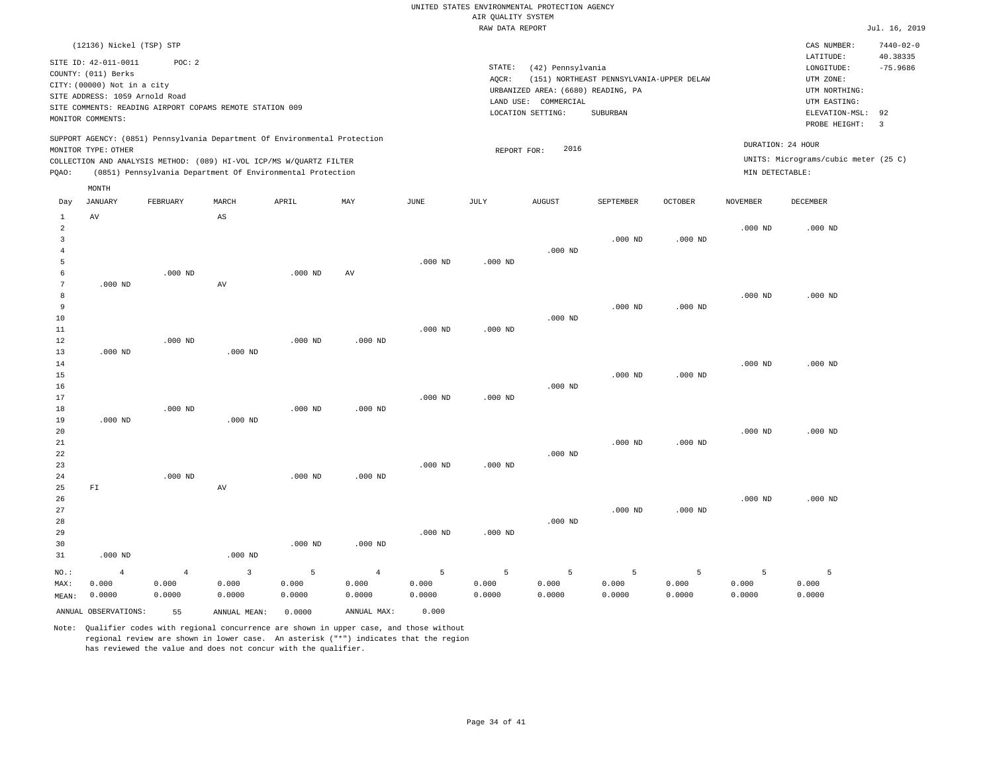|                                                                                                                                                                                                                                                 | RAW DATA REPORT                                                                                                                                                                    | Jul. 16, 2019                                                                                                                            |
|-------------------------------------------------------------------------------------------------------------------------------------------------------------------------------------------------------------------------------------------------|------------------------------------------------------------------------------------------------------------------------------------------------------------------------------------|------------------------------------------------------------------------------------------------------------------------------------------|
| (12136) Nickel (TSP) STP                                                                                                                                                                                                                        |                                                                                                                                                                                    | $7440 - 02 - 0$<br>CAS NUMBER:                                                                                                           |
| SITE ID: 42-011-0011<br>POC: 2<br>COUNTY: (011) Berks<br>CITY: (00000) Not in a city<br>SITE ADDRESS: 1059 Arnold Road<br>SITE COMMENTS: READING AIRPORT COPAMS REMOTE STATION 009<br>MONITOR COMMENTS:                                         | STATE:<br>(42) Pennsylvania<br>AOCR:<br>(151) NORTHEAST PENNSYLVANIA-UPPER DELAW<br>URBANIZED AREA: (6680) READING, PA<br>LAND USE:<br>COMMERCIAL<br>LOCATION SETTING:<br>SUBURBAN | 40.38335<br>LATITUDE:<br>$-75.9686$<br>LONGITUDE:<br>UTM ZONE:<br>UTM NORTHING:<br>UTM EASTING:<br>ELEVATION-MSL:<br>92<br>PROBE HEIGHT: |
| SUPPORT AGENCY: (0851) Pennsylvania Department Of Environmental Protection<br>MONITOR TYPE: OTHER<br>COLLECTION AND ANALYSIS METHOD: (089) HI-VOL ICP/MS W/OUARTZ FILTER<br>(0851) Pennsylvania Department Of Environmental Protection<br>POAO: | 2016<br>REPORT FOR:                                                                                                                                                                | DURATION: 24 HOUR<br>UNITS: Micrograms/cubic meter (25 C)<br>MIN DETECTABLE:                                                             |
| MONTH<br>MAY<br>JANUARY<br>MARCH<br>APRIL<br>JUNE<br>FEBRUARY<br>Day                                                                                                                                                                            | JULY<br>AUGUST<br>SEPTEMBER<br><b>OCTOBER</b>                                                                                                                                      | NOVEMBER<br>DECEMBER                                                                                                                     |

| $\mathbf{1}$            | AV             |                | AS                      |           |                |           |           |                 |                 |           |           |           |
|-------------------------|----------------|----------------|-------------------------|-----------|----------------|-----------|-----------|-----------------|-----------------|-----------|-----------|-----------|
| $\overline{\mathbf{c}}$ |                |                |                         |           |                |           |           |                 |                 |           | $.000$ ND | $.000$ ND |
| 3                       |                |                |                         |           |                |           |           |                 | $.000$ ND       | $.000$ ND |           |           |
| 4                       |                |                |                         |           |                |           |           | $.000$ ND       |                 |           |           |           |
| 5                       |                |                |                         |           |                | $.000$ ND | $.000$ ND |                 |                 |           |           |           |
| 6                       |                | $.000$ ND      |                         | $.000$ ND | $\hbox{AV}$    |           |           |                 |                 |           |           |           |
| $7\overline{ }$         | $.000$ ND      |                | $\operatorname{AV}$     |           |                |           |           |                 |                 |           |           |           |
| 8                       |                |                |                         |           |                |           |           |                 |                 |           | $.000$ ND | $.000$ ND |
| 9                       |                |                |                         |           |                |           |           |                 | $.000$ ND       | $.000$ ND |           |           |
| 10                      |                |                |                         |           |                |           |           | $.000$ ND       |                 |           |           |           |
| 11                      |                |                |                         |           |                | $.000$ ND | $.000$ ND |                 |                 |           |           |           |
| 12                      |                | $.000$ ND      |                         | $.000$ ND | $.000$ ND      |           |           |                 |                 |           |           |           |
| 13                      | $.000$ ND      |                | $.000$ ND               |           |                |           |           |                 |                 |           |           |           |
| 14                      |                |                |                         |           |                |           |           |                 |                 |           | $.000$ ND | $.000$ ND |
| 15                      |                |                |                         |           |                |           |           |                 | $.000$ ND       | $.000$ ND |           |           |
| 16                      |                |                |                         |           |                |           |           | $.000$ ND       |                 |           |           |           |
| 17                      |                |                |                         |           |                | $.000$ ND | $.000$ ND |                 |                 |           |           |           |
| 18                      |                | $.000$ ND      |                         | $.000$ ND | $.000$ ND      |           |           |                 |                 |           |           |           |
| 19                      | $.000$ ND      |                | $.000$ ND               |           |                |           |           |                 |                 |           |           |           |
| 20                      |                |                |                         |           |                |           |           |                 |                 |           | $.000$ ND | $.000$ ND |
| 21                      |                |                |                         |           |                |           |           |                 | $.000$ ND       | $.000$ ND |           |           |
| 22                      |                |                |                         |           |                |           |           | $.000$ ND       |                 |           |           |           |
| 23                      |                |                |                         |           |                | $.000$ ND | $.000$ ND |                 |                 |           |           |           |
| 24                      |                | $.000$ ND      |                         | $.000$ ND | $.000$ ND      |           |           |                 |                 |           |           |           |
| 25                      | ${\rm FT}$     |                | AV                      |           |                |           |           |                 |                 |           |           |           |
| 26                      |                |                |                         |           |                |           |           |                 |                 |           | $.000$ ND | $.000$ ND |
| 27                      |                |                |                         |           |                |           |           |                 | $.000$ ND       | $.000$ ND |           |           |
| 28                      |                |                |                         |           |                |           |           | $.000$ ND       |                 |           |           |           |
| 29                      |                |                |                         |           |                | $.000$ ND | $.000$ ND |                 |                 |           |           |           |
| 30                      |                |                |                         | $.000$ ND | $.000$ ND      |           |           |                 |                 |           |           |           |
| 31                      | $.000$ ND      |                | $.000$ ND               |           |                |           |           |                 |                 |           |           |           |
| $NO.$ :                 | $\overline{4}$ | $\overline{4}$ | $\overline{\mathbf{3}}$ | 5         | $\overline{4}$ | 5         | 5         | $5\phantom{.0}$ | $5\phantom{.0}$ | 5         | 5         | 5         |
| MAX:                    | 0.000          | 0.000          | 0.000                   | 0.000     | 0.000          | 0.000     | 0.000     | 0.000           | 0.000           | 0.000     | 0.000     | 0.000     |

Note: Qualifier codes with regional concurrence are shown in upper case, and those without regional review are shown in lower case. An asterisk ("\*") indicates that the region has reviewed the value and does not concur with the qualifier.

ANNUAL OBSERVATIONS: 55 ANNUAL MEAN: 0.0000 ANNUAL MAX: 0.000

0.0000

0.0000

0.0000

0.0000

MEAN: 0.0000

0.0000

0.0000

0.0000

0.0000

0.0000

0.0000

0.0000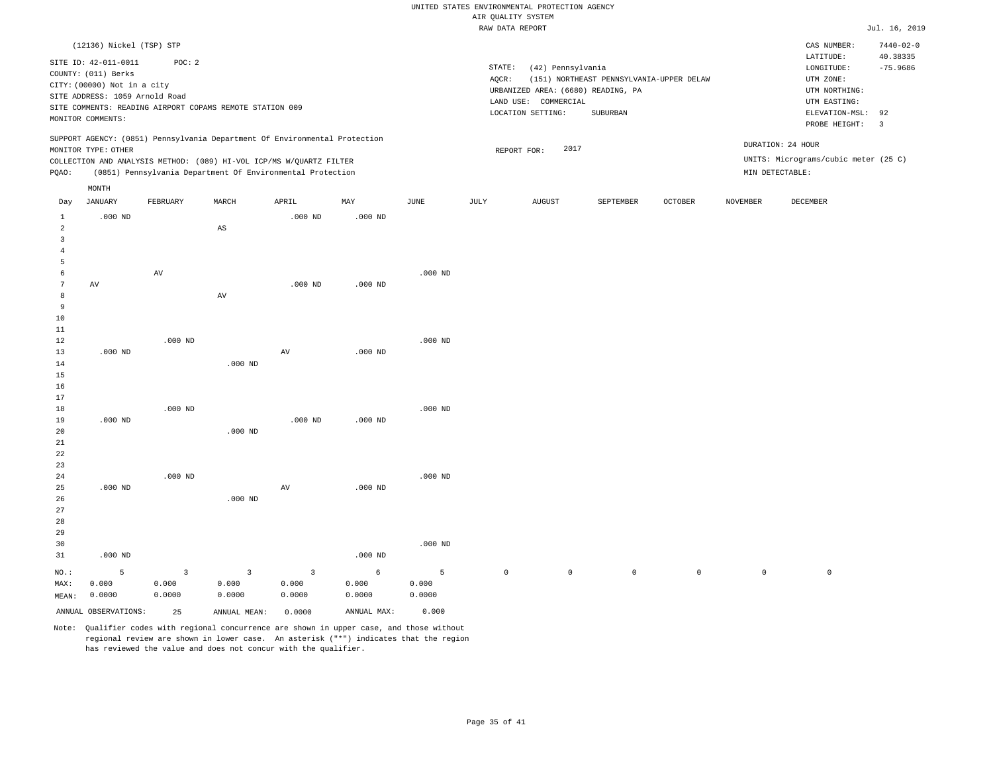|                                           |                                                          |                         |                         |                                                                            |             |             | RAW DATA REPORT |                                    |                                          |         |             |                                      | Jul. 16, 2019   |
|-------------------------------------------|----------------------------------------------------------|-------------------------|-------------------------|----------------------------------------------------------------------------|-------------|-------------|-----------------|------------------------------------|------------------------------------------|---------|-------------|--------------------------------------|-----------------|
|                                           | (12136) Nickel (TSP) STP                                 |                         |                         |                                                                            |             |             |                 |                                    |                                          |         |             | CAS NUMBER:                          | $7440 - 02 - 0$ |
|                                           |                                                          |                         |                         |                                                                            |             |             |                 |                                    |                                          |         |             | LATITUDE:                            | 40.38335        |
|                                           | SITE ID: 42-011-0011                                     | POC: 2                  |                         |                                                                            |             |             | STATE:          | (42) Pennsylvania                  |                                          |         |             | LONGITUDE:                           | $-75.9686$      |
|                                           | COUNTY: (011) Berks                                      |                         |                         |                                                                            |             |             | AQCR:           |                                    | (151) NORTHEAST PENNSYLVANIA-UPPER DELAW |         |             | UTM ZONE:                            |                 |
|                                           | CITY: (00000) Not in a city                              |                         |                         |                                                                            |             |             |                 | URBANIZED AREA: (6680) READING, PA |                                          |         |             | UTM NORTHING:                        |                 |
|                                           | SITE ADDRESS: 1059 Arnold Road                           |                         |                         |                                                                            |             |             |                 | LAND USE: COMMERCIAL               |                                          |         |             | UTM EASTING:                         |                 |
|                                           | SITE COMMENTS: READING AIRPORT COPAMS REMOTE STATION 009 |                         |                         |                                                                            |             |             |                 | LOCATION SETTING:                  | SUBURBAN                                 |         |             | ELEVATION-MSL:                       | 92              |
|                                           | MONITOR COMMENTS:                                        |                         |                         |                                                                            |             |             |                 |                                    |                                          |         |             | PROBE HEIGHT:                        | $\overline{3}$  |
|                                           |                                                          |                         |                         | SUPPORT AGENCY: (0851) Pennsylvania Department Of Environmental Protection |             |             |                 |                                    |                                          |         |             |                                      |                 |
|                                           | MONITOR TYPE: OTHER                                      |                         |                         |                                                                            |             |             |                 | 2017<br>REPORT FOR:                |                                          |         |             | DURATION: 24 HOUR                    |                 |
|                                           |                                                          |                         |                         | COLLECTION AND ANALYSIS METHOD: (089) HI-VOL ICP/MS W/QUARTZ FILTER        |             |             |                 |                                    |                                          |         |             | UNITS: Micrograms/cubic meter (25 C) |                 |
| PQAO:                                     |                                                          |                         |                         | (0851) Pennsylvania Department Of Environmental Protection                 |             |             |                 |                                    |                                          |         |             | MIN DETECTABLE:                      |                 |
|                                           | MONTH                                                    |                         |                         |                                                                            |             |             |                 |                                    |                                          |         |             |                                      |                 |
| Day                                       | JANUARY                                                  | FEBRUARY                | MARCH                   | APRIL                                                                      | MAY         | <b>JUNE</b> | JULY            | <b>AUGUST</b>                      | SEPTEMBER                                | OCTOBER | NOVEMBER    | DECEMBER                             |                 |
| $\mathbf{1}$                              | $.000$ ND                                                |                         |                         | $.000$ ND                                                                  | $.000$ ND   |             |                 |                                    |                                          |         |             |                                      |                 |
| $\overline{a}$                            |                                                          |                         | $\mathbb{A}\mathbb{S}$  |                                                                            |             |             |                 |                                    |                                          |         |             |                                      |                 |
| $\overline{\mathbf{3}}$<br>$\overline{4}$ |                                                          |                         |                         |                                                                            |             |             |                 |                                    |                                          |         |             |                                      |                 |
| 5                                         |                                                          |                         |                         |                                                                            |             |             |                 |                                    |                                          |         |             |                                      |                 |
| 6                                         |                                                          | AV                      |                         |                                                                            |             | $.000$ ND   |                 |                                    |                                          |         |             |                                      |                 |
| -7                                        | AV                                                       |                         |                         | $.000$ ND                                                                  | $.000$ ND   |             |                 |                                    |                                          |         |             |                                      |                 |
| 8                                         |                                                          |                         | AV                      |                                                                            |             |             |                 |                                    |                                          |         |             |                                      |                 |
| $\overline{9}$                            |                                                          |                         |                         |                                                                            |             |             |                 |                                    |                                          |         |             |                                      |                 |
| $10$                                      |                                                          |                         |                         |                                                                            |             |             |                 |                                    |                                          |         |             |                                      |                 |
| 11                                        |                                                          |                         |                         |                                                                            |             |             |                 |                                    |                                          |         |             |                                      |                 |
| 12                                        |                                                          | $.000$ ND               |                         |                                                                            |             | $.000$ ND   |                 |                                    |                                          |         |             |                                      |                 |
| 13                                        | $.000$ ND                                                |                         |                         | AV                                                                         | $.000$ ND   |             |                 |                                    |                                          |         |             |                                      |                 |
| 14                                        |                                                          |                         | $.000$ ND               |                                                                            |             |             |                 |                                    |                                          |         |             |                                      |                 |
| 15                                        |                                                          |                         |                         |                                                                            |             |             |                 |                                    |                                          |         |             |                                      |                 |
| 16                                        |                                                          |                         |                         |                                                                            |             |             |                 |                                    |                                          |         |             |                                      |                 |
| 17                                        |                                                          |                         |                         |                                                                            |             |             |                 |                                    |                                          |         |             |                                      |                 |
| 18<br>19                                  | $.000$ ND                                                | $.000$ ND               |                         | $.000$ ND                                                                  | $.000$ ND   | $.000$ ND   |                 |                                    |                                          |         |             |                                      |                 |
| 20                                        |                                                          |                         | $.000$ ND               |                                                                            |             |             |                 |                                    |                                          |         |             |                                      |                 |
| 21                                        |                                                          |                         |                         |                                                                            |             |             |                 |                                    |                                          |         |             |                                      |                 |
| 22                                        |                                                          |                         |                         |                                                                            |             |             |                 |                                    |                                          |         |             |                                      |                 |
| 23                                        |                                                          |                         |                         |                                                                            |             |             |                 |                                    |                                          |         |             |                                      |                 |
| 24                                        |                                                          | $.000$ ND               |                         |                                                                            |             | $.000$ ND   |                 |                                    |                                          |         |             |                                      |                 |
| 25                                        | $.000$ ND                                                |                         |                         | AV                                                                         | $.000$ ND   |             |                 |                                    |                                          |         |             |                                      |                 |
| 26                                        |                                                          |                         | $.000$ ND               |                                                                            |             |             |                 |                                    |                                          |         |             |                                      |                 |
| 27                                        |                                                          |                         |                         |                                                                            |             |             |                 |                                    |                                          |         |             |                                      |                 |
| 28                                        |                                                          |                         |                         |                                                                            |             |             |                 |                                    |                                          |         |             |                                      |                 |
| 29                                        |                                                          |                         |                         |                                                                            |             |             |                 |                                    |                                          |         |             |                                      |                 |
| 30                                        |                                                          |                         |                         |                                                                            |             | $.000$ ND   |                 |                                    |                                          |         |             |                                      |                 |
| 31                                        | $.000$ ND                                                |                         |                         |                                                                            | $.000$ ND   |             |                 |                                    |                                          |         |             |                                      |                 |
| NO.:                                      | 5                                                        | $\overline{\mathbf{3}}$ | $\overline{\mathbf{3}}$ | $\overline{3}$                                                             | 6           | 5           | $\mathbf 0$     | $\mathbf 0$                        | $\mathbf{0}$                             | $\circ$ | $\mathbb O$ | $\mathbf 0$                          |                 |
| MAX:                                      | 0.000                                                    | 0.000                   | 0.000                   | 0.000                                                                      | 0.000       | 0.000       |                 |                                    |                                          |         |             |                                      |                 |
| MEAN:                                     | 0.0000                                                   | 0.0000                  | 0.0000                  | 0.0000                                                                     | 0.0000      | 0.0000      |                 |                                    |                                          |         |             |                                      |                 |
|                                           | ANNUAL OBSERVATIONS:                                     | 25                      | ANNUAL MEAN:            | 0.0000                                                                     | ANNUAL MAX: | 0.000       |                 |                                    |                                          |         |             |                                      |                 |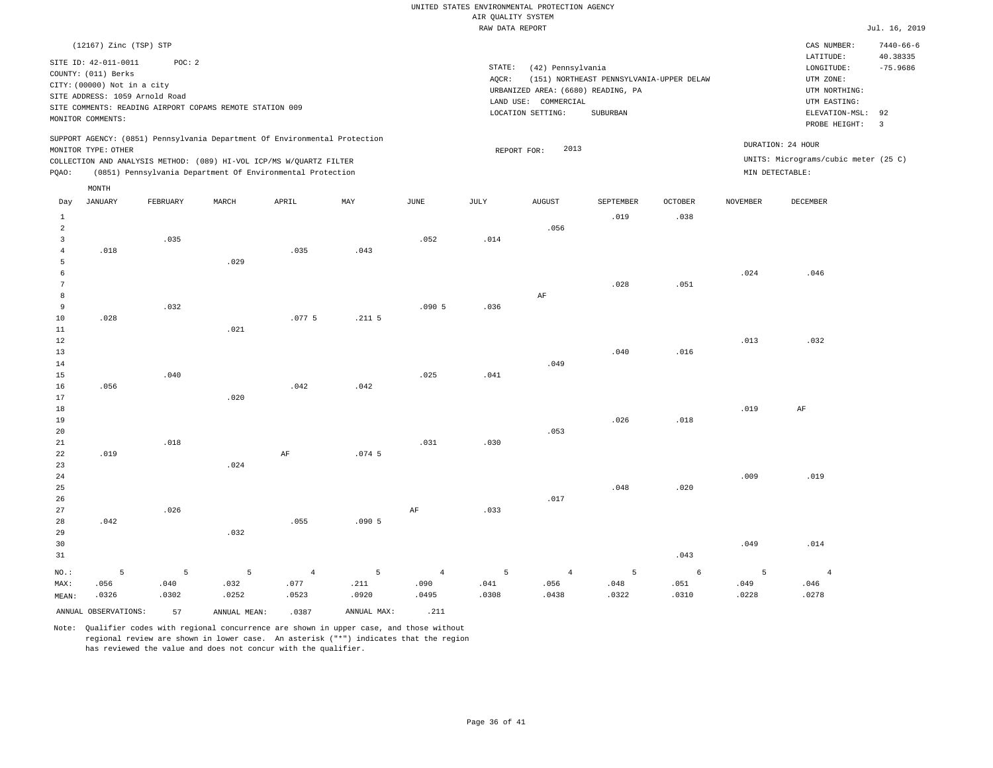|                               |                                                                                                                                   |                                                                    |       |                                                                                                                                                                                                                 |          |               | RAW DATA REPORT |                                                                                                      |                                                      |                        |          |                                                                                                             | Jul. 16, 2019                                     |
|-------------------------------|-----------------------------------------------------------------------------------------------------------------------------------|--------------------------------------------------------------------|-------|-----------------------------------------------------------------------------------------------------------------------------------------------------------------------------------------------------------------|----------|---------------|-----------------|------------------------------------------------------------------------------------------------------|------------------------------------------------------|------------------------|----------|-------------------------------------------------------------------------------------------------------------|---------------------------------------------------|
|                               | (12167) Zinc (TSP) STP                                                                                                            |                                                                    |       |                                                                                                                                                                                                                 |          |               |                 |                                                                                                      |                                                      |                        |          | CAS NUMBER:                                                                                                 | $7440 - 66 - 6$                                   |
|                               | SITE ID: 42-011-0011<br>COUNTY: (011) Berks<br>CITY: (00000) Not in a city<br>SITE ADDRESS: 1059 Arnold Road<br>MONITOR COMMENTS: | POC: 2<br>SITE COMMENTS: READING AIRPORT COPAMS REMOTE STATION 009 |       |                                                                                                                                                                                                                 |          |               | STATE:<br>AOCR: | (42) Pennsylvania<br>URBANIZED AREA: (6680) READING, PA<br>LAND USE: COMMERCIAL<br>LOCATION SETTING: | (151) NORTHEAST PENNSYLVANIA-UPPER DELAW<br>SUBURBAN |                        |          | LATITUDE:<br>LONGITUDE:<br>UTM ZONE:<br>UTM NORTHING:<br>UTM EASTING:<br>ELEVATION-MSL: 92<br>PROBE HEIGHT: | 40.38335<br>$-75.9686$<br>$\overline{\mathbf{3}}$ |
| PQAO:                         | MONITOR TYPE: OTHER                                                                                                               |                                                                    |       | SUPPORT AGENCY: (0851) Pennsylvania Department Of Environmental Protection<br>COLLECTION AND ANALYSIS METHOD: (089) HI-VOL ICP/MS W/QUARTZ FILTER<br>(0851) Pennsylvania Department Of Environmental Protection |          |               |                 | 2013<br>REPORT FOR:                                                                                  |                                                      |                        |          | DURATION: 24 HOUR<br>UNITS: Micrograms/cubic meter (25 C)<br>MIN DETECTABLE:                                |                                                   |
|                               | MONTH                                                                                                                             |                                                                    |       |                                                                                                                                                                                                                 |          |               |                 |                                                                                                      |                                                      |                        |          |                                                                                                             |                                                   |
| Day<br>$\mathbf{1}$           | JANUARY                                                                                                                           | FEBRUARY                                                           | MARCH | APRIL                                                                                                                                                                                                           | MAY      | $_{\rm JUNE}$ | JULY            | <b>AUGUST</b>                                                                                        | SEPTEMBER<br>.019                                    | <b>OCTOBER</b><br>.038 | NOVEMBER | DECEMBER                                                                                                    |                                                   |
| $\overline{2}$<br>3<br>4<br>5 | .018                                                                                                                              | .035                                                               | .029  | .035                                                                                                                                                                                                            | .043     | .052          | .014            | .056                                                                                                 |                                                      |                        |          |                                                                                                             |                                                   |
| 6<br>7<br>8<br>9              |                                                                                                                                   | .032                                                               |       |                                                                                                                                                                                                                 |          | .0905         | .036            | AF                                                                                                   | .028                                                 | .051                   | .024     | .046                                                                                                        |                                                   |
| 10<br>11<br>12                | .028                                                                                                                              |                                                                    | .021  | .0775                                                                                                                                                                                                           | $.211-5$ |               |                 |                                                                                                      |                                                      |                        | .013     | .032                                                                                                        |                                                   |
| 13<br>14<br>15<br>16          | .056                                                                                                                              | .040                                                               |       | .042                                                                                                                                                                                                            | .042     | .025          | .041            | .049                                                                                                 | .040                                                 | .016                   |          |                                                                                                             |                                                   |
| 17<br>18<br>19<br>20          |                                                                                                                                   |                                                                    | .020  |                                                                                                                                                                                                                 |          |               |                 | .053                                                                                                 | .026                                                 | .018                   | .019     | AF                                                                                                          |                                                   |
| 21<br>22<br>23                | .019                                                                                                                              | .018                                                               | .024  | $\rm AF$                                                                                                                                                                                                        | .074.5   | .031          | .030            |                                                                                                      |                                                      |                        |          |                                                                                                             |                                                   |
| 24<br>25<br>26<br>27          |                                                                                                                                   | .026                                                               |       |                                                                                                                                                                                                                 |          | AF            | .033            | .017                                                                                                 | .048                                                 | .020                   | .009     | .019                                                                                                        |                                                   |
| 28<br>29<br>30                | .042                                                                                                                              |                                                                    | .032  | .055                                                                                                                                                                                                            | .0905    |               |                 |                                                                                                      |                                                      |                        | .049     | .014                                                                                                        |                                                   |

31 NO.: MAX: MEAN: 5 .056 .0326 .043 5 .040 .0302 5 .032 .0252 4 .077 .0523 5 .211 .0920 4 .090 .0495 5 .041 .0308 4 .056 .0438 5 .048 .0322 6 .051 .0310 5 .049 .0228 .046 .0278 ANNUAL OBSERVATIONS: 57 ANNUAL MEAN: .0387 ANNUAL MAX: .211

Note: Qualifier codes with regional concurrence are shown in upper case, and those without regional review are shown in lower case. An asterisk ("\*") indicates that the region has reviewed the value and does not concur with the qualifier.

4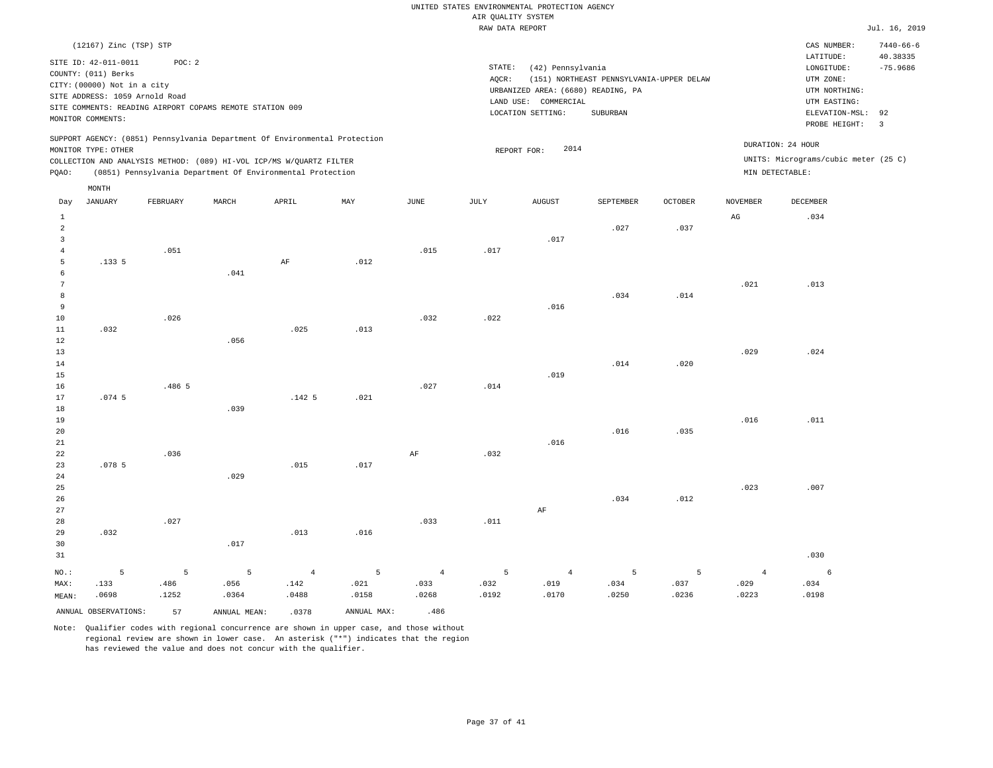|                | (12167) Zinc (TSP) STP         |          |                                                                            |                |             |                 |        |                                    |                                          |         |                        | CAS NUMBER:                          | $7440 - 66 - 6$      |
|----------------|--------------------------------|----------|----------------------------------------------------------------------------|----------------|-------------|-----------------|--------|------------------------------------|------------------------------------------|---------|------------------------|--------------------------------------|----------------------|
|                | SITE ID: 42-011-0011           | POC: 2   |                                                                            |                |             |                 | STATE: |                                    |                                          |         |                        | LATITUDE:                            | 40.38335             |
|                | COUNTY: (011) Berks            |          |                                                                            |                |             |                 |        | (42) Pennsylvania                  |                                          |         |                        | LONGITUDE:                           | $-75.9686$           |
|                | CITY: (00000) Not in a city    |          |                                                                            |                |             |                 | AQCR:  |                                    | (151) NORTHEAST PENNSYLVANIA-UPPER DELAW |         |                        | UTM ZONE:                            |                      |
|                | SITE ADDRESS: 1059 Arnold Road |          |                                                                            |                |             |                 |        | URBANIZED AREA: (6680) READING, PA |                                          |         |                        | UTM NORTHING:                        |                      |
|                |                                |          | SITE COMMENTS: READING AIRPORT COPAMS REMOTE STATION 009                   |                |             |                 |        | LAND USE: COMMERCIAL               |                                          |         |                        | UTM EASTING:                         |                      |
|                | MONITOR COMMENTS:              |          |                                                                            |                |             |                 |        | LOCATION SETTING:                  | SUBURBAN                                 |         |                        | ELEVATION-MSL:<br>PROBE HEIGHT:      | 92<br>$\overline{3}$ |
|                | MONITOR TYPE: OTHER            |          | SUPPORT AGENCY: (0851) Pennsylvania Department Of Environmental Protection |                |             |                 |        | 2014<br>REPORT FOR:                |                                          |         |                        | DURATION: 24 HOUR                    |                      |
|                |                                |          | COLLECTION AND ANALYSIS METHOD: (089) HI-VOL ICP/MS W/QUARTZ FILTER        |                |             |                 |        |                                    |                                          |         |                        | UNITS: Micrograms/cubic meter (25 C) |                      |
| PQAO:          |                                |          | (0851) Pennsylvania Department Of Environmental Protection                 |                |             |                 |        |                                    |                                          |         | MIN DETECTABLE:        |                                      |                      |
|                | MONTH                          |          |                                                                            |                |             |                 |        |                                    |                                          |         |                        |                                      |                      |
| Day            | <b>JANUARY</b>                 | FEBRUARY | MARCH                                                                      | APRIL          | MAY         | $\mathtt{JUNE}$ | JULY   | <b>AUGUST</b>                      | SEPTEMBER                                | OCTOBER | <b>NOVEMBER</b>        | <b>DECEMBER</b>                      |                      |
| $1\,$          |                                |          |                                                                            |                |             |                 |        |                                    |                                          |         | $\mathbb{A}\mathbb{G}$ | .034                                 |                      |
| $\overline{a}$ |                                |          |                                                                            |                |             |                 |        |                                    | .027                                     | .037    |                        |                                      |                      |
| $\overline{3}$ |                                |          |                                                                            |                |             |                 |        | .017                               |                                          |         |                        |                                      |                      |
| $\overline{4}$ |                                | .051     |                                                                            |                |             | .015            | .017   |                                    |                                          |         |                        |                                      |                      |
| 5              | .1335                          |          |                                                                            | $\rm AF$       | .012        |                 |        |                                    |                                          |         |                        |                                      |                      |
| $\epsilon$     |                                |          | .041                                                                       |                |             |                 |        |                                    |                                          |         |                        |                                      |                      |
| 7              |                                |          |                                                                            |                |             |                 |        |                                    |                                          |         | .021                   | .013                                 |                      |
| 8              |                                |          |                                                                            |                |             |                 |        |                                    | .034                                     | .014    |                        |                                      |                      |
| $\overline{9}$ |                                |          |                                                                            |                |             |                 |        | .016                               |                                          |         |                        |                                      |                      |
| $10$           |                                | .026     |                                                                            |                |             | .032            | .022   |                                    |                                          |         |                        |                                      |                      |
| $1\,1$         | .032                           |          |                                                                            | .025           | .013        |                 |        |                                    |                                          |         |                        |                                      |                      |
| 12             |                                |          | .056                                                                       |                |             |                 |        |                                    |                                          |         |                        |                                      |                      |
| 13             |                                |          |                                                                            |                |             |                 |        |                                    |                                          |         | .029                   | .024                                 |                      |
| 14             |                                |          |                                                                            |                |             |                 |        |                                    | .014                                     | .020    |                        |                                      |                      |
| 15             |                                |          |                                                                            |                |             |                 |        | .019                               |                                          |         |                        |                                      |                      |
| 16             |                                | .486 5   |                                                                            |                |             | .027            | .014   |                                    |                                          |         |                        |                                      |                      |
| 17             | .074.5                         |          |                                                                            | .1425          | .021        |                 |        |                                    |                                          |         |                        |                                      |                      |
| $1\,8$         |                                |          | .039                                                                       |                |             |                 |        |                                    |                                          |         |                        |                                      |                      |
| 19             |                                |          |                                                                            |                |             |                 |        |                                    | .016                                     | .035    | .016                   | .011                                 |                      |
| $20$<br>21     |                                |          |                                                                            |                |             |                 |        | .016                               |                                          |         |                        |                                      |                      |
| 22             |                                | .036     |                                                                            |                |             | AF              | .032   |                                    |                                          |         |                        |                                      |                      |
| 23             | .0785                          |          |                                                                            | .015           | .017        |                 |        |                                    |                                          |         |                        |                                      |                      |
| 24             |                                |          | .029                                                                       |                |             |                 |        |                                    |                                          |         |                        |                                      |                      |
| 25             |                                |          |                                                                            |                |             |                 |        |                                    |                                          |         | .023                   | .007                                 |                      |
| 26             |                                |          |                                                                            |                |             |                 |        |                                    | .034                                     | .012    |                        |                                      |                      |
| 27             |                                |          |                                                                            |                |             |                 |        | $\rm AF$                           |                                          |         |                        |                                      |                      |
| 28             |                                | .027     |                                                                            |                |             | .033            | .011   |                                    |                                          |         |                        |                                      |                      |
| 29             | .032                           |          |                                                                            | .013           | .016        |                 |        |                                    |                                          |         |                        |                                      |                      |
| 30             |                                |          | .017                                                                       |                |             |                 |        |                                    |                                          |         |                        |                                      |                      |
| 31             |                                |          |                                                                            |                |             |                 |        |                                    |                                          |         |                        | .030                                 |                      |
| NO.:           | 5                              | 5        | 5                                                                          | $\overline{4}$ | 5           | $\overline{4}$  | 5      | $\overline{4}$                     | 5                                        | 5       | $\overline{4}$         | 6                                    |                      |
| MAX:           | .133                           | .486     | .056                                                                       | .142           | .021        | .033            | .032   | .019                               | .034                                     | .037    | .029                   | .034                                 |                      |
| MEAN:          | .0698                          | .1252    | .0364                                                                      | .0488          | .0158       | .0268           | .0192  | .0170                              | .0250                                    | .0236   | .0223                  | .0198                                |                      |
|                | ANNUAL OBSERVATIONS:           |          |                                                                            |                | ANNUAL MAX: | .486            |        |                                    |                                          |         |                        |                                      |                      |
|                |                                | 57       | ANNUAL MEAN:                                                               | .0378          |             |                 |        |                                    |                                          |         |                        |                                      |                      |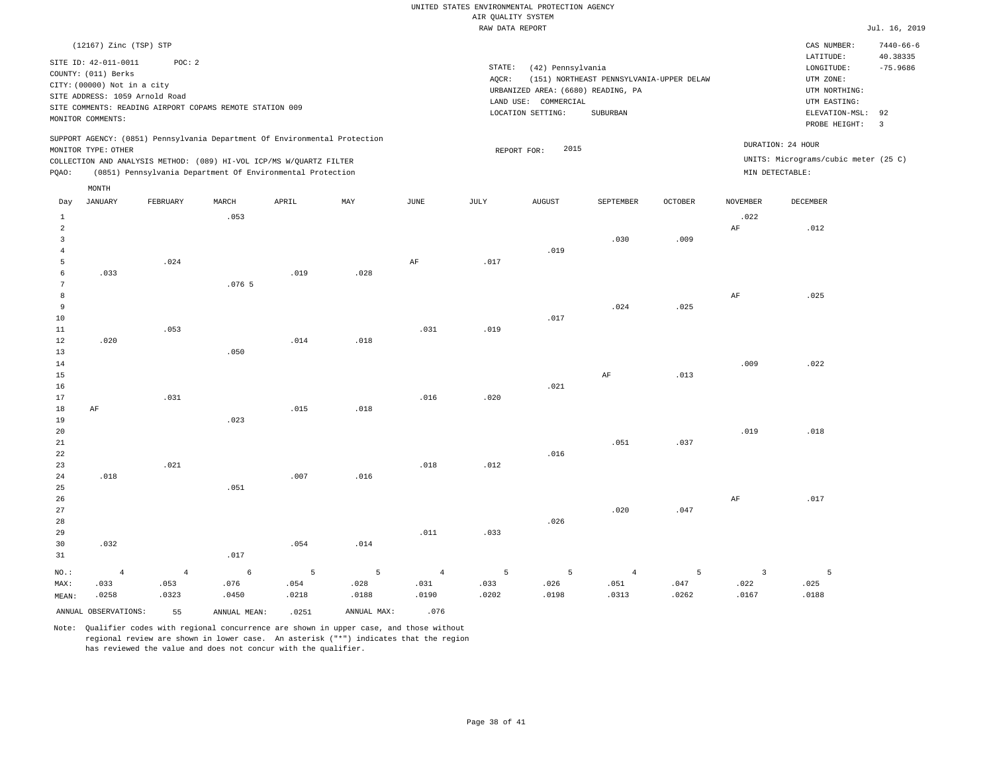|                                                                                                                                                                                                                                                 | RAW DATA REPORT                                                                                                                                                                    | Jul. 16, 2019                                                                                                                                                                |
|-------------------------------------------------------------------------------------------------------------------------------------------------------------------------------------------------------------------------------------------------|------------------------------------------------------------------------------------------------------------------------------------------------------------------------------------|------------------------------------------------------------------------------------------------------------------------------------------------------------------------------|
| (12167) Zinc (TSP) STP<br>SITE ID: 42-011-0011<br>POC:2<br>COUNTY: (011) Berks<br>CITY: (00000) Not in a city<br>SITE ADDRESS: 1059 Arnold Road<br>SITE COMMENTS: READING AIRPORT COPAMS REMOTE STATION 009<br>MONITOR COMMENTS:                | STATE:<br>(42) Pennsylvania<br>(151) NORTHEAST PENNSYLVANIA-UPPER DELAW<br>AOCR:<br>URBANIZED AREA: (6680) READING, PA<br>COMMERCIAL<br>LAND USE:<br>SUBURBAN<br>LOCATION SETTING: | $7440 - 66 - 6$<br>CAS NUMBER:<br>LATITUDE:<br>40.38335<br>$-75.9686$<br>LONGITUDE:<br>UTM ZONE:<br>UTM NORTHING:<br>UTM EASTING:<br>ELEVATION-MSL: 92<br>PROBE HEIGHT:<br>3 |
| SUPPORT AGENCY: (0851) Pennsylvania Department Of Environmental Protection<br>MONITOR TYPE: OTHER<br>COLLECTION AND ANALYSIS METHOD: (089) HI-VOL ICP/MS W/OUARTZ FILTER<br>(0851) Pennsylvania Department Of Environmental Protection<br>POAO: | 2015<br>REPORT FOR:                                                                                                                                                                | DURATION: 24 HOUR<br>UNITS: Micrograms/cubic meter (25 C)<br>MIN DETECTABLE:                                                                                                 |

| Day            | <b>JANUARY</b>       | FEBRUARY   | $\tt MARCH$  | APRIL | $\ensuremath{\text{MAX}}$ | $_{\rm JUNE}$  | $_{\rm JULY}$ | AUGUST         | SEPTEMBER      | OCTOBER         | <b>NOVEMBER</b> | DECEMBER |
|----------------|----------------------|------------|--------------|-------|---------------------------|----------------|---------------|----------------|----------------|-----------------|-----------------|----------|
| $\mathbf{1}$   |                      |            | .053         |       |                           |                |               |                |                |                 | .022            |          |
| $\overline{a}$ |                      |            |              |       |                           |                |               |                |                |                 | $\rm{AF}$       | .012     |
| 3              |                      |            |              |       |                           |                |               |                | .030           | .009            |                 |          |
| 4              |                      |            |              |       |                           |                |               | .019           |                |                 |                 |          |
| 5              |                      | .024       |              |       |                           | $\rm{AF}$      | .017          |                |                |                 |                 |          |
| 6              | .033                 |            |              | .019  | .028                      |                |               |                |                |                 |                 |          |
| $\overline{7}$ |                      |            | .0765        |       |                           |                |               |                |                |                 |                 |          |
| 8              |                      |            |              |       |                           |                |               |                |                |                 | $\rm{AF}$       | .025     |
| 9              |                      |            |              |       |                           |                |               |                | .024           | .025            |                 |          |
| 10             |                      |            |              |       |                           |                |               | .017           |                |                 |                 |          |
| 11             |                      | .053       |              |       |                           | .031           | .019          |                |                |                 |                 |          |
| 12             | .020                 |            |              | .014  | .018                      |                |               |                |                |                 |                 |          |
| 13             |                      |            | .050         |       |                           |                |               |                |                |                 |                 |          |
| 14             |                      |            |              |       |                           |                |               |                |                |                 | .009            | .022     |
| 15             |                      |            |              |       |                           |                |               |                | $\rm AF$       | .013            |                 |          |
| 16             |                      |            |              |       |                           |                |               | .021           |                |                 |                 |          |
| 17<br>18       |                      | .031       |              |       |                           | .016           | .020          |                |                |                 |                 |          |
| 19             | $\rm{AF}$            |            | .023         | .015  | .018                      |                |               |                |                |                 |                 |          |
| 20             |                      |            |              |       |                           |                |               |                |                |                 | .019            | .018     |
| 21             |                      |            |              |       |                           |                |               |                | .051           | .037            |                 |          |
| 22             |                      |            |              |       |                           |                |               | .016           |                |                 |                 |          |
| 23             |                      | .021       |              |       |                           | .018           | .012          |                |                |                 |                 |          |
| 24             | .018                 |            |              | .007  | .016                      |                |               |                |                |                 |                 |          |
| 25             |                      |            | .051         |       |                           |                |               |                |                |                 |                 |          |
| 26             |                      |            |              |       |                           |                |               |                |                |                 | $\rm{AF}$       | .017     |
| 27             |                      |            |              |       |                           |                |               |                | .020           | .047            |                 |          |
| 28             |                      |            |              |       |                           |                |               | .026           |                |                 |                 |          |
| 29             |                      |            |              |       |                           | .011           | .033          |                |                |                 |                 |          |
| 30             | .032                 |            |              | .054  | .014                      |                |               |                |                |                 |                 |          |
| 31             |                      |            | .017         |       |                           |                |               |                |                |                 |                 |          |
| $_{\rm NO.}$ : | $\overline{4}$       | $\sqrt{4}$ | $\epsilon$   | 5     | $\overline{5}$            | $\overline{4}$ | 5             | $\overline{5}$ | $\overline{4}$ | $5\phantom{.0}$ | $\overline{3}$  | 5        |
| MAX:           | .033                 | .053       | .076         | .054  | .028                      | .031           | .033          | .026           | .051           | .047            | .022            | .025     |
| MEAN:          | .0258                | .0323      | .0450        | .0218 | .0188                     | .0190          | .0202         | .0198          | .0313          | .0262           | .0167           | .0188    |
|                | ANNUAL OBSERVATIONS: | 55         | ANNUAL MEAN: | .0251 | ANNUAL MAX:               | .076           |               |                |                |                 |                 |          |

Note: Qualifier codes with regional concurrence are shown in upper case, and those without regional review are shown in lower case. An asterisk ("\*") indicates that the region has reviewed the value and does not concur with the qualifier.

MONTH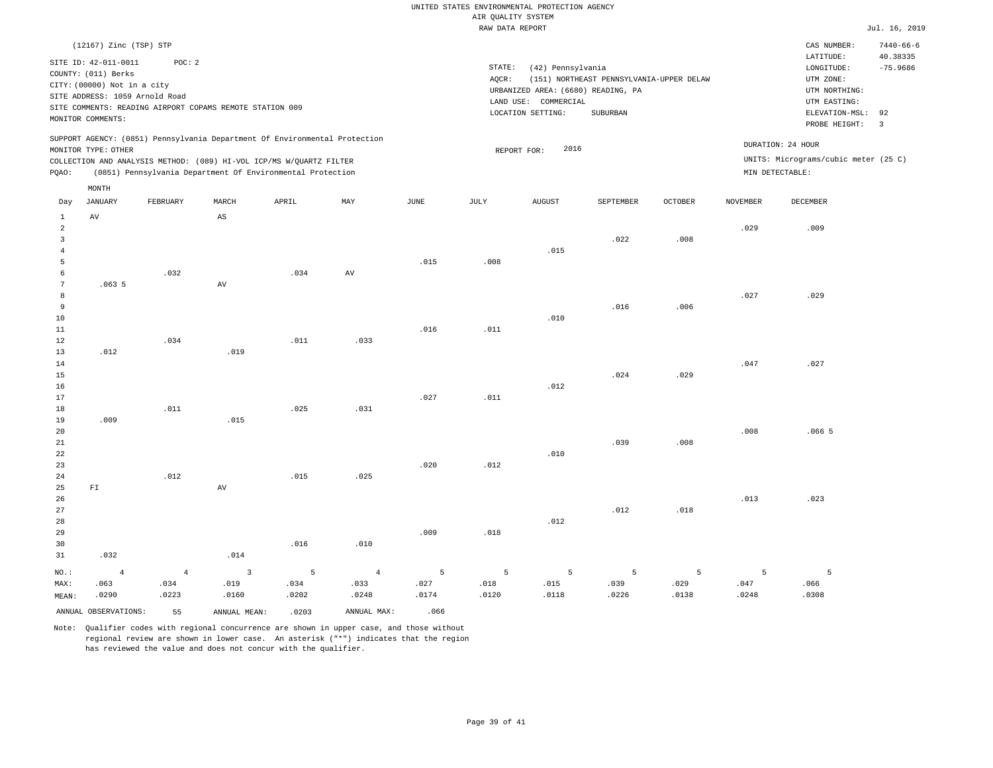|                                                                                                                                                                                                         |                        |          |                        |                                                                                                                                   |      |                 | RAW DATA REPORT                                                                                    |                                                                                                |                                       |                |          |                                      | Jul. 16, 2019               |
|---------------------------------------------------------------------------------------------------------------------------------------------------------------------------------------------------------|------------------------|----------|------------------------|-----------------------------------------------------------------------------------------------------------------------------------|------|-----------------|----------------------------------------------------------------------------------------------------|------------------------------------------------------------------------------------------------|---------------------------------------|----------------|----------|--------------------------------------|-----------------------------|
|                                                                                                                                                                                                         | (12167) Zinc (TSP) STP |          |                        |                                                                                                                                   |      |                 |                                                                                                    |                                                                                                |                                       |                |          | CAS NUMBER:<br>LATITUDE:             | $7440 - 66 - 6$<br>40.38335 |
| SITE ID: 42-011-0011<br>POC: 2<br>COUNTY: (011) Berks<br>CITY: (00000) Not in a city<br>SITE ADDRESS: 1059 Arnold Road<br>SITE COMMENTS: READING AIRPORT COPAMS REMOTE STATION 009<br>MONITOR COMMENTS: |                        |          |                        |                                                                                                                                   |      |                 | STATE:<br>AQCR:<br>URBANIZED AREA: (6680) READING, PA<br>LAND USE: COMMERCIAL<br>LOCATION SETTING: | LONGITUDE:<br>UTM ZONE:<br>UTM NORTHING:<br>UTM EASTING:<br>ELEVATION-MSL: 92<br>PROBE HEIGHT: | $-75.9686$<br>$\overline{\mathbf{3}}$ |                |          |                                      |                             |
|                                                                                                                                                                                                         |                        |          |                        | SUPPORT AGENCY: (0851) Pennsylvania Department Of Environmental Protection                                                        |      |                 |                                                                                                    |                                                                                                |                                       |                |          | DURATION: 24 HOUR                    |                             |
|                                                                                                                                                                                                         | MONITOR TYPE: OTHER    |          |                        |                                                                                                                                   |      |                 |                                                                                                    | 2016<br>REPORT FOR:                                                                            |                                       |                |          | UNITS: Micrograms/cubic meter (25 C) |                             |
|                                                                                                                                                                                                         |                        |          |                        | COLLECTION AND ANALYSIS METHOD: (089) HI-VOL ICP/MS W/QUARTZ FILTER<br>(0851) Pennsylvania Department Of Environmental Protection |      |                 |                                                                                                    |                                                                                                |                                       |                |          | MIN DETECTABLE:                      |                             |
| PQAO:                                                                                                                                                                                                   |                        |          |                        |                                                                                                                                   |      |                 |                                                                                                    |                                                                                                |                                       |                |          |                                      |                             |
| Day                                                                                                                                                                                                     | MONTH<br>JANUARY       | FEBRUARY | MARCH                  | APRIL                                                                                                                             | MAY  | $\mathtt{JUNE}$ | JULY                                                                                               | <b>AUGUST</b>                                                                                  | SEPTEMBER                             | <b>OCTOBER</b> | NOVEMBER | DECEMBER                             |                             |
| $\mathbf{1}$<br>2<br>$\overline{3}$                                                                                                                                                                     | AV                     |          | $\mathbb{A}\mathbb{S}$ |                                                                                                                                   |      |                 |                                                                                                    |                                                                                                | .022                                  | .008           | .029     | .009                                 |                             |
| 4<br>5<br>6                                                                                                                                                                                             |                        | .032     |                        | .034                                                                                                                              | AV   | .015            | .008                                                                                               | .015                                                                                           |                                       |                |          |                                      |                             |
| 7<br>8                                                                                                                                                                                                  | .0635                  |          | AV                     |                                                                                                                                   |      |                 |                                                                                                    |                                                                                                |                                       |                | .027     | .029                                 |                             |
| 9<br>10<br>11                                                                                                                                                                                           |                        |          |                        |                                                                                                                                   |      | .016            | .011                                                                                               | .010                                                                                           | .016                                  | .006           |          |                                      |                             |
| 12<br>13<br>14                                                                                                                                                                                          | .012                   | .034     | .019                   | .011                                                                                                                              | .033 |                 |                                                                                                    |                                                                                                |                                       |                | .047     | .027                                 |                             |
| 15<br>16<br>17                                                                                                                                                                                          |                        |          |                        |                                                                                                                                   |      | .027            | .011                                                                                               | .012                                                                                           | .024                                  | .029           |          |                                      |                             |
| 18<br>19<br>20                                                                                                                                                                                          | .009                   | .011     | .015                   | .025                                                                                                                              | .031 |                 |                                                                                                    |                                                                                                |                                       |                | .008     | .0665                                |                             |
| 21<br>22<br>23                                                                                                                                                                                          |                        |          |                        |                                                                                                                                   |      | .020            | .012                                                                                               | .010                                                                                           | .039                                  | .008           |          |                                      |                             |
| 24<br>25<br>26                                                                                                                                                                                          | FL                     | .012     | AV                     | .015                                                                                                                              | .025 |                 |                                                                                                    |                                                                                                |                                       |                | .013     | .023                                 |                             |
| 27<br>28                                                                                                                                                                                                |                        |          |                        |                                                                                                                                   |      |                 |                                                                                                    | .012                                                                                           | .012                                  | .018           |          |                                      |                             |
| 29<br>30<br>31                                                                                                                                                                                          | .032                   |          | .014                   | .016                                                                                                                              | .010 | .009            | .018                                                                                               |                                                                                                |                                       |                |          |                                      |                             |

| NO.:  | $\sim$ 4 $\sim$      | $4\overline{ }$ |              |       | $3 \quad 5 \quad 4$ |       | $5 \hspace{2.5cm} 5 \hspace{2.5cm} 5$ | $5 - 5$ | $-5$ $-7$ |       |       |       |
|-------|----------------------|-----------------|--------------|-------|---------------------|-------|---------------------------------------|---------|-----------|-------|-------|-------|
| MAX:  | .063                 | .034            | .019         | .034  | .033                | .027  | .018                                  | .015    | .039      | .029  | .047  | .066  |
| MEAN: | .0290                | .0223           | .0160        | .0202 | .0248               | .0174 | .0120                                 | .0118   | .0226     | .0138 | .0248 | .0308 |
|       | ANNUAL OBSERVATIONS: | 55              | ANNUAL MEAN: | .0203 | ANNUAL MAX:         | .066  |                                       |         |           |       |       |       |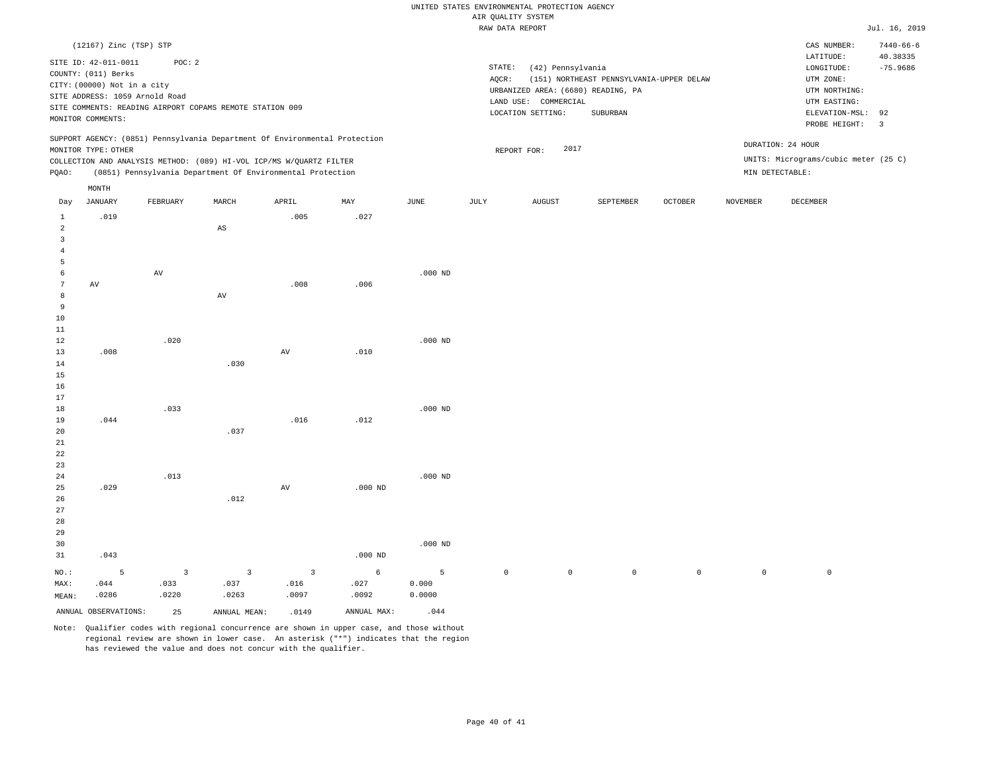|                     |                             |                                                          |                         |                                                                            |            |           |             | RAW DATA REPORT                    |                                          |         |                     |                                      | Jul. 16, 2019                 |
|---------------------|-----------------------------|----------------------------------------------------------|-------------------------|----------------------------------------------------------------------------|------------|-----------|-------------|------------------------------------|------------------------------------------|---------|---------------------|--------------------------------------|-------------------------------|
|                     | (12167) Zinc (TSP) STP      |                                                          |                         |                                                                            |            |           |             |                                    |                                          |         |                     | CAS NUMBER:                          | $7440 - 66 - 6$               |
|                     | SITE ID: 42-011-0011        | POC: 2                                                   |                         |                                                                            |            |           |             |                                    |                                          |         |                     | LATITUDE:                            | 40.38335                      |
|                     | COUNTY: (011) Berks         |                                                          |                         |                                                                            |            |           | STATE:      | (42) Pennsylvania                  |                                          |         |                     | $\texttt{LONGITUDE}$ :               | $-75.9686$                    |
|                     | CITY: (00000) Not in a city |                                                          |                         |                                                                            |            |           | AQCR:       |                                    | (151) NORTHEAST PENNSYLVANIA-UPPER DELAW |         |                     | UTM ZONE:                            |                               |
|                     |                             | SITE ADDRESS: 1059 Arnold Road                           |                         |                                                                            |            |           |             | URBANIZED AREA: (6680) READING, PA |                                          |         |                     | UTM NORTHING:                        |                               |
|                     |                             | SITE COMMENTS: READING AIRPORT COPAMS REMOTE STATION 009 |                         |                                                                            |            |           |             | LAND USE: COMMERCIAL               |                                          |         |                     | UTM EASTING:                         |                               |
|                     | MONITOR COMMENTS:           |                                                          |                         |                                                                            |            |           |             | LOCATION SETTING:                  | SUBURBAN                                 |         |                     | ELEVATION-MSL:<br>PROBE HEIGHT:      | 92<br>$\overline{\mathbf{3}}$ |
|                     |                             |                                                          |                         | SUPPORT AGENCY: (0851) Pennsylvania Department Of Environmental Protection |            |           |             |                                    |                                          |         |                     |                                      |                               |
|                     | MONITOR TYPE: OTHER         |                                                          |                         |                                                                            |            |           |             | 2017<br>REPORT FOR:                |                                          |         |                     | DURATION: 24 HOUR                    |                               |
|                     |                             |                                                          |                         | COLLECTION AND ANALYSIS METHOD: (089) HI-VOL ICP/MS W/QUARTZ FILTER        |            |           |             |                                    |                                          |         |                     | UNITS: Micrograms/cubic meter (25 C) |                               |
| PQAO:               |                             |                                                          |                         | (0851) Pennsylvania Department Of Environmental Protection                 |            |           |             |                                    |                                          |         |                     | MIN DETECTABLE:                      |                               |
|                     | $\texttt{MONTH}$            |                                                          |                         |                                                                            |            |           |             |                                    |                                          |         |                     |                                      |                               |
| Day                 | JANUARY                     | FEBRUARY                                                 | MARCH                   | APRIL                                                                      | MAY        | JUNE      | JULY        | <b>AUGUST</b>                      | SEPTEMBER                                | OCTOBER | NOVEMBER            | DECEMBER                             |                               |
| $\mathbf{1}$        | .019                        |                                                          |                         | .005                                                                       | .027       |           |             |                                    |                                          |         |                     |                                      |                               |
| $\overline{a}$      |                             |                                                          | $\mathbb{A}\mathbb{S}$  |                                                                            |            |           |             |                                    |                                          |         |                     |                                      |                               |
| 3<br>$\overline{4}$ |                             |                                                          |                         |                                                                            |            |           |             |                                    |                                          |         |                     |                                      |                               |
| 5                   |                             |                                                          |                         |                                                                            |            |           |             |                                    |                                          |         |                     |                                      |                               |
| 6                   |                             | AV                                                       |                         |                                                                            |            | $.000$ ND |             |                                    |                                          |         |                     |                                      |                               |
| $7\phantom{.0}$     | $\,\mathrm{AV}$             |                                                          |                         | .008                                                                       | .006       |           |             |                                    |                                          |         |                     |                                      |                               |
| 8                   |                             |                                                          | AV                      |                                                                            |            |           |             |                                    |                                          |         |                     |                                      |                               |
| 9                   |                             |                                                          |                         |                                                                            |            |           |             |                                    |                                          |         |                     |                                      |                               |
| 10                  |                             |                                                          |                         |                                                                            |            |           |             |                                    |                                          |         |                     |                                      |                               |
| 11                  |                             |                                                          |                         |                                                                            |            |           |             |                                    |                                          |         |                     |                                      |                               |
| 12                  |                             | .020                                                     |                         |                                                                            |            | $.000$ ND |             |                                    |                                          |         |                     |                                      |                               |
| 13                  | .008                        |                                                          |                         | AV                                                                         | .010       |           |             |                                    |                                          |         |                     |                                      |                               |
| 14                  |                             |                                                          | .030                    |                                                                            |            |           |             |                                    |                                          |         |                     |                                      |                               |
| 15                  |                             |                                                          |                         |                                                                            |            |           |             |                                    |                                          |         |                     |                                      |                               |
| 16                  |                             |                                                          |                         |                                                                            |            |           |             |                                    |                                          |         |                     |                                      |                               |
| 17<br>18            |                             | .033                                                     |                         |                                                                            |            | $.000$ ND |             |                                    |                                          |         |                     |                                      |                               |
| 19                  | .044                        |                                                          |                         | .016                                                                       | .012       |           |             |                                    |                                          |         |                     |                                      |                               |
| 20                  |                             |                                                          | .037                    |                                                                            |            |           |             |                                    |                                          |         |                     |                                      |                               |
| 21                  |                             |                                                          |                         |                                                                            |            |           |             |                                    |                                          |         |                     |                                      |                               |
| 22                  |                             |                                                          |                         |                                                                            |            |           |             |                                    |                                          |         |                     |                                      |                               |
| 23                  |                             |                                                          |                         |                                                                            |            |           |             |                                    |                                          |         |                     |                                      |                               |
| 24                  |                             | .013                                                     |                         |                                                                            |            | $.000$ ND |             |                                    |                                          |         |                     |                                      |                               |
| 25                  | .029                        |                                                          |                         | $\hbox{AV}$                                                                | $.000$ ND  |           |             |                                    |                                          |         |                     |                                      |                               |
| 26                  |                             |                                                          | .012                    |                                                                            |            |           |             |                                    |                                          |         |                     |                                      |                               |
| 27                  |                             |                                                          |                         |                                                                            |            |           |             |                                    |                                          |         |                     |                                      |                               |
| 28                  |                             |                                                          |                         |                                                                            |            |           |             |                                    |                                          |         |                     |                                      |                               |
| 29                  |                             |                                                          |                         |                                                                            |            |           |             |                                    |                                          |         |                     |                                      |                               |
| 30                  |                             |                                                          |                         |                                                                            |            | $.000$ ND |             |                                    |                                          |         |                     |                                      |                               |
| 31                  | .043                        |                                                          |                         |                                                                            | $.000$ ND  |           |             |                                    |                                          |         |                     |                                      |                               |
| $NO.$ :             | 5                           | $\overline{\mathbf{3}}$                                  | $\overline{\mathbf{3}}$ | $\overline{3}$                                                             | $\epsilon$ | 5         | $\mathbb O$ | $\mathbb O$                        | $\mathbb O$                              | $\circ$ | $\mathsf{O}\xspace$ | $\mathbb O$                          |                               |
| MAX:                | 044                         | .033                                                     | .037                    | .016                                                                       | .027       | 0.000     |             |                                    |                                          |         |                     |                                      |                               |

MEAN: .0286 .0220 .0263 .0097 .0092 0.0000 ANNUAL OBSERVATIONS: 25 ANNUAL MEAN: .0149 ANNUAL MAX: .044